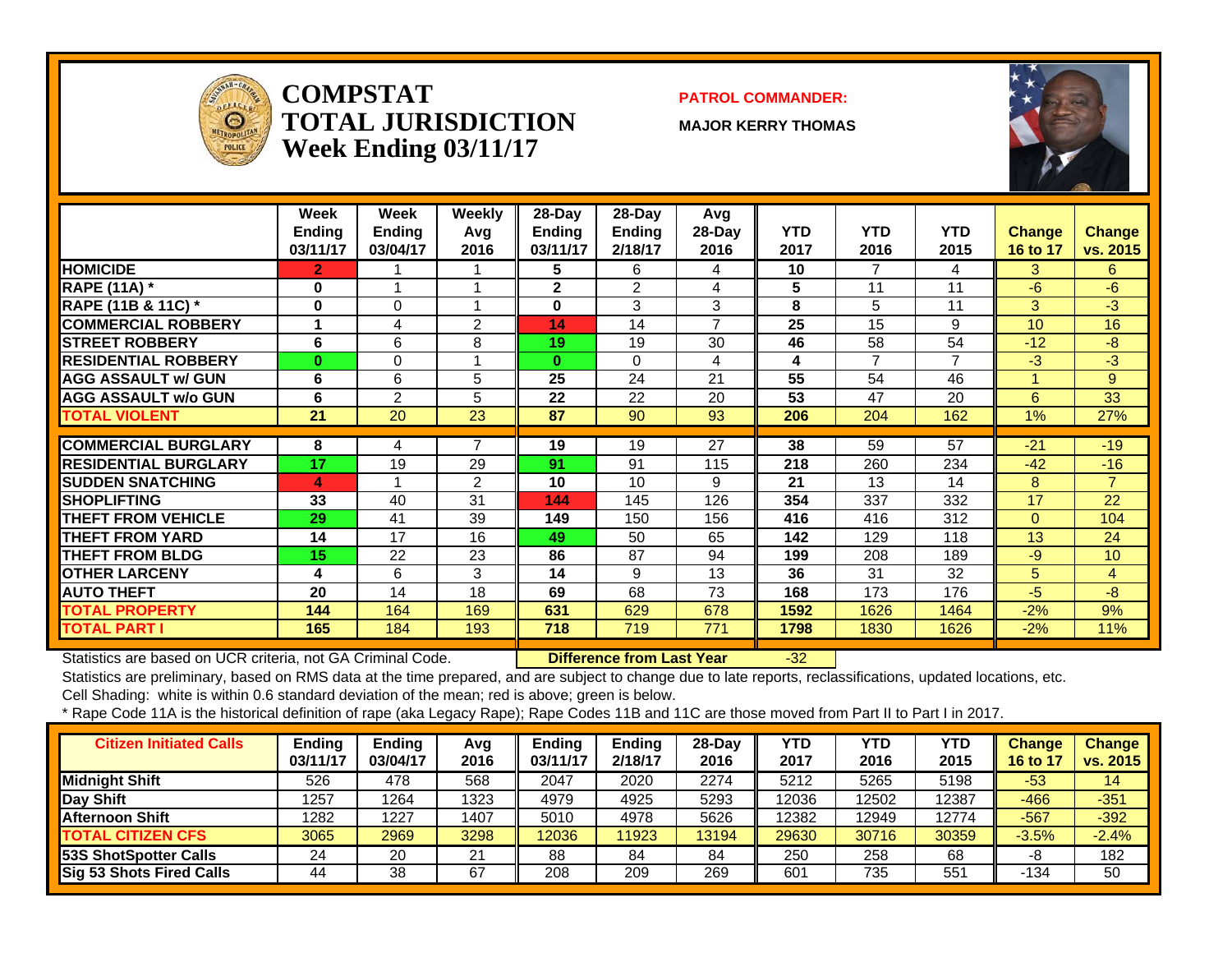

#### **COMPSTATTOTAL JURISDICTIONWeek Ending 03/11/17**

#### **PATROL COMMANDER:**

**MAJOR KERRY THOMAS**



|                               | Week<br><b>Ending</b><br>03/11/17 | Week<br><b>Ending</b><br>03/04/17 | Weekly<br>Avg<br>2016 | $28$ -Day<br><b>Ending</b><br>03/11/17 | $28$ -Day<br><b>Ending</b><br>2/18/17 | Avg<br>$28-Day$<br>2016 | <b>YTD</b><br>2017 | <b>YTD</b><br>2016 | <b>YTD</b><br>2015 | <b>Change</b><br>16 to 17 | <b>Change</b><br>vs. 2015 |
|-------------------------------|-----------------------------------|-----------------------------------|-----------------------|----------------------------------------|---------------------------------------|-------------------------|--------------------|--------------------|--------------------|---------------------------|---------------------------|
| <b>HOMICIDE</b>               | $\overline{2}$                    |                                   |                       | 5                                      | 6                                     | 4                       | 10                 | 7                  | 4                  | 3                         | 6.                        |
| <b>RAPE (11A)</b> *           | $\bf{0}$                          |                                   |                       | $\mathbf{2}$                           | $\overline{2}$                        | 4                       | 5                  | 11                 | 11                 | $-6$                      | $-6$                      |
| <b>RAPE (11B &amp; 11C)</b> * | 0                                 | $\Omega$                          |                       | 0                                      | 3                                     | 3                       | 8                  | 5                  | 11                 | 3                         | $-3$                      |
| <b>ICOMMERCIAL ROBBERY</b>    |                                   | 4                                 | 2                     | 14                                     | 14                                    | $\overline{ }$          | 25                 | 15                 | 9                  | 10                        | 16                        |
| <b>STREET ROBBERY</b>         | 6                                 | 6                                 | 8                     | 19                                     | 19                                    | 30                      | 46                 | 58                 | 54                 | $-12$                     | $-8$                      |
| <b>RESIDENTIAL ROBBERY</b>    | $\bf{0}$                          | $\Omega$                          |                       | $\bf{0}$                               | 0                                     | 4                       | 4                  | $\overline{ }$     | 7                  | $-3$                      | $-3$                      |
| <b>AGG ASSAULT w/ GUN</b>     | 6                                 | 6                                 | 5                     | 25                                     | 24                                    | 21                      | 55                 | 54                 | 46                 |                           | 9                         |
| <b>AGG ASSAULT w/o GUN</b>    | 6                                 | 2                                 | 5                     | 22                                     | 22                                    | 20                      | 53                 | 47                 | 20                 | 6                         | 33                        |
| <b>TOTAL VIOLENT</b>          | 21                                | 20                                | 23                    | 87                                     | 90                                    | 93                      | 206                | 204                | 162                | 1%                        | 27%                       |
|                               |                                   |                                   |                       |                                        |                                       |                         |                    |                    |                    |                           |                           |
| <b>COMMERCIAL BURGLARY</b>    | 8                                 | 4                                 |                       | 19                                     | 19                                    | 27                      | 38                 | 59                 | 57                 | $-21$                     | $-19$                     |
| <b>RESIDENTIAL BURGLARY</b>   | 17                                | 19                                | 29                    | 91                                     | 91                                    | 115                     | 218                | 260                | 234                | $-42$                     | $-16$                     |
| <b>SUDDEN SNATCHING</b>       | 4                                 |                                   | $\mathcal{P}$         | 10                                     | 10                                    | 9                       | 21                 | 13                 | 14                 | 8                         | $\overline{7}$            |
| <b>SHOPLIFTING</b>            | 33                                | 40                                | 31                    | 144                                    | 145                                   | 126                     | 354                | 337                | 332                | 17                        | 22                        |
| <b>THEFT FROM VEHICLE</b>     | 29                                | 41                                | 39                    | 149                                    | 150                                   | 156                     | 416                | 416                | 312                | $\Omega$                  | 104                       |
| <b>THEFT FROM YARD</b>        | 14                                | 17                                | 16                    | 49                                     | 50                                    | 65                      | 142                | 129                | 118                | 13                        | 24                        |
| <b>THEFT FROM BLDG</b>        | 15                                | 22                                | 23                    | 86                                     | 87                                    | 94                      | 199                | 208                | 189                | $-9$                      | 10                        |
| <b>OTHER LARCENY</b>          | 4                                 | 6                                 | 3                     | 14                                     | 9                                     | 13                      | 36                 | 31                 | 32                 | 5                         | 4                         |
| <b>AUTO THEFT</b>             | 20                                | 14                                | 18                    | 69                                     | 68                                    | 73                      | 168                | 173                | 176                | $-5$                      | $-8$                      |
| <b>TOTAL PROPERTY</b>         | 144                               | 164                               | 169                   | 631                                    | 629                                   | 678                     | 1592               | 1626               | 1464               | $-2%$                     | 9%                        |
| <b>TOTAL PART I</b>           | 165                               | 184                               | 193                   | 718                                    | 719                                   | 771                     | 1798               | 1830               | 1626               | $-2%$                     | 11%                       |

Statistics are based on UCR criteria, not GA Criminal Code. **Difference from Last Year** -32

Statistics are preliminary, based on RMS data at the time prepared, and are subject to change due to late reports, reclassifications, updated locations, etc.

Cell Shading: white is within 0.6 standard deviation of the mean; red is above; green is below.

| <b>Citizen Initiated Calls</b>  | Ending<br>03/11/17 | <b>Ending</b><br>03/04/17 | Avg<br>2016 | Endina<br>03/11/17 | <b>Ending</b><br>2/18/17 | $28-Dav$<br>2016 | YTD<br>2017 | YTD<br>2016 | YTD<br>2015 | <b>Change</b><br>16 to 17 | <b>Change</b><br>vs. 2015 |
|---------------------------------|--------------------|---------------------------|-------------|--------------------|--------------------------|------------------|-------------|-------------|-------------|---------------------------|---------------------------|
| Midnight Shift                  | 526                | 478                       | 568         | 2047               | 2020                     | 2274             | 5212        | 5265        | 5198        | $-53$                     | 14                        |
| Day Shift                       | 1257               | 1264                      | 1323        | 4979               | 4925                     | 5293             | 12036       | 2502        | 12387       | $-466$                    | $-351$                    |
| <b>Afternoon Shift</b>          | 1282               | 1227                      | 1407        | 5010               | 4978                     | 5626             | 12382       | 2949        | 12774       | $-567$                    | $-392$                    |
| <b>TOTAL CITIZEN CFS</b>        | 3065               | 2969                      | 3298        | 12036              | 11923                    | 13194            | 29630       | 30716       | 30359       | $-3.5%$                   | $-2.4%$                   |
| <b>153S ShotSpotter Calls</b>   | 24                 | 20                        | 21          | 88                 | 84                       | 84               | 250         | 258         | 68          | -8                        | 182                       |
| <b>Sig 53 Shots Fired Calls</b> | 44                 | 38                        | 67          | 208                | 209                      | 269              | 601         | 735         | 551         | $-134$                    | 50                        |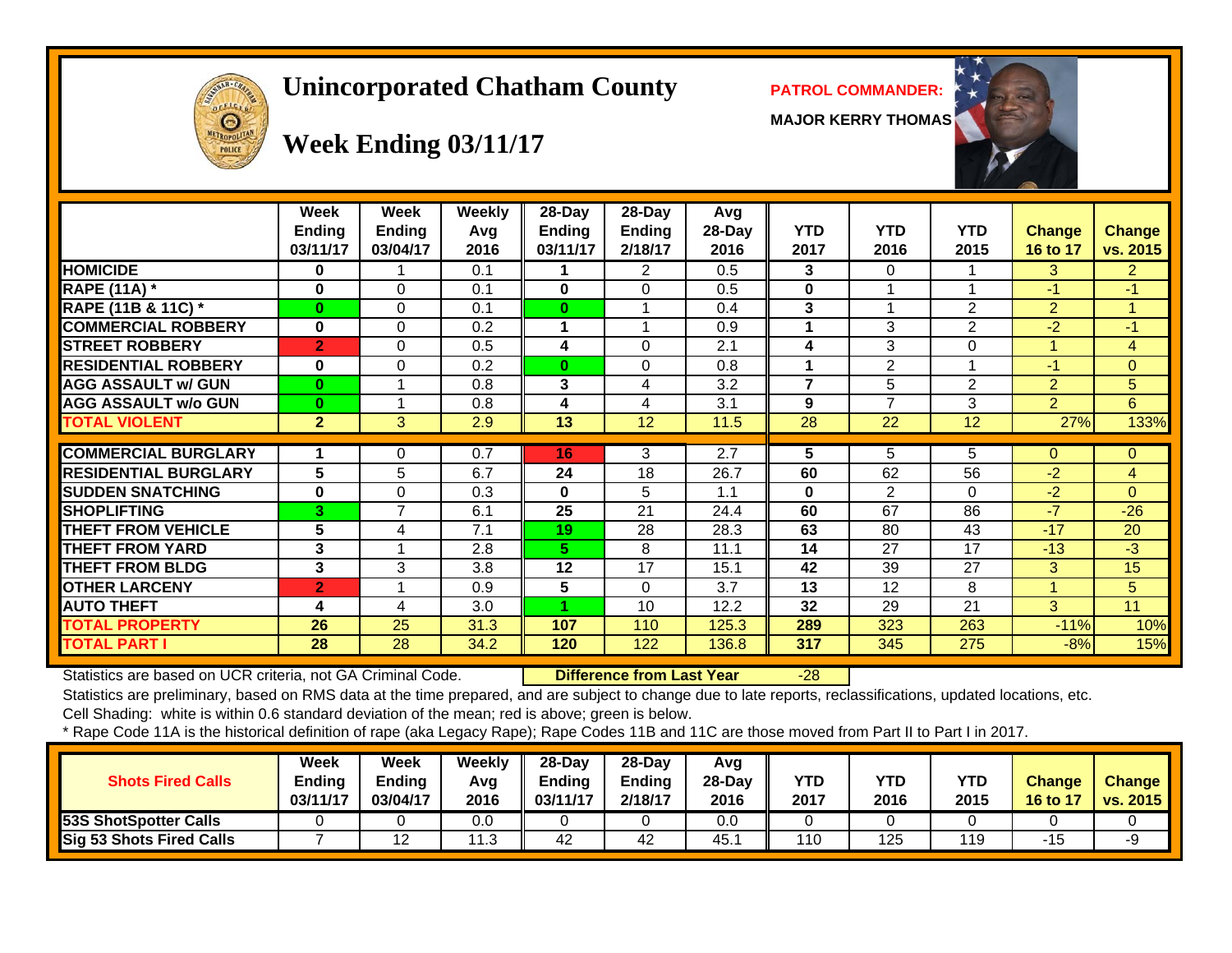# **Unincorporated Chatham County PATROL COMMANDER:**

**MAJOR KERRY THOMAS**





# **Week Ending 03/11/17**

|                             | <b>Week</b><br><b>Ending</b> | <b>Week</b><br><b>Ending</b> | Weekly<br>Avg | 28-Day<br>Ending | 28-Day<br>Ending | Avg<br>28-Day | <b>YTD</b> | <b>YTD</b>               | <b>YTD</b>      | <b>Change</b>   | <b>Change</b>  |
|-----------------------------|------------------------------|------------------------------|---------------|------------------|------------------|---------------|------------|--------------------------|-----------------|-----------------|----------------|
|                             | 03/11/17                     | 03/04/17                     | 2016          | 03/11/17         | 2/18/17          | 2016          | 2017       | 2016                     | 2015            | 16 to 17        | vs. 2015       |
| <b>HOMICIDE</b>             | 0                            |                              | 0.1           |                  | 2                | 0.5           | 3          | 0                        |                 | 3               | $\overline{2}$ |
| <b>RAPE (11A) *</b>         | 0                            | 0                            | 0.1           | 0                | $\Omega$         | 0.5           | $\bf{0}$   |                          |                 | $-1$            | $-1$           |
| RAPE (11B & 11C) *          | $\bf{0}$                     | 0                            | 0.1           | $\bf{0}$         |                  | 0.4           | 3          |                          | $\overline{2}$  | $\overline{2}$  | 1              |
| <b>COMMERCIAL ROBBERY</b>   | $\bf{0}$                     | 0                            | 0.2           |                  |                  | 0.9           |            | 3                        | $\overline{2}$  | $-2$            | $-1$           |
| <b>STREET ROBBERY</b>       | $\overline{2}$               | 0                            | 0.5           | 4                | $\Omega$         | 2.1           | 4          | 3                        | $\Omega$        | 4               | $\overline{4}$ |
| <b>RESIDENTIAL ROBBERY</b>  | $\bf{0}$                     | 0                            | 0.2           | $\bf{0}$         | $\Omega$         | 0.8           |            | $\overline{2}$           |                 | $-1$            | $\mathbf{0}$   |
| <b>AGG ASSAULT w/ GUN</b>   | $\bf{0}$                     |                              | 0.8           | 3                | 4                | 3.2           | 7          | 5                        | $\overline{2}$  | $\overline{2}$  | 5              |
| <b>AGG ASSAULT W/o GUN</b>  | $\bf{0}$                     |                              | 0.8           | 4                | 4                | 3.1           | 9          | $\overline{\phantom{a}}$ | 3               | $\overline{2}$  | 6              |
| <b>TOTAL VIOLENT</b>        | $\mathbf{2}$                 | 3                            | 2.9           | $\overline{13}$  | $\overline{12}$  | 11.5          | 28         | $\overline{22}$          | $\overline{12}$ | 27%             | 133%           |
|                             |                              |                              |               |                  |                  |               |            |                          |                 |                 |                |
| <b>COMMERCIAL BURGLARY</b>  |                              | 0                            | 0.7           | 16               | 3                | 2.7           | 5          | 5                        | 5               | 0               | $\Omega$       |
| <b>RESIDENTIAL BURGLARY</b> | 5                            | 5                            | 6.7           | 24               | 18               | 26.7          | 60         | 62                       | 56              | $-2$            | $\overline{4}$ |
| <b>SUDDEN SNATCHING</b>     | $\bf{0}$                     | 0                            | 0.3           | 0                | 5                | 1.1           | $\bf{0}$   | 2                        | $\Omega$        | $\overline{-2}$ | $\Omega$       |
| <b>SHOPLIFTING</b>          | 3                            | $\overline{ }$               | 6.1           | 25               | 21               | 24.4          | 60         | 67                       | 86              | $-7$            | $-26$          |
| THEFT FROM VEHICLE          | 5                            | 4                            | 7.1           | 19               | 28               | 28.3          | 63         | 80                       | 43              | $-17$           | 20             |
| <b>THEFT FROM YARD</b>      | 3                            |                              | 2.8           | 5.               | 8                | 11.1          | 14         | 27                       | 17              | $-13$           | $-3$           |
| <b>THEFT FROM BLDG</b>      | 3                            | 3                            | 3.8           | 12               | 17               | 15.1          | 42         | 39                       | 27              | 3               | 15             |
| <b>OTHER LARCENY</b>        | $\overline{2}$               |                              | 0.9           | 5                | $\Omega$         | 3.7           | 13         | 12                       | 8               |                 | 5              |
| <b>AUTO THEFT</b>           | 4                            | 4                            | 3.0           | 4                | 10               | 12.2          | 32         | 29                       | 21              | 3               | 11             |
| <b>TOTAL PROPERTY</b>       | 26                           | 25                           | 31.3          | 107              | 110              | 125.3         | 289        | 323                      | 263             | $-11%$          | 10%            |
| <b>TOTAL PART I</b>         | 28                           | 28                           | 34.2          | 120              | 122              | 136.8         | 317        | 345                      | 275             | $-8%$           | 15%            |

Statistics are based on UCR criteria, not GA Criminal Code. **Difference from Last Year** -28

Statistics are preliminary, based on RMS data at the time prepared, and are subject to change due to late reports, reclassifications, updated locations, etc. Cell Shading: white is within 0.6 standard deviation of the mean; red is above; green is below.

| <b>Shots Fired Calls</b>        | Week<br><b>Ending</b><br>03/11/17 | Week<br><b>Ending</b><br>03/04/17 | Weekly<br>Avq<br>2016 | $28-Dav$<br>Endina<br>03/11/17 | $28-Day$<br><b>Ending</b><br>2/18/17 | Avg<br>$28-Day$<br>2016 | <b>YTD</b><br>2017 | YTD<br>2016 | YTD<br>2015 | <b>Change</b><br>16 to 17 | <b>Change</b><br>vs. 2015 |
|---------------------------------|-----------------------------------|-----------------------------------|-----------------------|--------------------------------|--------------------------------------|-------------------------|--------------------|-------------|-------------|---------------------------|---------------------------|
| <b>53S ShotSpotter Calls</b>    |                                   |                                   | 0.0                   |                                |                                      | 0.0                     |                    |             |             |                           |                           |
| <b>Sig 53 Shots Fired Calls</b> |                                   | . .                               | ں. ا                  | 42                             | 42                                   | 45.                     | 110                | 125         | 119         | -15                       | -৬                        |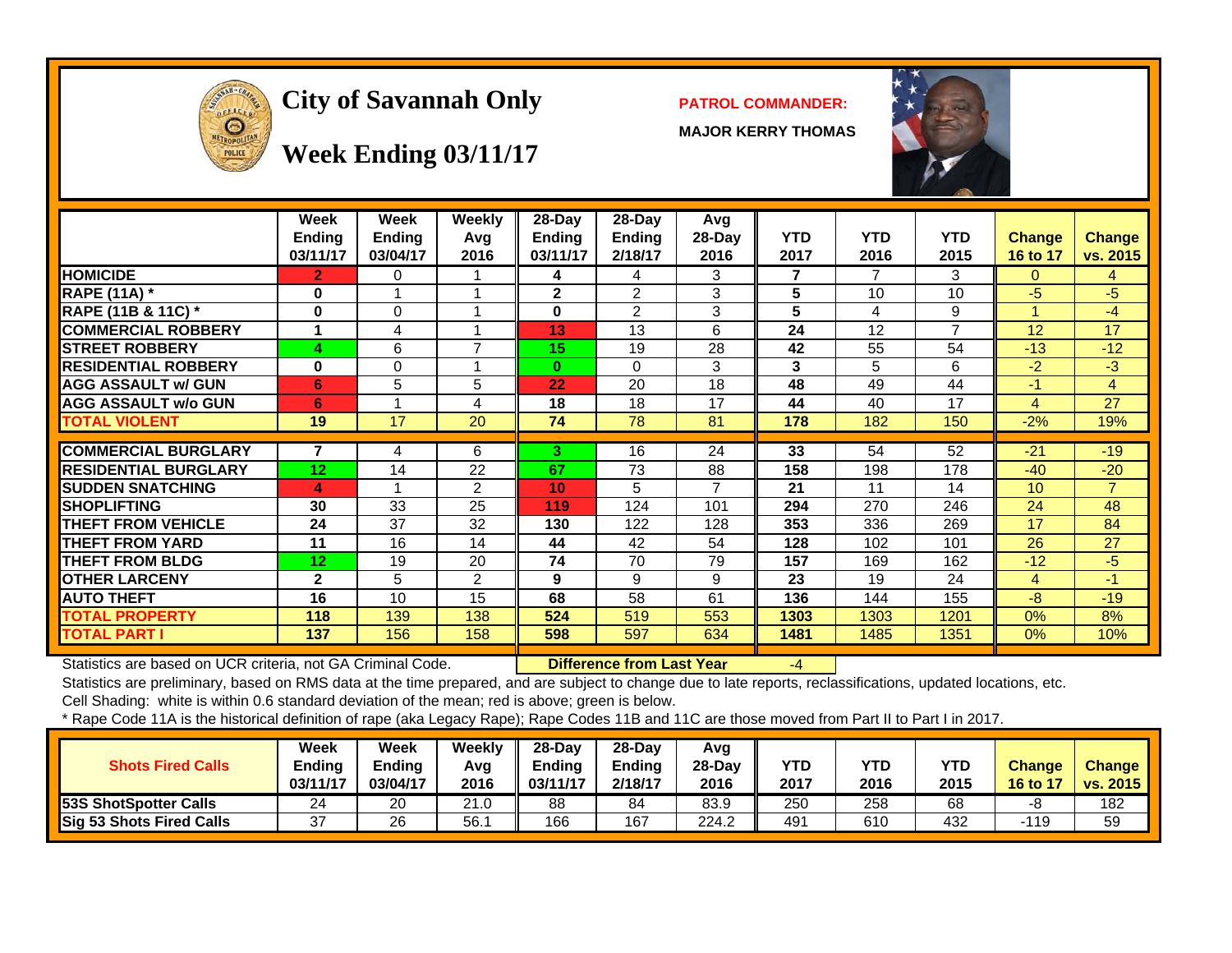

# City of Savannah Only **PATROL COMMANDER:**

**MAJOR KERRY THOMAS**



#### **Week Ending 03/11/17**

|                             | Week<br><b>Ending</b><br>03/11/17 | Week<br><b>Endina</b><br>03/04/17 | Weekly<br>Avg<br>2016 | 28-Day<br>Ending<br>03/11/17 | $28$ -Day<br><b>Ending</b><br>2/18/17 | Avg<br>28-Day<br>2016 | <b>YTD</b><br>2017 | <b>YTD</b><br>2016 | <b>YTD</b><br>2015 | <b>Change</b><br>16 to 17 | <b>Change</b><br>vs. 2015 |
|-----------------------------|-----------------------------------|-----------------------------------|-----------------------|------------------------------|---------------------------------------|-----------------------|--------------------|--------------------|--------------------|---------------------------|---------------------------|
| <b>HOMICIDE</b>             | $\overline{2}$                    | 0                                 |                       | 4                            | 4                                     | 3                     | 7                  | $\overline{ }$     | 3                  | $\Omega$                  | $\overline{4}$            |
| <b>RAPE (11A) *</b>         | 0                                 |                                   |                       | $\mathbf{2}$                 | 2                                     | 3                     | 5                  | 10                 | 10                 | -5                        | -5                        |
| RAPE (11B & 11C) *          | 0                                 | $\Omega$                          | 1                     | 0                            | $\overline{2}$                        | 3                     | 5                  | 4                  | 9                  | 1                         | -4                        |
| <b>COMMERCIAL ROBBERY</b>   |                                   | 4                                 |                       | 13                           | 13                                    | 6                     | 24                 | 12                 | 7                  | 12                        | 17                        |
| <b>STREET ROBBERY</b>       | 4                                 | 6                                 | $\overline{7}$        | 15                           | 19                                    | 28                    | 42                 | 55                 | 54                 | $-13$                     | $-12$                     |
| <b>RESIDENTIAL ROBBERY</b>  | $\bf{0}$                          | 0                                 |                       | $\bf{0}$                     | $\Omega$                              | 3                     | 3                  | 5                  | 6                  | $-2$                      | $-3$                      |
| <b>AGG ASSAULT w/ GUN</b>   | 6                                 | 5                                 | 5                     | 22                           | 20                                    | 18                    | 48                 | 49                 | 44                 | -1                        | 4                         |
| <b>AGG ASSAULT w/o GUN</b>  | 6                                 |                                   | 4                     | 18                           | 18                                    | 17                    | 44                 | 40                 | 17                 | $\overline{4}$            | 27                        |
| <b>TOTAL VIOLENT</b>        | 19                                | 17                                | 20                    | 74                           | 78                                    | 81                    | 178                | 182                | 150                | $-2%$                     | 19%                       |
|                             |                                   |                                   |                       |                              |                                       |                       |                    |                    |                    |                           |                           |
| <b>COMMERCIAL BURGLARY</b>  | 7                                 | 4                                 | 6                     | 3.                           | 16                                    | 24                    | 33                 | 54                 | 52                 | $-21$                     | $-19$                     |
| <b>RESIDENTIAL BURGLARY</b> | 12                                | 14                                | 22                    | 67                           | 73                                    | 88                    | 158                | 198                | 178                | $-40$                     | $-20$                     |
| <b>SUDDEN SNATCHING</b>     | 4                                 |                                   | 2                     | 10                           | 5                                     |                       | 21                 | 11                 | 14                 | 10                        | $\overline{7}$            |
| <b>SHOPLIFTING</b>          | 30                                | 33                                | 25                    | 119                          | 124                                   | 101                   | 294                | 270                | 246                | 24                        | 48                        |
| <b>THEFT FROM VEHICLE</b>   | 24                                | 37                                | 32                    | 130                          | 122                                   | 128                   | 353                | 336                | 269                | 17                        | 84                        |
| <b>THEFT FROM YARD</b>      | 11                                | 16                                | 14                    | 44                           | 42                                    | 54                    | 128                | 102                | 101                | 26                        | 27                        |
| <b>THEFT FROM BLDG</b>      | 12                                | 19                                | 20                    | 74                           | 70                                    | 79                    | 157                | 169                | 162                | $-12$                     | $-5$                      |
| <b>OTHER LARCENY</b>        | $\mathbf{2}$                      | 5                                 | 2                     | 9                            | 9                                     | 9                     | 23                 | 19                 | 24                 | $\overline{4}$            | $-1$                      |
| <b>AUTO THEFT</b>           | 16                                | 10                                | 15                    | 68                           | 58                                    | 61                    | 136                | 144                | 155                | -8                        | $-19$                     |
| <b>TOTAL PROPERTY</b>       | 118                               | 139                               | 138                   | 524                          | 519                                   | 553                   | 1303               | 1303               | 1201               | $0\%$                     | 8%                        |
| <b>TOTAL PART I</b>         | 137                               | 156                               | 158                   | 598                          | 597                                   | 634                   | 1481               | 1485               | 1351               | 0%                        | 10%                       |

Statistics are based on UCR criteria, not GA Criminal Code. **Difference from Last Year** -4

Statistics are preliminary, based on RMS data at the time prepared, and are subject to change due to late reports, reclassifications, updated locations, etc.

Cell Shading: white is within 0.6 standard deviation of the mean; red is above; green is below.

| <b>Shots Fired Calls</b>     | Week<br>Ending<br>03/11/17 | Week<br>Ending<br>03/04/17 | Weekly<br>Avg<br>2016 | $28-Dav$<br><b>Endina</b><br>03/11/17 | $28-Dav$<br><b>Ending</b><br>2/18/17 | Avg<br>$28-Dav$<br>2016 | <b>YTD</b><br>2017 | YTD<br>2016 | <b>YTD</b><br>2015 | <b>Change</b><br>16 to 17 | <b>Change</b><br><b>vs. 2015</b> |
|------------------------------|----------------------------|----------------------------|-----------------------|---------------------------------------|--------------------------------------|-------------------------|--------------------|-------------|--------------------|---------------------------|----------------------------------|
| <b>53S ShotSpotter Calls</b> | 24                         | 20                         | 21.0                  | 88                                    | 84                                   | 83.9                    | 250                | 258         | 68                 |                           | 182                              |
| Sig 53 Shots Fired Calls     | 37<br>، ب                  | 26                         | 56.7                  | 166                                   | 167                                  | 224.2                   | 491                | 610         | 432                | 119                       | 59                               |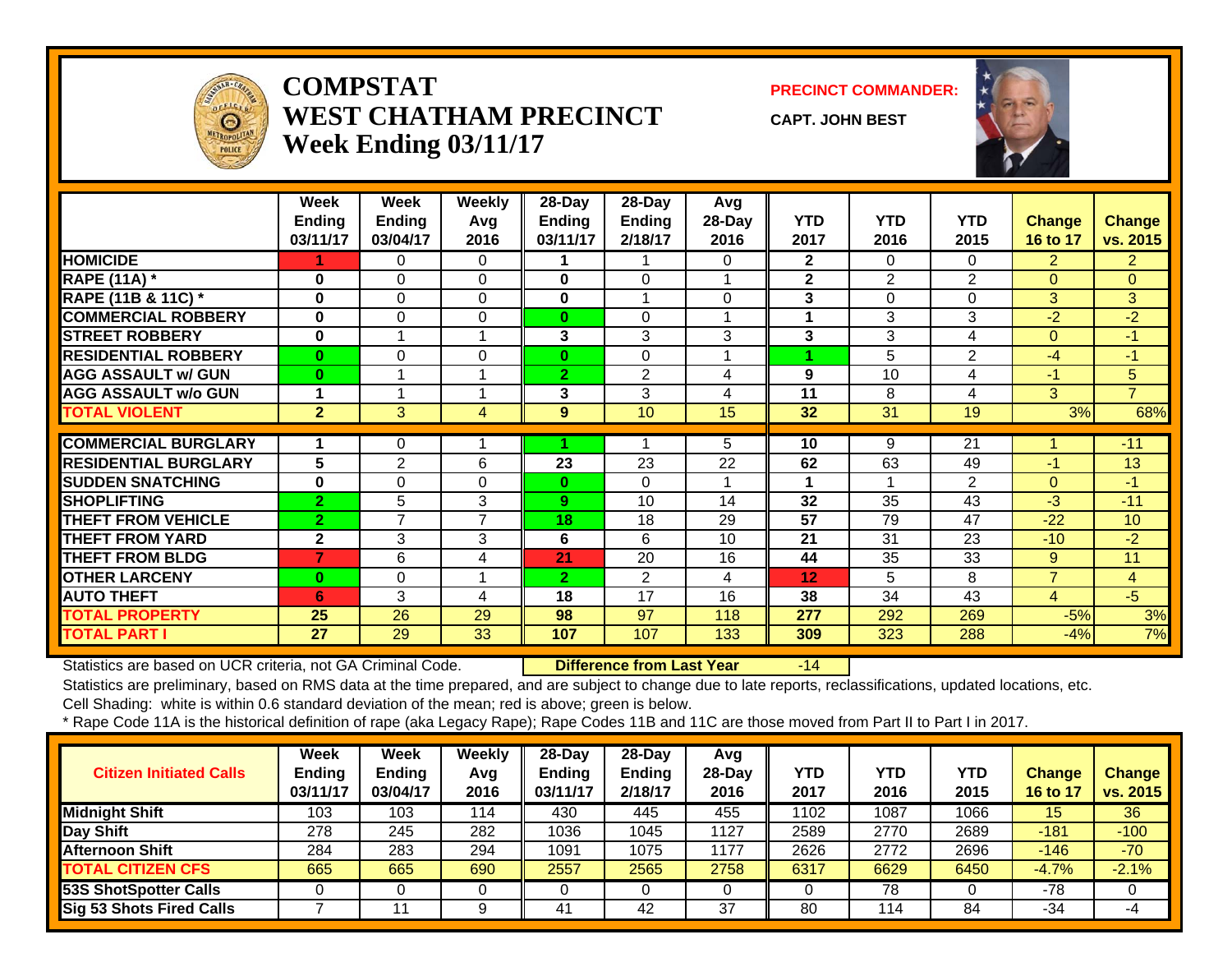

#### **COMPSTATWEST CHATHAM PRECINCTWeek Ending 03/11/17**

**PRECINCT COMMANDER:**

**CAPT. JOHN BEST**



|                             | Week<br><b>Ending</b><br>03/11/17 | Week<br><b>Ending</b><br>03/04/17 | Weekly<br>Avg<br>2016 | 28-Day<br>Ending<br>03/11/17 | 28-Day<br>Ending<br>2/18/17 | Avg<br>$28-Day$<br>2016 | <b>YTD</b><br>2017 | <b>YTD</b><br>2016 | <b>YTD</b><br>2015 | <b>Change</b><br>16 to 17 | <b>Change</b><br>vs. 2015 |
|-----------------------------|-----------------------------------|-----------------------------------|-----------------------|------------------------------|-----------------------------|-------------------------|--------------------|--------------------|--------------------|---------------------------|---------------------------|
| <b>HOMICIDE</b>             |                                   | 0                                 | 0                     |                              |                             | 0                       | $\mathbf{2}$       | $\Omega$           | $\Omega$           | $\overline{2}$            | $\overline{2}$            |
| <b>RAPE (11A) *</b>         | 0                                 | $\Omega$                          | 0                     | $\bf{0}$                     | 0                           |                         | $\mathbf{2}$       | $\overline{2}$     | $\overline{2}$     | $\Omega$                  | $\mathbf{0}$              |
| RAPE (11B & 11C) *          | $\bf{0}$                          | $\Omega$                          | 0                     | 0                            | 1                           | $\Omega$                | 3                  | $\Omega$           | $\Omega$           | 3                         | 3                         |
| <b>COMMERCIAL ROBBERY</b>   | $\bf{0}$                          | $\Omega$                          | $\Omega$              | $\bf{0}$                     | $\Omega$                    |                         |                    | 3                  | 3                  | $-2$                      | $-2$                      |
| <b>STREET ROBBERY</b>       | $\bf{0}$                          |                                   |                       | 3                            | 3                           | 3                       | 3                  | 3                  | 4                  | $\Omega$                  | $-1$                      |
| <b>RESIDENTIAL ROBBERY</b>  | 0                                 | $\Omega$                          | 0                     | $\bf{0}$                     | $\Omega$                    |                         |                    | 5                  | $\overline{2}$     | $-4$                      | $-1$                      |
| <b>AGG ASSAULT w/ GUN</b>   | $\bf{0}$                          |                                   |                       | 2                            | $\overline{2}$              | 4                       | 9                  | 10                 | 4                  | $-1$                      | 5                         |
| <b>AGG ASSAULT w/o GUN</b>  | 1                                 |                                   |                       | 3                            | 3                           | 4                       | 11                 | 8                  | 4                  | 3                         | $\overline{7}$            |
| <b>TOTAL VIOLENT</b>        | $\overline{2}$                    | 3                                 | 4                     | 9                            | 10                          | 15                      | 32                 | 31                 | 19                 | 3%                        | 68%                       |
|                             |                                   |                                   |                       |                              |                             |                         |                    |                    |                    |                           |                           |
| <b>COMMERCIAL BURGLARY</b>  | 1                                 | 0                                 |                       |                              |                             | 5.                      | 10                 | 9                  | 21                 |                           | $-11$                     |
| <b>RESIDENTIAL BURGLARY</b> | 5                                 | 2                                 | 6                     | 23                           | 23                          | 22                      | 62                 | 63                 | 49                 | $-1$                      | 13                        |
| <b>SUDDEN SNATCHING</b>     | 0                                 | $\Omega$                          | 0                     | $\bf{0}$                     | $\Omega$                    |                         |                    |                    | 2                  | $\Omega$                  | $-1$                      |
| <b>SHOPLIFTING</b>          | $\overline{2}$                    | 5                                 | 3                     | 9                            | 10                          | 14                      | 32                 | 35                 | 43                 | $-3$                      | $-11$                     |
| <b>THEFT FROM VEHICLE</b>   | $\mathbf{2}$                      | 7                                 | $\overline{7}$        | 18                           | 18                          | 29                      | 57                 | 79                 | 47                 | $-22$                     | 10                        |
| <b>THEFT FROM YARD</b>      | $\mathbf{2}$                      | 3                                 | 3                     | 6                            | 6                           | 10                      | 21                 | 31                 | 23                 | $-10$                     | $-2$                      |
| <b>THEFT FROM BLDG</b>      | 7                                 | 6                                 | 4                     | 21                           | 20                          | 16                      | 44                 | 35                 | 33                 | 9                         | 11                        |
| <b>OTHER LARCENY</b>        | 0                                 | $\Omega$                          |                       | $\overline{2}$               | 2                           | 4                       | 12                 | 5                  | 8                  | $\overline{7}$            | $\overline{4}$            |
| <b>AUTO THEFT</b>           | 6                                 | 3                                 | 4                     | 18                           | 17                          | 16                      | 38                 | 34                 | 43                 | $\overline{4}$            | $-5$                      |
| <b>TOTAL PROPERTY</b>       | 25                                | 26                                | 29                    | 98                           | 97                          | 118                     | 277                | 292                | 269                | $-5%$                     | 3%                        |
| <b>TOTAL PART I</b>         | 27                                | 29                                | 33                    | 107                          | 107                         | 133                     | 309                | 323                | 288                | $-4%$                     | 7%                        |

Statistics are based on UCR criteria, not GA Criminal Code. **Difference from Last Year** -14

Statistics are preliminary, based on RMS data at the time prepared, and are subject to change due to late reports, reclassifications, updated locations, etc.

Cell Shading: white is within 0.6 standard deviation of the mean; red is above; green is below.

| <b>Citizen Initiated Calls</b>  | Week<br><b>Ending</b><br>03/11/17 | <b>Week</b><br><b>Ending</b><br>03/04/17 | Weekly<br>Avq<br>2016 | $28$ -Day<br><b>Ending</b><br>03/11/17 | 28-Day<br><b>Ending</b><br>2/18/17 | Avg<br>$28$ -Day<br>2016 | <b>YTD</b><br>2017 | <b>YTD</b><br>2016 | <b>YTD</b><br>2015 | <b>Change</b><br>16 to 17 | <b>Change</b><br>vs. 2015 |
|---------------------------------|-----------------------------------|------------------------------------------|-----------------------|----------------------------------------|------------------------------------|--------------------------|--------------------|--------------------|--------------------|---------------------------|---------------------------|
| <b>Midnight Shift</b>           | 103                               | 103                                      | 114                   | 430                                    | 445                                | 455                      | 1102               | 1087               | 1066               | 15                        | 36                        |
| Day Shift                       | 278                               | 245                                      | 282                   | 1036                                   | 1045                               | 1127                     | 2589               | 2770               | 2689               | $-181$                    | $-100$                    |
| <b>Afternoon Shift</b>          | 284                               | 283                                      | 294                   | 1091                                   | 1075                               | 1177                     | 2626               | 2772               | 2696               | $-146$                    | $-70$                     |
| <b>TOTAL CITIZEN CFS</b>        | 665                               | 665                                      | 690                   | 2557                                   | 2565                               | 2758                     | 6317               | 6629               | 6450               | $-4.7%$                   | $-2.1%$                   |
| <b>53S ShotSpotter Calls</b>    |                                   |                                          |                       |                                        |                                    |                          |                    | 78                 |                    | $-78$                     |                           |
| <b>Sig 53 Shots Fired Calls</b> |                                   |                                          |                       | 41                                     | 42                                 | 37                       | 80                 | 114                | 84                 | -34                       | -4                        |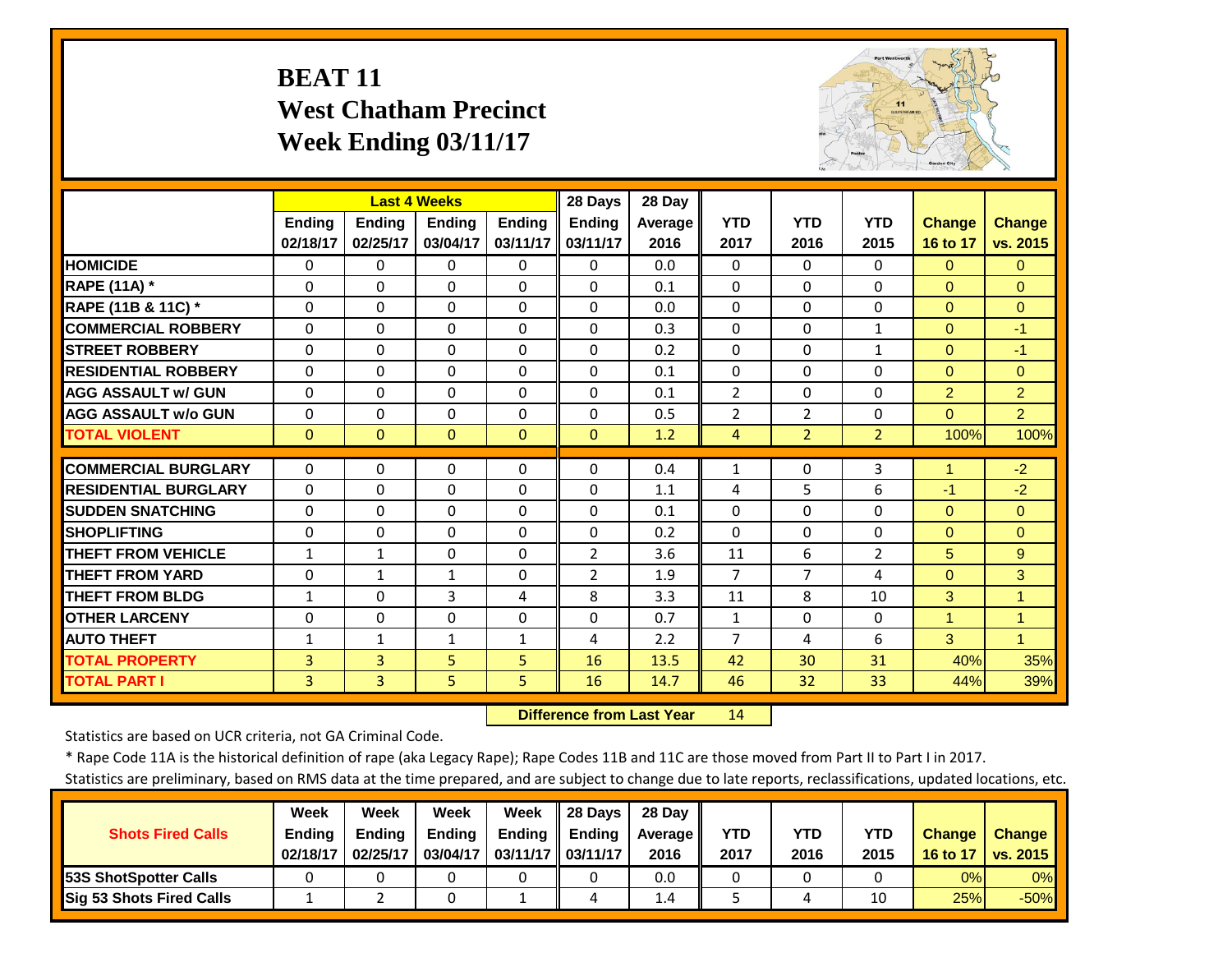# **BEAT 11 West Chatham Precinct Week Ending 03/11/17**



|                             |               |               | <b>Last 4 Weeks</b> |              | 28 Days        | 28 Day  |                |                |                |                |                      |
|-----------------------------|---------------|---------------|---------------------|--------------|----------------|---------|----------------|----------------|----------------|----------------|----------------------|
|                             | <b>Ending</b> | <b>Ending</b> | <b>Endina</b>       | Ending       | <b>Ending</b>  | Average | <b>YTD</b>     | <b>YTD</b>     | <b>YTD</b>     | <b>Change</b>  | <b>Change</b>        |
|                             | 02/18/17      | 02/25/17      | 03/04/17            | 03/11/17     | 03/11/17       | 2016    | 2017           | 2016           | 2015           | 16 to 17       | vs. 2015             |
| <b>HOMICIDE</b>             | $\Omega$      | $\Omega$      | $\mathbf 0$         | $\Omega$     | $\Omega$       | 0.0     | $\Omega$       | $\Omega$       | $\Omega$       | $\mathbf{0}$   | $\Omega$             |
| <b>RAPE (11A) *</b>         | $\Omega$      | $\Omega$      | $\Omega$            | $\Omega$     | $\Omega$       | 0.1     | $\Omega$       | $\Omega$       | $\Omega$       | $\Omega$       | $\Omega$             |
| RAPE (11B & 11C) *          | $\Omega$      | $\Omega$      | $\Omega$            | $\Omega$     | $\Omega$       | 0.0     | $\Omega$       | $\Omega$       | $\Omega$       | $\Omega$       | $\Omega$             |
| <b>COMMERCIAL ROBBERY</b>   | $\Omega$      | $\Omega$      | $\Omega$            | $\Omega$     | $\Omega$       | 0.3     | $\Omega$       | $\Omega$       | $\mathbf{1}$   | $\Omega$       | -1                   |
| <b>STREET ROBBERY</b>       | $\Omega$      | $\Omega$      | $\Omega$            | $\Omega$     | $\Omega$       | 0.2     | $\Omega$       | $\Omega$       | $\mathbf{1}$   | $\Omega$       | $-1$                 |
| <b>RESIDENTIAL ROBBERY</b>  | $\Omega$      | $\Omega$      | $\Omega$            | $\Omega$     | $\Omega$       | 0.1     | $\Omega$       | $\Omega$       | $\Omega$       | $\Omega$       | $\Omega$             |
| <b>AGG ASSAULT w/ GUN</b>   | $\Omega$      | 0             | $\Omega$            | 0            | $\Omega$       | 0.1     | $\overline{2}$ | $\Omega$       | 0              | $\overline{2}$ | $\overline{2}$       |
| <b>AGG ASSAULT w/o GUN</b>  | $\Omega$      | $\Omega$      | $\Omega$            | $\Omega$     | $\Omega$       | 0.5     | $\overline{2}$ | $\overline{2}$ | 0              | $\Omega$       | $\overline{2}$       |
| <b>TOTAL VIOLENT</b>        | $\mathbf{0}$  | $\Omega$      | $\Omega$            | $\Omega$     | $\Omega$       | 1.2     | 4              | $\overline{2}$ | $\overline{2}$ | 100%           | 100%                 |
| <b>COMMERCIAL BURGLARY</b>  | $\Omega$      | $\Omega$      | $\Omega$            | 0            | $\Omega$       | 0.4     | 1              | $\Omega$       | 3              | 1              | $-2$                 |
| <b>RESIDENTIAL BURGLARY</b> | $\Omega$      | $\Omega$      | $\mathbf 0$         | $\Omega$     | $\Omega$       | 1.1     | 4              | 5              | 6              | $-1$           | $-2$                 |
| <b>SUDDEN SNATCHING</b>     | 0             | $\Omega$      | 0                   | 0            | $\Omega$       | 0.1     | $\Omega$       | $\Omega$       | 0              | $\mathbf{0}$   | $\Omega$             |
| <b>SHOPLIFTING</b>          | 0             | 0             | $\Omega$            | $\Omega$     | $\Omega$       | 0.2     | $\Omega$       | $\Omega$       | 0              | $\Omega$       | $\Omega$             |
| <b>THEFT FROM VEHICLE</b>   | $\mathbf{1}$  | $\mathbf{1}$  | $\Omega$            | $\Omega$     | $\overline{2}$ | 3.6     | 11             | 6              | $\overline{2}$ | 5              | 9                    |
| <b>THEFT FROM YARD</b>      | 0             | 1             | 1                   | 0            | 2              | 1.9     | $\overline{7}$ | 7              | 4              | $\Omega$       | 3                    |
| <b>THEFT FROM BLDG</b>      | $\mathbf{1}$  | $\Omega$      | 3                   | 4            | 8              | 3.3     | 11             | 8              | 10             | 3              | 1                    |
| <b>OTHER LARCENY</b>        | $\Omega$      | $\Omega$      | $\Omega$            | $\Omega$     | $\Omega$       | 0.7     | $\mathbf{1}$   | $\Omega$       | $\Omega$       | $\overline{1}$ | $\overline{1}$       |
| <b>AUTO THEFT</b>           | $\mathbf{1}$  | $\mathbf{1}$  | 1                   | $\mathbf{1}$ | 4              | 2.2     | 7              | 4              | 6              | 3              | $\blacktriangleleft$ |
| <b>TOTAL PROPERTY</b>       |               |               |                     |              | 16             | 13.5    | 42             | 30             | 31             | 40%            | 35%                  |
|                             | 3             | 3             | 5                   | 5            |                |         |                |                |                |                |                      |
| <b>TOTAL PART I</b>         | 3             | 3             | 5                   | 5            | 16             | 14.7    | 46             | 32             | 33             | 44%            | 39%                  |

 **Difference from Last Year**r 14

Statistics are based on UCR criteria, not GA Criminal Code.

\* Rape Code 11A is the historical definition of rape (aka Legacy Rape); Rape Codes 11B and 11C are those moved from Part II to Part I in 2017.

|                                 | <b>Week</b>   | Week          | Week          | Week              | 28 Davs       | 28 Dav     |      |      |      |               |               |
|---------------------------------|---------------|---------------|---------------|-------------------|---------------|------------|------|------|------|---------------|---------------|
| <b>Shots Fired Calls</b>        | <b>Ending</b> | <b>Ending</b> | <b>Ending</b> | Ending            | <b>Ending</b> | Average II | YTD  | YTD  | YTD  | <b>Change</b> | <b>Change</b> |
|                                 | 02/18/17      | 02/25/17      | 03/04/17      | 03/11/17 03/11/17 |               | 2016       | 2017 | 2016 | 2015 | 16 to 17      | vs. 2015      |
| <b>153S ShotSpotter Calls</b>   |               |               |               |                   |               | 0.0        |      |      |      | 0%            | $0\%$         |
| <b>Sig 53 Shots Fired Calls</b> |               |               |               |                   | 4             | 1.4        |      |      |      | 25%           | $-50%$        |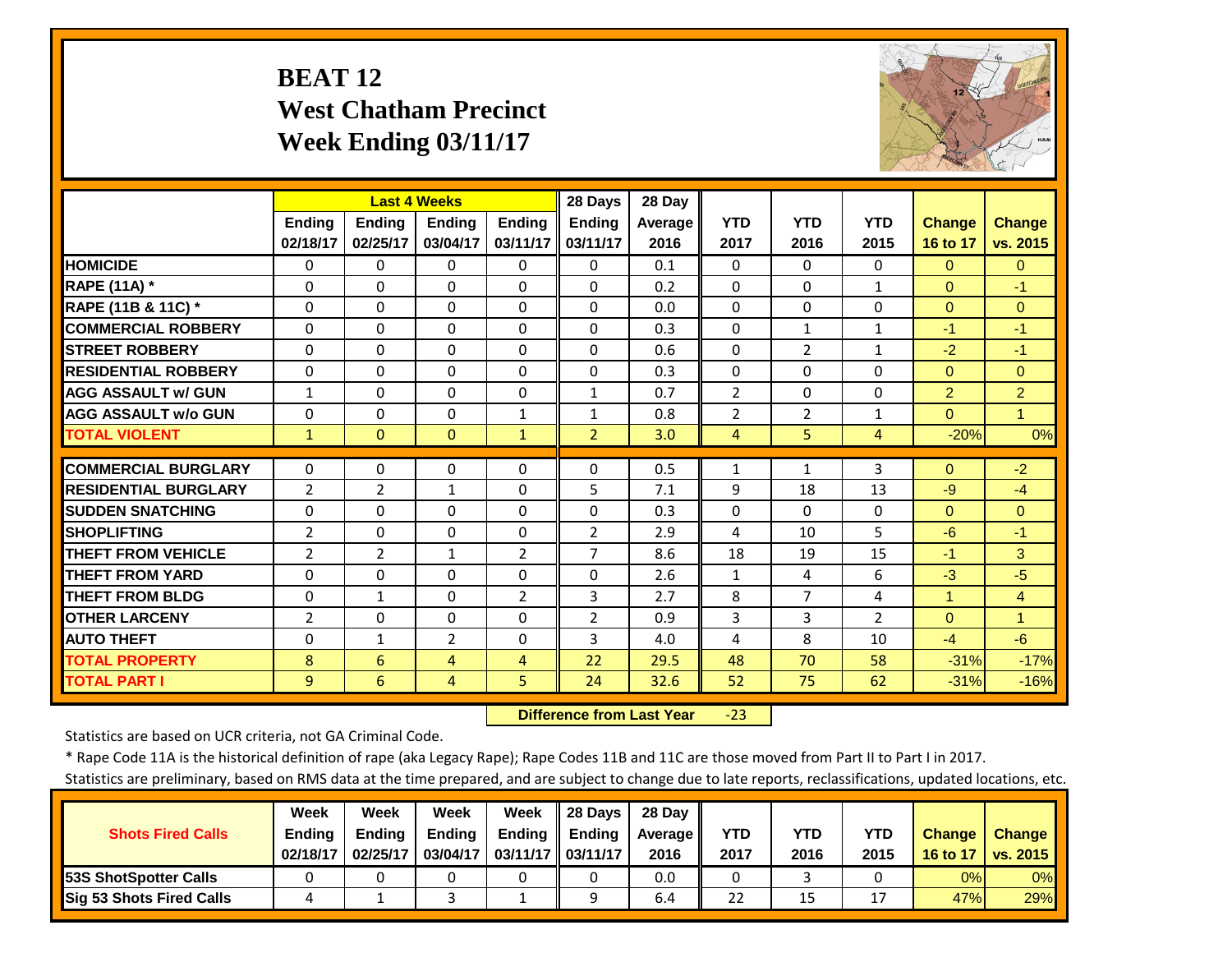# **BEAT 12 West Chatham Precinct Week Ending 03/11/17**



|                             |                | <b>Last 4 Weeks</b> |                |                | 28 Days        | 28 Day  |                |                |                |                      |                |
|-----------------------------|----------------|---------------------|----------------|----------------|----------------|---------|----------------|----------------|----------------|----------------------|----------------|
|                             | <b>Ending</b>  | <b>Ending</b>       | <b>Ending</b>  | Ending         | <b>Ending</b>  | Average | <b>YTD</b>     | <b>YTD</b>     | <b>YTD</b>     | <b>Change</b>        | <b>Change</b>  |
|                             | 02/18/17       | 02/25/17            | 03/04/17       | 03/11/17       | 03/11/17       | 2016    | 2017           | 2016           | 2015           | 16 to 17             | vs. 2015       |
| <b>HOMICIDE</b>             | $\mathbf{0}$   | 0                   | $\Omega$       | $\Omega$       | $\Omega$       | 0.1     | $\Omega$       | 0              | $\Omega$       | $\Omega$             | $\Omega$       |
| RAPE (11A) *                | $\Omega$       | 0                   | $\Omega$       | $\Omega$       | $\Omega$       | 0.2     | $\Omega$       | $\Omega$       | $\mathbf{1}$   | $\Omega$             | $-1$           |
| RAPE (11B & 11C) *          | $\Omega$       | $\Omega$            | $\Omega$       | $\Omega$       | $\Omega$       | 0.0     | $\Omega$       | $\Omega$       | $\Omega$       | $\Omega$             | $\Omega$       |
| <b>COMMERCIAL ROBBERY</b>   | $\Omega$       | $\Omega$            | $\Omega$       | $\Omega$       | $\Omega$       | 0.3     | $\Omega$       | $\mathbf{1}$   | $\mathbf{1}$   | $-1$                 | $-1$           |
| <b>STREET ROBBERY</b>       | $\Omega$       | $\Omega$            | $\Omega$       | $\Omega$       | $\Omega$       | 0.6     | $\Omega$       | $\overline{2}$ | $\mathbf{1}$   | $-2$                 | $-1$           |
| <b>RESIDENTIAL ROBBERY</b>  | $\Omega$       | 0                   | $\Omega$       | $\Omega$       | $\Omega$       | 0.3     | $\Omega$       | $\Omega$       | $\Omega$       | $\Omega$             | $\Omega$       |
| <b>AGG ASSAULT w/ GUN</b>   | $\mathbf{1}$   | 0                   | $\Omega$       | $\Omega$       | $\mathbf{1}$   | 0.7     | $\overline{2}$ | $\Omega$       | 0              | $\overline{2}$       | $\overline{2}$ |
| <b>AGG ASSAULT w/o GUN</b>  | $\Omega$       | 0                   | $\Omega$       | $\mathbf{1}$   | $\mathbf{1}$   | 0.8     | $\overline{2}$ | $\overline{2}$ | $\mathbf{1}$   | $\Omega$             | $\mathbf{1}$   |
| <b>TOTAL VIOLENT</b>        | $\mathbf{1}$   | $\Omega$            | $\Omega$       | $\mathbf{1}$   | $\overline{2}$ | 3.0     | 4              | 5.             | 4              | $-20%$               | 0%             |
| <b>COMMERCIAL BURGLARY</b>  | $\mathbf{0}$   |                     |                |                |                |         |                |                |                |                      |                |
|                             |                | 0                   | 0              | 0              | $\Omega$       | 0.5     | $\mathbf{1}$   | $\mathbf{1}$   | 3              | $\Omega$             | $-2$           |
| <b>RESIDENTIAL BURGLARY</b> | $\overline{2}$ | 2                   | 1              | $\Omega$       | 5              | 7.1     | 9              | 18             | 13             | $-9$                 | $-4$           |
| <b>SUDDEN SNATCHING</b>     | $\Omega$       | 0                   | $\Omega$       | $\Omega$       | $\Omega$       | 0.3     | $\Omega$       | 0              | $\Omega$       | $\Omega$             | $\Omega$       |
| <b>SHOPLIFTING</b>          | $\overline{2}$ | 0                   | $\Omega$       | $\Omega$       | 2              | 2.9     | 4              | 10             | 5              | $-6$                 | $-1$           |
| <b>THEFT FROM VEHICLE</b>   | $\overline{2}$ | $\overline{2}$      | $\mathbf{1}$   | 2              | $\overline{7}$ | 8.6     | 18             | 19             | 15             | -1                   | 3              |
| <b>THEFT FROM YARD</b>      | $\Omega$       | 0                   | $\Omega$       | $\Omega$       | $\Omega$       | 2.6     | $\mathbf{1}$   | 4              | 6              | $-3$                 | $-5$           |
| <b>THEFT FROM BLDG</b>      | $\Omega$       | 1                   | $\Omega$       | $\overline{2}$ | 3              | 2.7     | 8              | $\overline{7}$ | 4              | $\blacktriangleleft$ | $\overline{4}$ |
| <b>OTHER LARCENY</b>        | $\overline{2}$ | 0                   | $\Omega$       | $\Omega$       | $\overline{2}$ | 0.9     | 3              | 3              | $\overline{2}$ | $\Omega$             | $\mathbf{1}$   |
| <b>AUTO THEFT</b>           | $\Omega$       | $\mathbf{1}$        | $\overline{2}$ | $\Omega$       | 3              | 4.0     | 4              | 8              | 10             | $-4$                 | $-6$           |
| <b>TOTAL PROPERTY</b>       | 8              | 6                   | 4              | $\overline{4}$ | 22             | 29.5    | 48             | 70             | 58             | $-31%$               | $-17%$         |
| <b>TOTAL PART I</b>         | 9              | 6                   | $\overline{4}$ | 5              | 24             | 32.6    | 52             | 75             | 62             | $-31%$               | $-16%$         |

 **Difference from Last Year**‐23

Statistics are based on UCR criteria, not GA Criminal Code.

\* Rape Code 11A is the historical definition of rape (aka Legacy Rape); Rape Codes 11B and 11C are those moved from Part II to Part I in 2017.

|                                 | Week          | Week          | Week          | Week              | 28 Days       | 28 Dav     |      |      |      |               |               |
|---------------------------------|---------------|---------------|---------------|-------------------|---------------|------------|------|------|------|---------------|---------------|
| <b>Shots Fired Calls</b>        | <b>Ending</b> | <b>Ending</b> | <b>Ending</b> | <b>Ending</b>     | <b>Ending</b> | Average II | YTD  | YTD  | YTD  | <b>Change</b> | <b>Change</b> |
|                                 | 02/18/17      | 02/25/17      | 03/04/17      | 03/11/17 03/11/17 |               | 2016       | 2017 | 2016 | 2015 | 16 to 17      | vs. 2015      |
| <b>153S ShotSpotter Calls</b>   |               |               |               |                   |               | 0.0        |      |      |      | 0%            | $0\%$         |
| <b>Sig 53 Shots Fired Calls</b> |               |               |               |                   |               | 6.4        | 22   | 15   |      | 47%           | 29%           |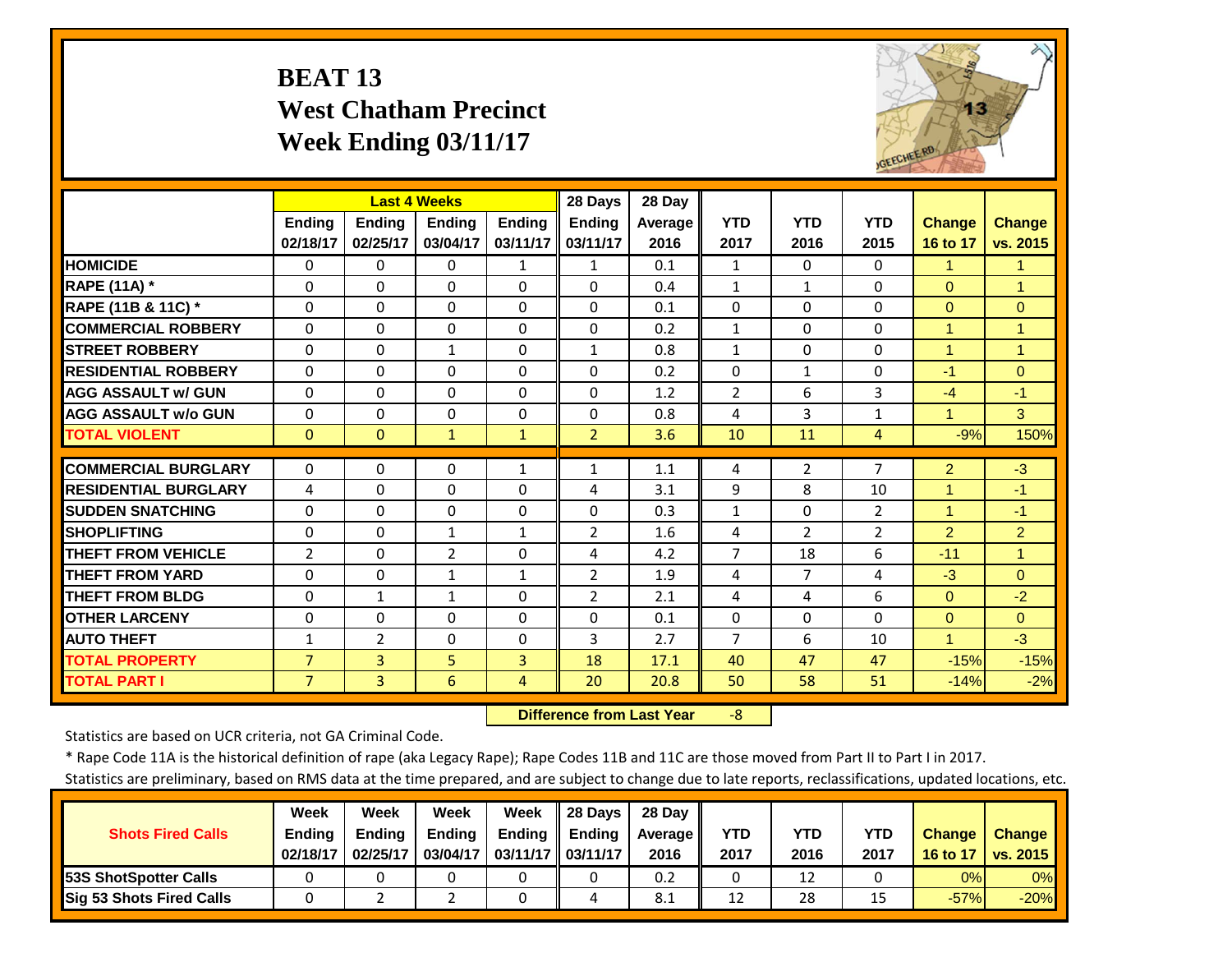# **BEAT 13 West Chatham Precinct Week Ending 03/11/17**



|                             |                | <b>Last 4 Weeks</b> |                |               | 28 Days        | 28 Day  |                |                |                |                |                |
|-----------------------------|----------------|---------------------|----------------|---------------|----------------|---------|----------------|----------------|----------------|----------------|----------------|
|                             | <b>Ending</b>  | <b>Endina</b>       | <b>Endina</b>  | <b>Ending</b> | <b>Ending</b>  | Average | <b>YTD</b>     | <b>YTD</b>     | <b>YTD</b>     | <b>Change</b>  | <b>Change</b>  |
|                             | 02/18/17       | 02/25/17            | 03/04/17       | 03/11/17      | 03/11/17       | 2016    | 2017           | 2016           | 2015           | 16 to 17       | vs. 2015       |
| <b>HOMICIDE</b>             | $\Omega$       | 0                   | $\Omega$       | $\mathbf{1}$  | $\mathbf{1}$   | 0.1     | $\mathbf{1}$   | $\Omega$       | $\Omega$       | $\mathbf{1}$   | $\mathbf{1}$   |
| <b>RAPE (11A) *</b>         | $\Omega$       | 0                   | 0              | $\Omega$      | $\Omega$       | 0.4     | $\mathbf{1}$   | $\mathbf{1}$   | $\Omega$       | $\mathbf{0}$   | 1              |
| RAPE (11B & 11C) *          | $\Omega$       | 0                   | $\Omega$       | $\Omega$      | $\Omega$       | 0.1     | $\Omega$       | $\Omega$       | $\Omega$       | $\Omega$       | $\Omega$       |
| <b>COMMERCIAL ROBBERY</b>   | $\Omega$       | 0                   | $\Omega$       | $\Omega$      | $\Omega$       | 0.2     | $\mathbf{1}$   | $\Omega$       | $\Omega$       | $\mathbf{1}$   | -1             |
| <b>STREET ROBBERY</b>       | $\Omega$       | 0                   | $\mathbf{1}$   | $\Omega$      | $\mathbf{1}$   | 0.8     | $\mathbf{1}$   | $\Omega$       | $\Omega$       | $\overline{1}$ | $\overline{1}$ |
| <b>RESIDENTIAL ROBBERY</b>  | $\Omega$       | 0                   | $\Omega$       | $\Omega$      | $\Omega$       | 0.2     | $\Omega$       | $\mathbf{1}$   | $\Omega$       | $-1$           | $\Omega$       |
| <b>AGG ASSAULT w/ GUN</b>   | $\Omega$       | 0                   | 0              | $\Omega$      | $\Omega$       | 1.2     | $\overline{2}$ | 6              | 3              | $-4$           | $-1$           |
| <b>AGG ASSAULT w/o GUN</b>  | $\Omega$       | 0                   | $\Omega$       | $\Omega$      | $\Omega$       | 0.8     | 4              | 3              | $\mathbf{1}$   |                | 3              |
| <b>TOTAL VIOLENT</b>        | $\mathbf{0}$   | $\Omega$            | $\mathbf{1}$   | $\mathbf{1}$  | $\overline{2}$ | 3.6     | 10             | 11             | 4              | $-9%$          | 150%           |
| <b>COMMERCIAL BURGLARY</b>  | $\Omega$       | 0                   | 0              | $\mathbf{1}$  | $\mathbf{1}$   | 1.1     | 4              | $\overline{2}$ | 7              | $\overline{2}$ | $-3$           |
| <b>RESIDENTIAL BURGLARY</b> |                |                     |                |               |                | 3.1     | 9              | 8              |                | 1              | $-1$           |
|                             | 4              | 0                   | $\Omega$       | $\Omega$      | 4              |         |                |                | 10             |                |                |
| <b>SUDDEN SNATCHING</b>     | $\Omega$       | 0                   | 0              | $\Omega$      | 0              | 0.3     | $\mathbf{1}$   | $\Omega$       | $\overline{2}$ |                | $-1$           |
| <b>SHOPLIFTING</b>          | $\Omega$       | 0                   | $\mathbf{1}$   | $\mathbf{1}$  | $\overline{2}$ | 1.6     | 4              | $\overline{2}$ | $\overline{2}$ | 2              | $\overline{2}$ |
| <b>THEFT FROM VEHICLE</b>   | $\overline{2}$ | 0                   | $\overline{2}$ | $\Omega$      | 4              | 4.2     | $\overline{7}$ | 18             | 6              | $-11$          | 1              |
| <b>THEFT FROM YARD</b>      | $\Omega$       | 0                   | $\mathbf{1}$   | $\mathbf{1}$  | $\overline{2}$ | 1.9     | 4              | $\overline{7}$ | 4              | $-3$           | $\Omega$       |
| <b>THEFT FROM BLDG</b>      | $\Omega$       | $\mathbf{1}$        | $\mathbf{1}$   | $\Omega$      | $\overline{2}$ | 2.1     | 4              | 4              | 6              | $\Omega$       | $-2$           |
| <b>OTHER LARCENY</b>        | $\Omega$       | 0                   | $\Omega$       | $\Omega$      | $\Omega$       | 0.1     | $\Omega$       | $\Omega$       | $\Omega$       | $\Omega$       | $\Omega$       |
| <b>AUTO THEFT</b>           | $\mathbf{1}$   | $\overline{2}$      | $\Omega$       | $\Omega$      | 3              | 2.7     | $\overline{7}$ | 6              | 10             | $\overline{1}$ | $-3$           |
| <b>TOTAL PROPERTY</b>       | $\overline{7}$ | 3                   | 5              | 3             | 18             | 17.1    | 40             | 47             | 47             | $-15%$         | $-15%$         |
| <b>TOTAL PART I</b>         | $\overline{7}$ | $\overline{3}$      | 6              | 4             | 20             | 20.8    | 50             | 58             | 51             | $-14%$         | $-2%$          |

 **Difference from Last Year** $-8$ 

Statistics are based on UCR criteria, not GA Criminal Code.

\* Rape Code 11A is the historical definition of rape (aka Legacy Rape); Rape Codes 11B and 11C are those moved from Part II to Part I in 2017.

|                                 | Week          | Week          | Week          | Week                | 28 Davs       | 28 Day     |            |      |            |               |                 |
|---------------------------------|---------------|---------------|---------------|---------------------|---------------|------------|------------|------|------------|---------------|-----------------|
| <b>Shots Fired Calls</b>        | <b>Ending</b> | <b>Ending</b> | <b>Ending</b> | Ending              | <b>Endina</b> | Average II | <b>YTD</b> | YTD  | <b>YTD</b> | <b>Change</b> | <b>Change</b>   |
|                                 | 02/18/17      | 02/25/17      | 03/04/17      | 03/11/17   03/11/17 |               | 2016       | 2017       | 2016 | 2017       | 16 to 17      | <b>vs. 2015</b> |
| <b>153S ShotSpotter Calls</b>   |               |               |               |                     |               | 0.2        |            | 12   |            | 0%            | $0\%$           |
| <b>Sig 53 Shots Fired Calls</b> |               |               |               |                     |               | 8.1        | 12         | 28   | 15         | $-57%$        | $-20%$          |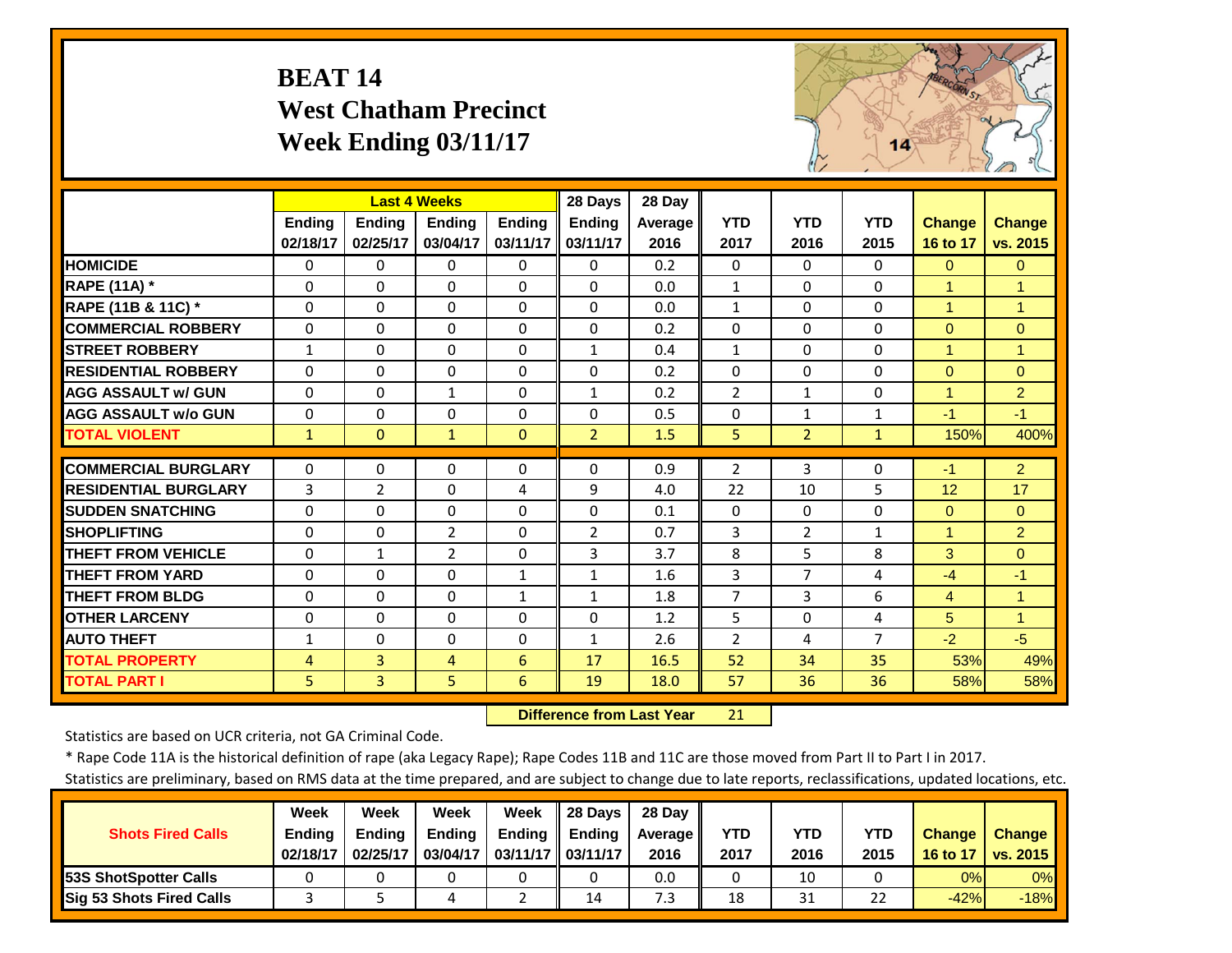# **BEAT 14 West Chatham Precinct Week Ending 03/11/17**



|                             |                |                | <b>Last 4 Weeks</b> |               | 28 Days        | 28 Day  |                |                |                |                |                      |
|-----------------------------|----------------|----------------|---------------------|---------------|----------------|---------|----------------|----------------|----------------|----------------|----------------------|
|                             | <b>Ending</b>  | <b>Endina</b>  | <b>Endina</b>       | <b>Ending</b> | <b>Ending</b>  | Average | <b>YTD</b>     | <b>YTD</b>     | <b>YTD</b>     | <b>Change</b>  | <b>Change</b>        |
|                             | 02/18/17       | 02/25/17       | 03/04/17            | 03/11/17      | 03/11/17       | 2016    | 2017           | 2016           | 2015           | 16 to 17       | vs. 2015             |
| <b>HOMICIDE</b>             | $\Omega$       | 0              | $\Omega$            | 0             | $\Omega$       | 0.2     | $\Omega$       | $\Omega$       | $\Omega$       | $\Omega$       | $\Omega$             |
| <b>RAPE (11A) *</b>         | $\Omega$       | 0              | $\Omega$            | $\Omega$      | $\Omega$       | 0.0     | $\mathbf{1}$   | $\Omega$       | $\Omega$       | $\overline{1}$ | 1                    |
| RAPE (11B & 11C) *          | $\Omega$       | 0              | $\Omega$            | $\Omega$      | $\Omega$       | 0.0     | $\mathbf{1}$   | $\Omega$       | $\Omega$       | $\mathbf{1}$   | $\overline{1}$       |
| <b>COMMERCIAL ROBBERY</b>   | $\Omega$       | 0              | $\Omega$            | $\Omega$      | $\Omega$       | 0.2     | $\Omega$       | $\Omega$       | $\Omega$       | $\Omega$       | $\Omega$             |
| <b>STREET ROBBERY</b>       | $\mathbf{1}$   | 0              | $\Omega$            | $\Omega$      | 1              | 0.4     | $\mathbf{1}$   | $\Omega$       | $\Omega$       | $\mathbf{1}$   | $\blacktriangleleft$ |
| <b>RESIDENTIAL ROBBERY</b>  | $\Omega$       | 0              | $\Omega$            | $\Omega$      | $\Omega$       | 0.2     | $\Omega$       | $\Omega$       | $\Omega$       | $\Omega$       | $\Omega$             |
| <b>AGG ASSAULT w/ GUN</b>   | $\Omega$       | 0              | $\mathbf{1}$        | $\Omega$      | $\mathbf{1}$   | 0.2     | $\overline{2}$ | $\mathbf{1}$   | $\Omega$       | 1              | $\overline{2}$       |
| <b>AGG ASSAULT w/o GUN</b>  | $\mathbf 0$    | 0              | $\Omega$            | $\Omega$      | $\Omega$       | 0.5     | $\Omega$       | $\mathbf{1}$   | $\mathbf{1}$   | $-1$           | $-1$                 |
| <b>TOTAL VIOLENT</b>        | $\mathbf{1}$   | $\overline{0}$ | $\mathbf{1}$        | $\Omega$      | $\overline{2}$ | 1.5     | 5              | $\overline{2}$ | $\mathbf{1}$   | 150%           | 400%                 |
| <b>COMMERCIAL BURGLARY</b>  | $\Omega$       | 0              | 0                   | 0             | $\Omega$       | 0.9     | $\overline{2}$ | 3              | 0              | $-1$           | $\overline{2}$       |
| <b>RESIDENTIAL BURGLARY</b> | 3              | $\overline{2}$ | 0                   | 4             | 9              | 4.0     | 22             | 10             | 5              | 12             | 17                   |
| <b>SUDDEN SNATCHING</b>     | 0              | 0              | 0                   | 0             | $\Omega$       | 0.1     | 0              | $\Omega$       | 0              | $\mathbf{0}$   | $\Omega$             |
| <b>SHOPLIFTING</b>          | $\Omega$       | 0              | $\overline{2}$      | $\Omega$      | $\overline{2}$ | 0.7     | 3              | $\overline{2}$ | $\mathbf{1}$   | 1              | $\overline{2}$       |
| <b>THEFT FROM VEHICLE</b>   | $\Omega$       | $\mathbf{1}$   | $\overline{2}$      | $\Omega$      | 3              | 3.7     | 8              | 5              | 8              | 3              | $\Omega$             |
| <b>THEFT FROM YARD</b>      | $\Omega$       | 0              | $\Omega$            | $\mathbf{1}$  | $\mathbf{1}$   | 1.6     | 3              | 7              | 4              | $-4$           | $-1$                 |
| <b>THEFT FROM BLDG</b>      | 0              | 0              | $\Omega$            | $\mathbf{1}$  | $\mathbf{1}$   | 1.8     | $\overline{7}$ | 3              | 6              | 4              | -1                   |
| <b>OTHER LARCENY</b>        | $\Omega$       | 0              | $\Omega$            | 0             | $\Omega$       | 1.2     | 5              | $\Omega$       | 4              | 5              | $\blacktriangleleft$ |
| <b>AUTO THEFT</b>           | $\mathbf{1}$   | 0              | $\Omega$            | $\Omega$      | $\mathbf{1}$   | 2.6     | 2              | 4              | $\overline{7}$ | $-2$           | $-5$                 |
| <b>TOTAL PROPERTY</b>       | 4              | 3              | 4                   | 6             | 17             | 16.5    | 52             | 34             | 35             | 53%            | 49%                  |
| <b>TOTAL PART I</b>         | 5 <sup>1</sup> | $\overline{3}$ | 5 <sup>1</sup>      | 6             | 19             | 18.0    | 57             | 36             | 36             | 58%            | 58%                  |

 **Difference from Last Year**21

Statistics are based on UCR criteria, not GA Criminal Code.

\* Rape Code 11A is the historical definition of rape (aka Legacy Rape); Rape Codes 11B and 11C are those moved from Part II to Part I in 2017.

|                               | Week          | Week          | Week     | Week              | 28 Days       | 28 Dav     |      |      |            |               |               |
|-------------------------------|---------------|---------------|----------|-------------------|---------------|------------|------|------|------------|---------------|---------------|
| <b>Shots Fired Calls</b>      | <b>Ending</b> | <b>Endina</b> | Ending   | <b>Ending</b>     | <b>Ending</b> | Average II | YTD  | YTD  | <b>YTD</b> | <b>Change</b> | <b>Change</b> |
|                               | 02/18/17      | 02/25/17      | 03/04/17 | 03/11/17 03/11/17 |               | 2016       | 2017 | 2016 | 2015       | 16 to 17      | vs. 2015      |
| <b>153S ShotSpotter Calls</b> |               |               |          |                   |               | 0.0        |      | 10   |            | 0%            | 0%            |
| Sig 53 Shots Fired Calls      |               |               |          |                   | 14            | 7.3        | 18   | 31   | 22         | $-42%$        | $-18%$        |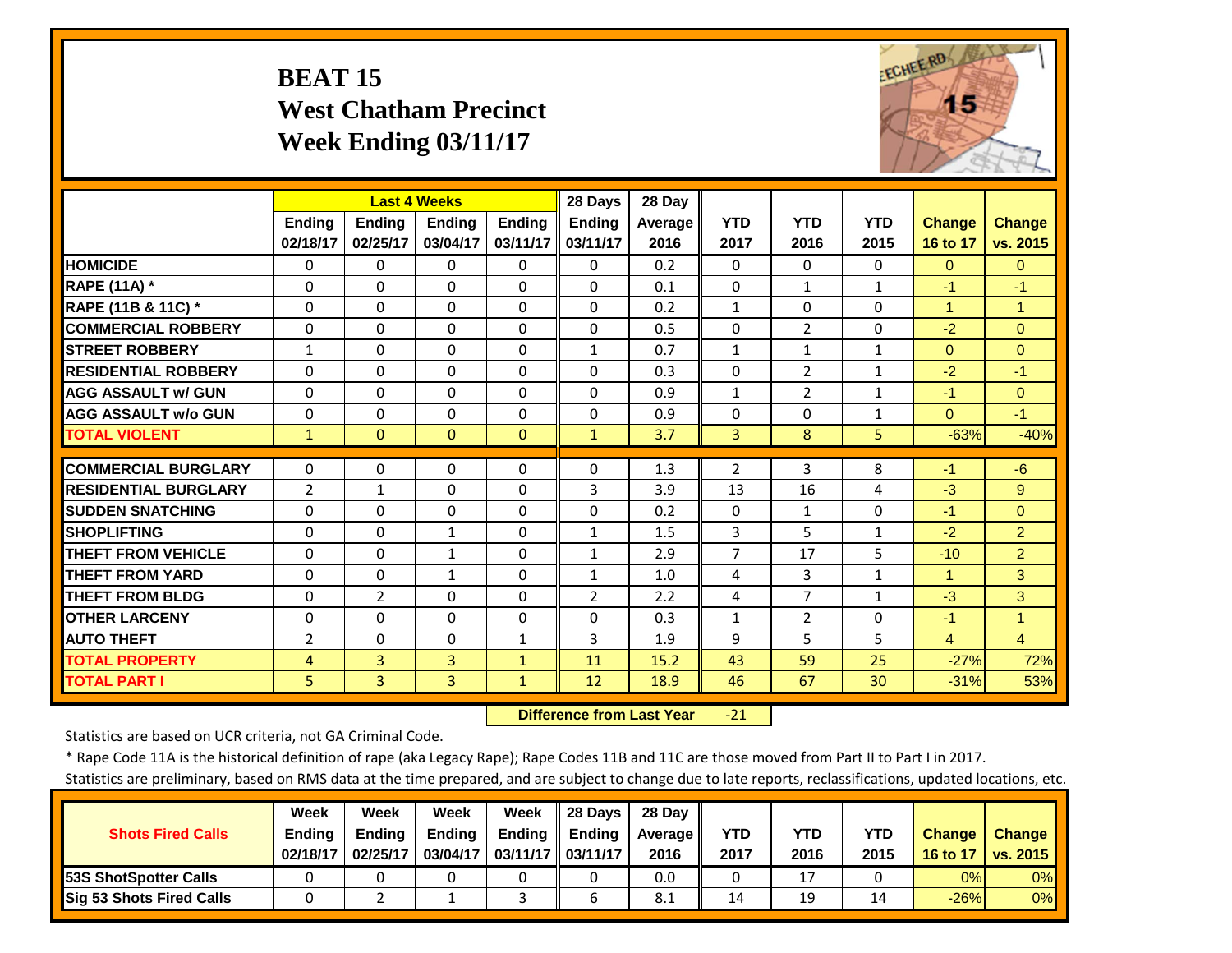# **BEAT 15 West Chatham Precinct Week Ending 03/11/17**



|                             |                      | <b>Last 4 Weeks</b> |                   |               | 28 Days                      | 28 Day     |                |                |                              |                |                                  |
|-----------------------------|----------------------|---------------------|-------------------|---------------|------------------------------|------------|----------------|----------------|------------------------------|----------------|----------------------------------|
|                             | <b>Ending</b>        | <b>Ending</b>       | <b>Endina</b>     | <b>Endina</b> | <b>Ending</b>                | Average    | <b>YTD</b>     | <b>YTD</b>     | <b>YTD</b>                   | <b>Change</b>  | <b>Change</b>                    |
|                             | 02/18/17             | 02/25/17            | 03/04/17          | 03/11/17      | 03/11/17                     | 2016       | 2017           | 2016           | 2015                         | 16 to 17       | vs. 2015                         |
| <b>HOMICIDE</b>             | $\Omega$             | 0                   | $\Omega$          | 0             | $\Omega$                     | 0.2        | 0              | 0              | 0                            | $\mathbf{0}$   | $\Omega$                         |
| <b>RAPE (11A) *</b>         | $\Omega$             | 0                   | $\Omega$          | $\Omega$      | $\Omega$                     | 0.1        | $\mathbf{0}$   | $\mathbf{1}$   | $\mathbf{1}$                 | $-1$           | $-1$                             |
| RAPE (11B & 11C) *          | $\Omega$             | $\Omega$            | $\Omega$          | $\Omega$      | $\Omega$                     | 0.2        | $\mathbf{1}$   | $\Omega$       | $\Omega$                     | $\overline{1}$ | $\overline{1}$                   |
| <b>COMMERCIAL ROBBERY</b>   | $\Omega$             | 0                   | 0                 | $\Omega$      | 0                            | 0.5        | $\Omega$       | $\overline{2}$ | $\Omega$                     | $-2$           | $\Omega$                         |
| <b>STREET ROBBERY</b>       | $\mathbf{1}$         | 0                   | $\Omega$          | $\Omega$      | $\mathbf{1}$                 | 0.7        | $\mathbf{1}$   | $\mathbf{1}$   | $\mathbf{1}$                 | $\Omega$       | $\Omega$                         |
| <b>RESIDENTIAL ROBBERY</b>  | $\Omega$             | 0                   | $\Omega$          | $\Omega$      | $\Omega$                     | 0.3        | $\Omega$       | $\overline{2}$ | $\mathbf{1}$                 | $-2$           | $-1$                             |
| <b>AGG ASSAULT w/ GUN</b>   | $\Omega$             | 0                   | $\mathbf 0$       | $\Omega$      | $\Omega$                     | 0.9        | $\mathbf{1}$   | $\overline{2}$ | $\mathbf{1}$                 | $-1$           | $\Omega$                         |
| <b>AGG ASSAULT w/o GUN</b>  | $\Omega$             | 0                   | $\Omega$          | $\Omega$      | $\Omega$                     | 0.9        | $\Omega$       | $\Omega$       | $\mathbf{1}$                 | $\Omega$       | $-1$                             |
| <b>TOTAL VIOLENT</b>        | $\mathbf{1}$         | $\overline{0}$      | $\Omega$          | $\Omega$      | $\mathbf{1}$                 | 3.7        | 3              | 8              | 5                            | $-63%$         | $-40%$                           |
| <b>COMMERCIAL BURGLARY</b>  | $\Omega$             | 0                   | $\Omega$          | 0             | $\Omega$                     | 1.3        | $\overline{2}$ | 3              | 8                            | $-1$           | $-6$                             |
| <b>RESIDENTIAL BURGLARY</b> | $\overline{2}$       | $\mathbf{1}$        | $\mathbf 0$       | $\Omega$      | 3                            | 3.9        | 13             | 16             | 4                            | $-3$           | 9                                |
| <b>SUDDEN SNATCHING</b>     | $\Omega$             | 0                   | $\Omega$          | $\Omega$      | $\Omega$                     | 0.2        | $\mathbf{0}$   | $\mathbf{1}$   | $\Omega$                     | $-1$           | $\Omega$                         |
| <b>SHOPLIFTING</b>          | $\Omega$             | 0                   |                   | $\Omega$      |                              |            | 3              |                |                              | $-2$           |                                  |
| <b>THEFT FROM VEHICLE</b>   | $\Omega$             | 0                   | 1<br>$\mathbf{1}$ | $\Omega$      | $\mathbf{1}$<br>$\mathbf{1}$ | 1.5<br>2.9 | $\overline{7}$ | 5<br>17        | 1<br>5                       | $-10$          | $\overline{2}$<br>$\overline{2}$ |
| <b>THEFT FROM YARD</b>      |                      |                     |                   | $\Omega$      |                              | 1.0        |                |                |                              |                | 3                                |
|                             | $\Omega$<br>$\Omega$ | 0<br>$\overline{2}$ | 1<br>$\Omega$     | $\Omega$      | $\mathbf{1}$                 | 2.2        | 4<br>4         | 3<br>7         | $\mathbf{1}$<br>$\mathbf{1}$ | 1<br>$-3$      | 3                                |
| <b>THEFT FROM BLDG</b>      |                      |                     |                   |               | $\overline{2}$               |            |                |                |                              |                |                                  |
| <b>OTHER LARCENY</b>        | $\Omega$             | 0                   | $\Omega$          | $\Omega$      | $\Omega$                     | 0.3        | $\mathbf{1}$   | $\overline{2}$ | $\Omega$                     | $-1$           | $\overline{1}$                   |
| <b>AUTO THEFT</b>           | $\overline{2}$       | 0                   | $\Omega$          | $\mathbf{1}$  | 3                            | 1.9        | 9              | 5              | 5                            | $\overline{4}$ | $\overline{4}$                   |
| <b>TOTAL PROPERTY</b>       | 4                    | $\overline{3}$      | 3                 | $\mathbf{1}$  | 11                           | 15.2       | 43             | 59             | 25                           | $-27%$         | 72%                              |
| <b>TOTAL PART I</b>         | 5                    | $\overline{3}$      | 3                 | $\mathbf{1}$  | 12                           | 18.9       | 46             | 67             | 30                           | $-31%$         | 53%                              |

 **Difference from Last Year**‐21

Statistics are based on UCR criteria, not GA Criminal Code.

\* Rape Code 11A is the historical definition of rape (aka Legacy Rape); Rape Codes 11B and 11C are those moved from Part II to Part I in 2017.

|                                 | <b>Week</b>   | Week          | Week          | Week              | <b>28 Davs</b> | 28 Dav     |      |      |      |               |               |
|---------------------------------|---------------|---------------|---------------|-------------------|----------------|------------|------|------|------|---------------|---------------|
| <b>Shots Fired Calls</b>        | <b>Ending</b> | <b>Ending</b> | <b>Ending</b> | <b>Ending</b>     | <b>Ending</b>  | Average II | YTD  | YTD  | YTD  | <b>Change</b> | <b>Change</b> |
|                                 | 02/18/17      | 02/25/17      | 03/04/17      | 03/11/17 03/11/17 |                | 2016       | 2017 | 2016 | 2015 | 16 to 17      | vs. 2015      |
| <b>153S ShotSpotter Calls</b>   |               |               |               |                   |                | 0.0        |      | 17   |      | 0%            | $0\%$         |
| <b>Sig 53 Shots Fired Calls</b> |               |               |               |                   |                | 8.1        | 14   | 19   |      | $-26%$        | $0\%$         |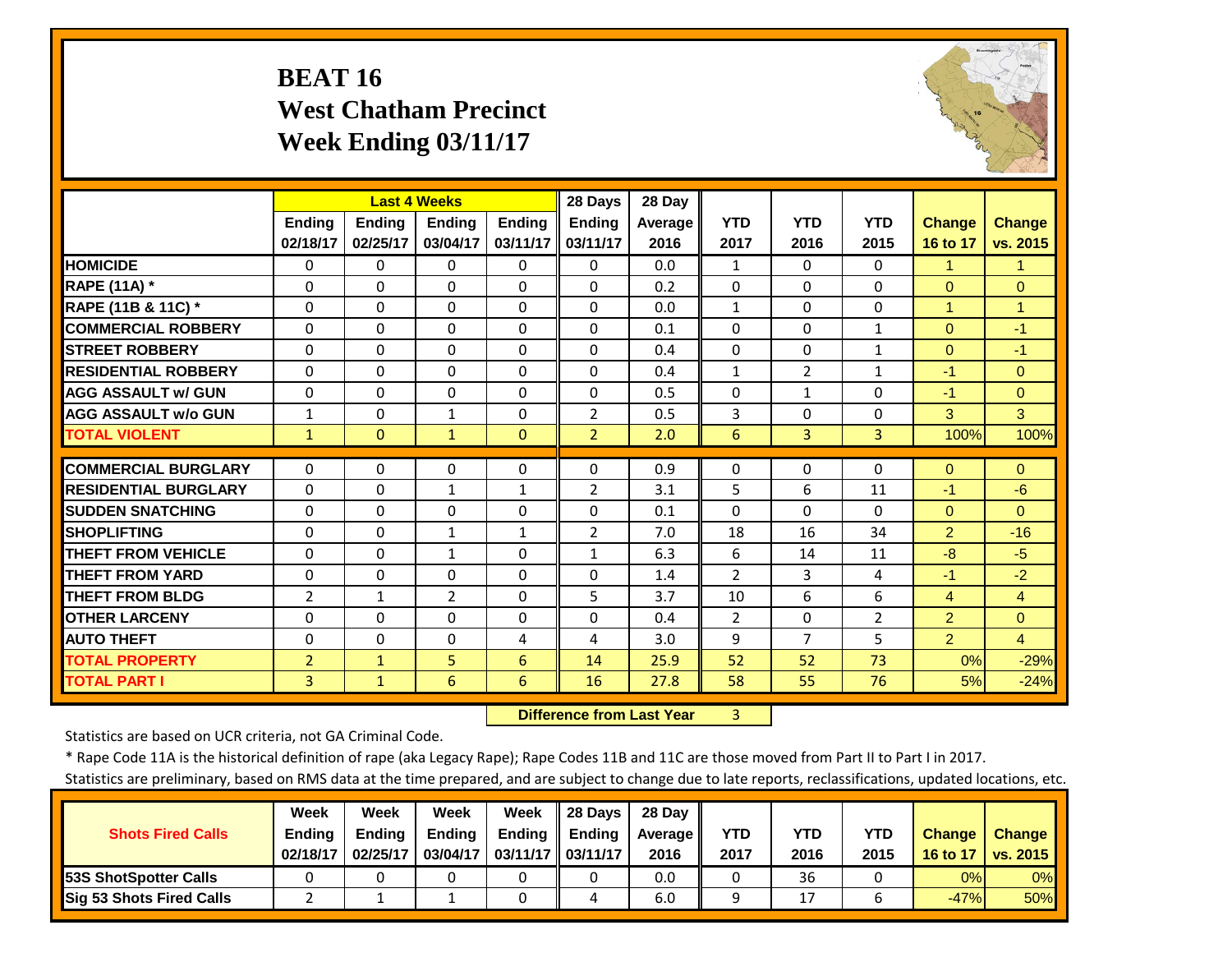# **BEAT 16 West Chatham Precinct Week Ending 03/11/17**



|                             |                | <b>Last 4 Weeks</b> |                |               | 28 Days        | 28 Day  |                 |                |                |                |                      |
|-----------------------------|----------------|---------------------|----------------|---------------|----------------|---------|-----------------|----------------|----------------|----------------|----------------------|
|                             | <b>Ending</b>  | <b>Endina</b>       | <b>Endina</b>  | <b>Endina</b> | <b>Ending</b>  | Average | <b>YTD</b>      | <b>YTD</b>     | <b>YTD</b>     | <b>Change</b>  | <b>Change</b>        |
|                             | 02/18/17       | 02/25/17            | 03/04/17       | 03/11/17      | 03/11/17       | 2016    | 2017            | 2016           | 2015           | 16 to 17       | vs. 2015             |
| <b>HOMICIDE</b>             | $\Omega$       | $\Omega$            | $\Omega$       | $\Omega$      | $\Omega$       | 0.0     | $\mathbf{1}$    | $\Omega$       | $\Omega$       | 1              | $\blacktriangleleft$ |
| <b>RAPE (11A) *</b>         | $\Omega$       | $\Omega$            | $\Omega$       | $\Omega$      | $\Omega$       | 0.2     | $\Omega$        | $\Omega$       | $\Omega$       | $\Omega$       | $\Omega$             |
| RAPE (11B & 11C) *          | $\Omega$       | $\Omega$            | $\Omega$       | $\Omega$      | $\Omega$       | 0.0     | $\mathbf{1}$    | $\Omega$       | $\Omega$       | $\overline{1}$ | $\overline{1}$       |
| <b>COMMERCIAL ROBBERY</b>   | $\Omega$       | $\Omega$            | $\Omega$       | $\Omega$      | $\Omega$       | 0.1     | $\Omega$        | $\Omega$       | $\mathbf{1}$   | $\Omega$       | $-1$                 |
| <b>STREET ROBBERY</b>       | 0              | 0                   | $\mathbf 0$    | $\Omega$      | $\Omega$       | 0.4     | $\Omega$        | $\Omega$       | $\mathbf{1}$   | $\mathbf{0}$   | $-1$                 |
| <b>RESIDENTIAL ROBBERY</b>  | $\Omega$       | $\Omega$            | 0              | 0             | $\Omega$       | 0.4     | $\mathbf{1}$    | $\overline{2}$ | $\mathbf{1}$   | $-1$           | $\Omega$             |
| <b>AGG ASSAULT w/ GUN</b>   | $\Omega$       | 0                   | $\Omega$       | $\Omega$      | $\Omega$       | 0.5     | $\Omega$        | $\mathbf{1}$   | 0              | $-1$           | $\Omega$             |
| <b>AGG ASSAULT w/o GUN</b>  | $\mathbf{1}$   | 0                   | $\mathbf{1}$   | 0             | $\overline{2}$ | 0.5     | 3               | $\Omega$       | 0              | 3              | 3                    |
| <b>TOTAL VIOLENT</b>        | $\mathbf{1}$   | $\Omega$            | 1              | $\Omega$      | $\overline{2}$ | 2.0     | $6\phantom{1}6$ | $\overline{3}$ | 3              | 100%           | 100%                 |
| <b>COMMERCIAL BURGLARY</b>  | $\Omega$       | $\Omega$            | $\Omega$       |               | $\Omega$       | 0.9     | $\Omega$        | $\Omega$       | $\Omega$       |                | $\Omega$             |
|                             |                |                     |                | 0             |                |         |                 |                |                | $\mathbf{0}$   |                      |
| <b>RESIDENTIAL BURGLARY</b> | $\Omega$       | 0                   | 1              | 1             | $\overline{2}$ | 3.1     | 5               | 6              | 11             | $-1$           | $-6$                 |
| <b>SUDDEN SNATCHING</b>     | $\Omega$       | $\Omega$            | $\Omega$       | $\Omega$      | $\Omega$       | 0.1     | $\Omega$        | $\Omega$       | $\Omega$       | $\mathbf{0}$   | $\Omega$             |
| <b>SHOPLIFTING</b>          | $\Omega$       | $\Omega$            | $\mathbf{1}$   | $\mathbf{1}$  | $\overline{2}$ | 7.0     | 18              | 16             | 34             | 2              | $-16$                |
| <b>THEFT FROM VEHICLE</b>   | $\Omega$       | 0                   | $\mathbf{1}$   | 0             | $\mathbf{1}$   | 6.3     | 6               | 14             | 11             | -8             | $-5$                 |
| <b>THEFT FROM YARD</b>      | $\Omega$       | $\Omega$            | $\Omega$       | 0             | $\Omega$       | 1.4     | $\overline{2}$  | 3              | 4              | $-1$           | $-2$                 |
| <b>THEFT FROM BLDG</b>      | $\overline{2}$ | $\mathbf{1}$        | $\overline{2}$ | $\Omega$      | 5              | 3.7     | 10              | 6              | 6              | $\overline{4}$ | $\overline{4}$       |
| <b>OTHER LARCENY</b>        | $\Omega$       | $\Omega$            | $\Omega$       | $\Omega$      | $\Omega$       | 0.4     | $\overline{2}$  | $\Omega$       | $\overline{2}$ | $\overline{2}$ | $\Omega$             |
| <b>AUTO THEFT</b>           | 0              | $\Omega$            | $\Omega$       | 4             | 4              | 3.0     | 9               | $\overline{7}$ | 5              | $\overline{2}$ | $\overline{4}$       |
| <b>TOTAL PROPERTY</b>       | $\overline{2}$ | $\mathbf{1}$        | 5.             | 6             | 14             | 25.9    | 52              | 52             | 73             | 0%             | $-29%$               |
| <b>TOTAL PART I</b>         | 3              | $\mathbf{1}$        | 6              | 6             | 16             | 27.8    | 58              | 55             | 76             | 5%             | $-24%$               |

 **Difference from Last Year**3

Statistics are based on UCR criteria, not GA Criminal Code.

\* Rape Code 11A is the historical definition of rape (aka Legacy Rape); Rape Codes 11B and 11C are those moved from Part II to Part I in 2017.

|                                 | Week          | Week          | Week          | Week              | 28 Davs       | 28 Dav     |      |      |      |               |               |
|---------------------------------|---------------|---------------|---------------|-------------------|---------------|------------|------|------|------|---------------|---------------|
| <b>Shots Fired Calls</b>        | <b>Ending</b> | <b>Ending</b> | <b>Ending</b> | <b>Ending</b>     | <b>Ending</b> | Average II | YTD  | YTD  | YTD  | <b>Change</b> | <b>Change</b> |
|                                 | 02/18/17      | 02/25/17      | 03/04/17      | 03/11/17 03/11/17 |               | 2016       | 2017 | 2016 | 2015 | 16 to 17      | vs. 2015      |
| <b>153S ShotSpotter Calls</b>   |               |               |               |                   |               | 0.0        |      | 36   |      | 0%            | $0\%$         |
| <b>Sig 53 Shots Fired Calls</b> |               |               |               |                   |               | 6.0        |      |      |      | $-47%$        | 50%           |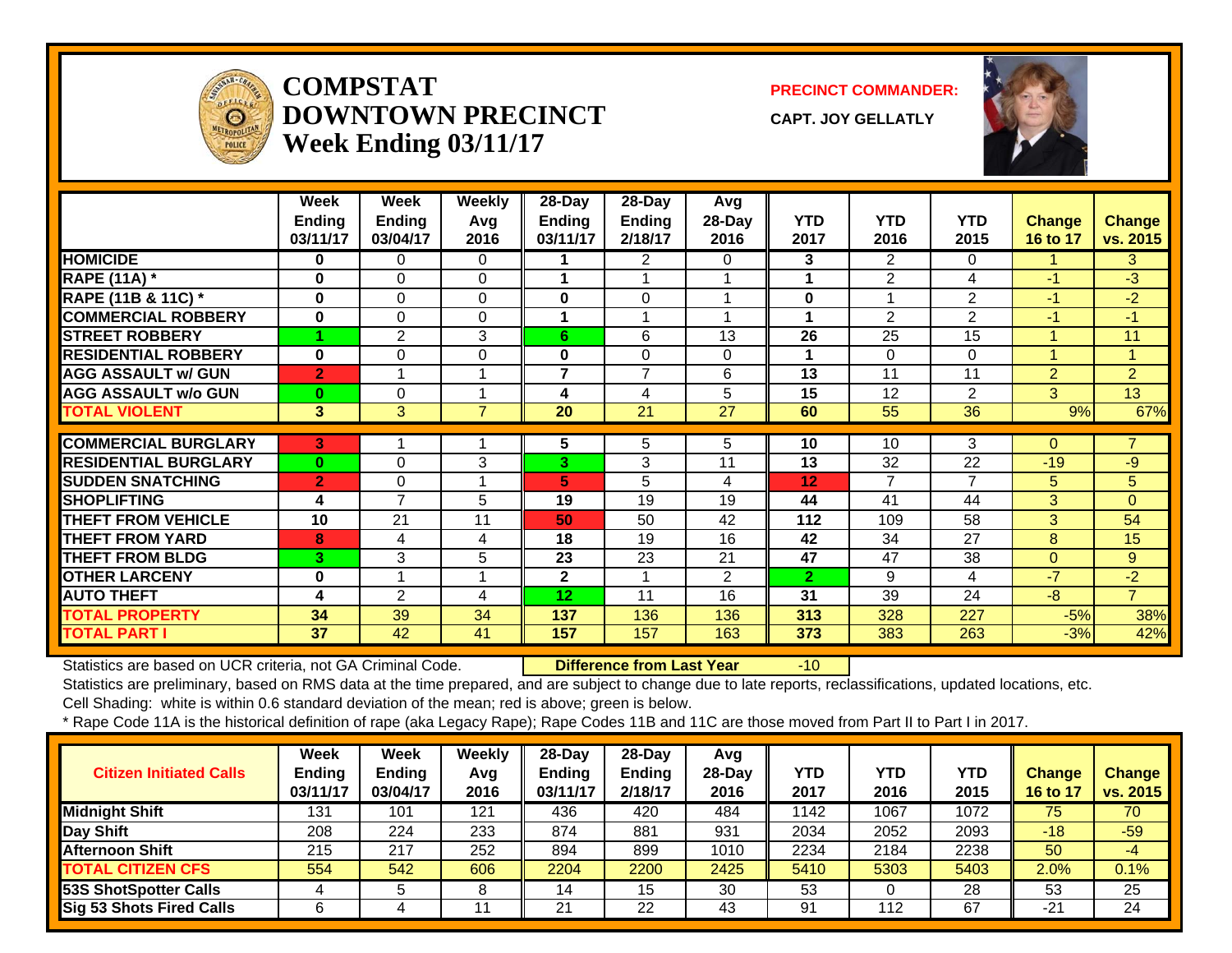

#### **COMPSTATDOWNTOWN PRECINCTWeek Ending 03/11/17**

**PRECINCT COMMANDER:**

**CAPT. JOY GELLATLY**



|                             | Week<br><b>Ending</b><br>03/11/17 | Week<br><b>Ending</b><br>03/04/17 | <b>Weekly</b><br>Avg<br>2016 | 28-Day<br>Ending<br>03/11/17 | $28$ -Day<br><b>Ending</b><br>2/18/17 | Avg<br>28-Day<br>2016 | <b>YTD</b><br>2017 | <b>YTD</b><br>2016 | <b>YTD</b><br>2015   | <b>Change</b><br>16 to 17 | <b>Change</b><br>vs. 2015 |
|-----------------------------|-----------------------------------|-----------------------------------|------------------------------|------------------------------|---------------------------------------|-----------------------|--------------------|--------------------|----------------------|---------------------------|---------------------------|
| <b>HOMICIDE</b>             | 0                                 | $\Omega$                          | $\Omega$                     |                              | $\overline{2}$                        | 0                     | 3                  | $\overline{2}$     | $\Omega$             |                           | 3                         |
| <b>RAPE (11A)</b> *         | $\bf{0}$                          | 0                                 | 0                            | 4                            | 1                                     |                       | 1                  | $\overline{2}$     | 4                    | $-1$                      | $-3$                      |
| RAPE (11B & 11C) *          | $\bf{0}$                          | $\Omega$                          | $\Omega$                     | $\bf{0}$                     | $\Omega$                              |                       | $\bf{0}$           |                    | $\overline{2}$       | $-1$                      | $-2$                      |
| <b>COMMERCIAL ROBBERY</b>   | $\bf{0}$                          | $\Omega$                          | $\Omega$                     | 1                            | 1                                     |                       | 1                  | $\overline{2}$     | $\overline{2}$       | $-1$                      | $-1$                      |
| <b>STREET ROBBERY</b>       |                                   | $\overline{2}$                    | 3                            | 6                            | 6                                     | 13                    | 26                 | 25                 | 15                   |                           | 11                        |
| <b>RESIDENTIAL ROBBERY</b>  | $\bf{0}$                          | $\Omega$                          | $\Omega$                     | $\bf{0}$                     | $\Omega$                              | 0                     | 1                  | 0                  | $\Omega$             | 1                         | 1                         |
| <b>AGG ASSAULT w/ GUN</b>   | $\overline{2}$                    |                                   |                              | 7                            | $\overline{7}$                        | 6                     | 13                 | 11                 | 11                   | $\overline{2}$            | $\overline{2}$            |
| <b>AGG ASSAULT w/o GUN</b>  | $\bf{0}$                          | 0                                 |                              | 4                            | 4                                     | 5                     | 15                 | 12                 | $\overline{2}$       | 3                         | 13                        |
| <b>TOTAL VIOLENT</b>        | $\overline{\mathbf{3}}$           | 3                                 | $\overline{7}$               | 20                           | 21                                    | 27                    | 60                 | 55                 | 36                   | 9%                        | 67%                       |
| <b>COMMERCIAL BURGLARY</b>  |                                   |                                   |                              |                              |                                       |                       |                    |                    | 3                    | 0                         |                           |
|                             | 3                                 |                                   |                              | 5.                           | 5                                     | 5                     | 10                 | 10                 |                      |                           |                           |
| <b>RESIDENTIAL BURGLARY</b> | $\bf{0}$                          | $\Omega$                          | 3                            | 3                            | 3                                     | 11                    | 13                 | 32<br>7            | 22<br>$\overline{7}$ | $-19$                     | $-9$                      |
| <b>SUDDEN SNATCHING</b>     | $\overline{2}$                    | 0                                 |                              | 5                            | 5                                     | 4                     | 12                 |                    |                      | 5                         | 5                         |
| <b>ISHOPLIFTING</b>         | 4                                 | $\overline{7}$                    | 5                            | 19                           | 19                                    | 19                    | 44                 | 41                 | 44                   | 3                         | $\Omega$                  |
| <b>THEFT FROM VEHICLE</b>   | 10                                | 21                                | 11                           | 50                           | 50                                    | 42                    | 112                | 109                | 58                   | 3                         | 54                        |
| <b>THEFT FROM YARD</b>      | 8                                 | 4                                 | 4                            | 18                           | 19                                    | 16                    | 42                 | 34                 | 27                   | 8                         | 15                        |
| <b>THEFT FROM BLDG</b>      | 3                                 | 3                                 | 5                            | 23                           | 23                                    | 21                    | 47                 | 47                 | 38                   | $\overline{0}$            | 9                         |
| <b>OTHER LARCENY</b>        | 0                                 |                                   |                              | $\mathbf{2}$                 | 1                                     | $\overline{2}$        | $\overline{2}$     | 9                  | 4                    | $-7$                      | $-2$                      |
| <b>AUTO THEFT</b>           | 4                                 | $\overline{2}$                    | 4                            | 12                           | 11                                    | 16                    | 31                 | 39                 | 24                   | $-8$                      | $\overline{7}$            |
| <b>TOTAL PROPERTY</b>       | 34                                | 39                                | 34                           | 137                          | 136                                   | 136                   | 313                | 328                | 227                  | $-5%$                     | 38%                       |
| <b>TOTAL PART I</b>         | 37                                | 42                                | 41                           | 157                          | 157                                   | 163                   | 373                | 383                | 263                  | $-3%$                     | 42%                       |

Statistics are based on UCR criteria, not GA Criminal Code. **Difference from Last Year** -10

Statistics are preliminary, based on RMS data at the time prepared, and are subject to change due to late reports, reclassifications, updated locations, etc.

Cell Shading: white is within 0.6 standard deviation of the mean; red is above; green is below.

| <b>Citizen Initiated Calls</b>  | Week<br><b>Ending</b><br>03/11/17 | <b>Week</b><br><b>Ending</b><br>03/04/17 | Weekly<br>Avg<br>2016 | $28$ -Day<br><b>Ending</b><br>03/11/17 | $28-Dav$<br><b>Ending</b><br>2/18/17 | Avg<br>$28$ -Day<br>2016 | <b>YTD</b><br>2017 | <b>YTD</b><br>2016 | YTD<br>2015 | Change<br>16 to 17 | <b>Change</b><br>vs. 2015 |
|---------------------------------|-----------------------------------|------------------------------------------|-----------------------|----------------------------------------|--------------------------------------|--------------------------|--------------------|--------------------|-------------|--------------------|---------------------------|
| <b>Midnight Shift</b>           | 131                               | 101                                      | 121                   | 436                                    | 420                                  | 484                      | 1142               | 1067               | 1072        | 75                 | 70                        |
| Day Shift                       | 208                               | 224                                      | 233                   | 874                                    | 881                                  | 931                      | 2034               | 2052               | 2093        | $-18$              | $-59$                     |
| <b>Afternoon Shift</b>          | 215                               | 217                                      | 252                   | 894                                    | 899                                  | 1010                     | 2234               | 2184               | 2238        | 50                 | $-4$                      |
| <b>TOTAL CITIZEN CFS</b>        | 554                               | 542                                      | 606                   | 2204                                   | 2200                                 | 2425                     | 5410               | 5303               | 5403        | 2.0%               | 0.1%                      |
| 53S ShotSpotter Calls           | 4                                 |                                          | 8                     | 14                                     | 15                                   | 30                       | 53                 |                    | 28          | 53                 | 25                        |
| <b>Sig 53 Shots Fired Calls</b> |                                   |                                          |                       | つ1                                     | 22                                   | 43                       | 91                 | 112                | 67          | $-21$              | 24                        |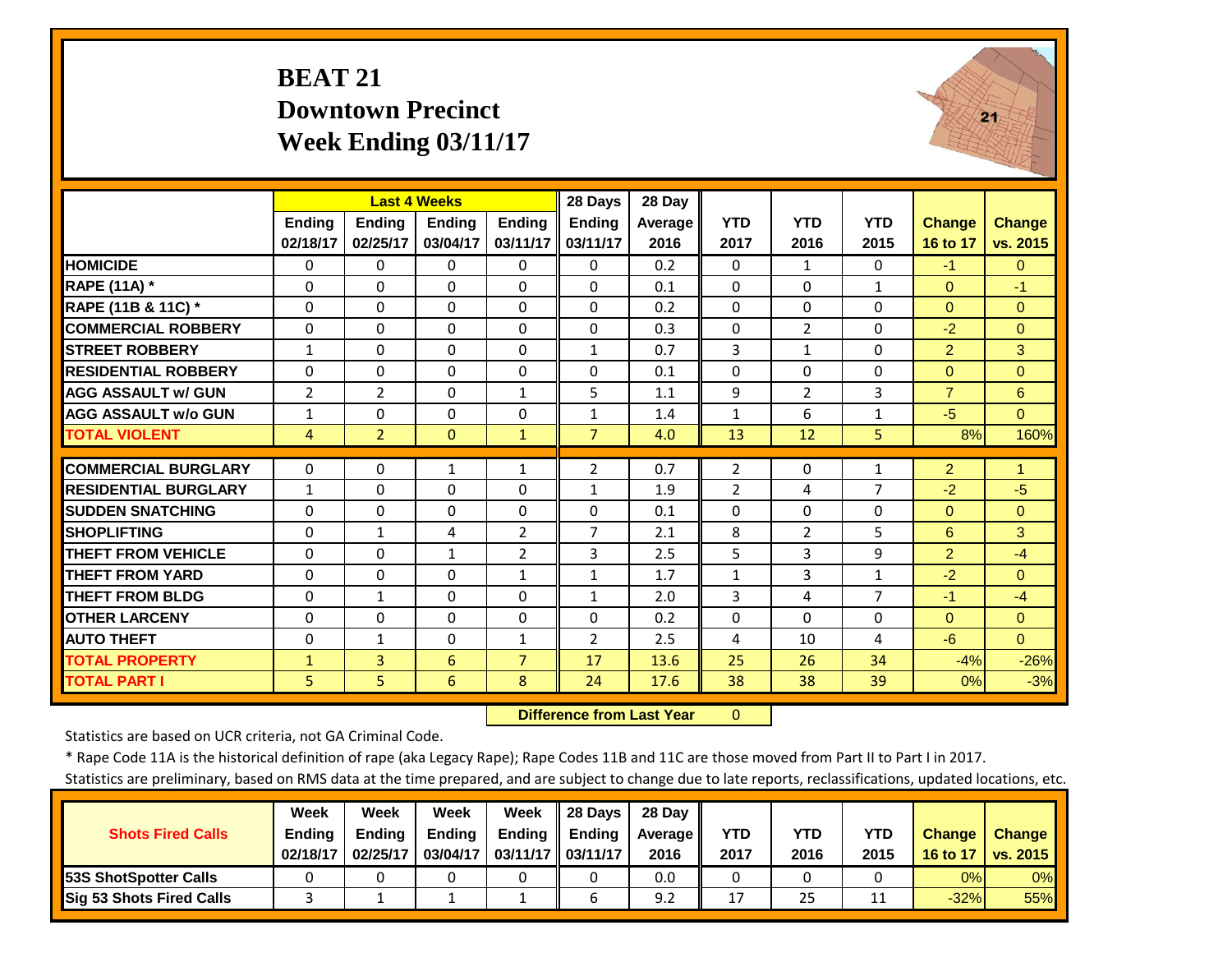#### **BEAT 21 Downtown Precinct Week Ending 03/11/17**



|                             |                |                | <b>Last 4 Weeks</b> |                | 28 Days        | 28 Day  |                   |                |                                |                |                  |
|-----------------------------|----------------|----------------|---------------------|----------------|----------------|---------|-------------------|----------------|--------------------------------|----------------|------------------|
|                             | <b>Ending</b>  | <b>Ending</b>  | <b>Ending</b>       | <b>Endina</b>  | <b>Ending</b>  | Average | <b>YTD</b>        | <b>YTD</b>     | <b>YTD</b>                     | <b>Change</b>  | <b>Change</b>    |
|                             | 02/18/17       | 02/25/17       | 03/04/17            | 03/11/17       | 03/11/17       | 2016    | 2017              | 2016           | 2015                           | 16 to 17       | vs. 2015         |
| <b>HOMICIDE</b>             | 0              | $\Omega$       | $\Omega$            | $\Omega$       | $\Omega$       | 0.2     | $\Omega$          | $\mathbf{1}$   | $\Omega$                       | $-1$           | $\Omega$         |
| RAPE (11A) *                | $\Omega$       | $\Omega$       | $\Omega$            | $\Omega$       | $\Omega$       | 0.1     | $\Omega$          | $\Omega$       | $\mathbf{1}$                   | $\mathbf{0}$   | $-1$             |
| RAPE (11B & 11C) *          | 0              | $\Omega$       | $\Omega$            | $\Omega$       | $\Omega$       | 0.2     | $\Omega$          | $\Omega$       | $\Omega$                       | $\mathbf{0}$   | $\Omega$         |
| <b>COMMERCIAL ROBBERY</b>   | $\Omega$       | $\Omega$       | $\Omega$            | $\Omega$       | $\Omega$       | 0.3     | $\Omega$          | $\overline{2}$ | $\Omega$                       | $-2$           | $\Omega$         |
| <b>STREET ROBBERY</b>       | $\mathbf{1}$   | $\Omega$       | $\Omega$            | $\Omega$       | $\mathbf{1}$   | 0.7     | 3                 | $\mathbf{1}$   | $\Omega$                       | $\overline{2}$ | 3                |
| <b>RESIDENTIAL ROBBERY</b>  | $\Omega$       | 0              | $\Omega$            | 0              | $\Omega$       | 0.1     | $\Omega$          | $\Omega$       | 0                              | $\mathbf{0}$   | $\Omega$         |
| <b>AGG ASSAULT W/ GUN</b>   | $\overline{2}$ | $\overline{2}$ | $\mathbf 0$         | $\mathbf{1}$   | 5              | 1.1     | 9                 | $\overline{2}$ | 3                              | $\overline{7}$ | 6                |
| <b>AGG ASSAULT w/o GUN</b>  | $\mathbf{1}$   | $\Omega$       | $\Omega$            | $\Omega$       | $\mathbf{1}$   | 1.4     | $\mathbf{1}$      | 6              | $\mathbf{1}$                   | $-5$           | $\Omega$         |
| <b>TOTAL VIOLENT</b>        | 4              | $\overline{2}$ | $\Omega$            | $\mathbf{1}$   | $\overline{7}$ | 4.0     | 13                | 12             | 5                              | 8%             | 160%             |
| <b>COMMERCIAL BURGLARY</b>  | $\Omega$       | 0              | $\mathbf{1}$        | $\mathbf{1}$   | 2              | 0.7     | 2                 | $\Omega$       | $\mathbf{1}$                   | $\overline{2}$ | 1                |
| <b>RESIDENTIAL BURGLARY</b> | $\mathbf{1}$   | $\Omega$       | $\Omega$            | $\Omega$       | $\mathbf{1}$   | 1.9     | $\overline{2}$    | 4              | 7                              | $-2$           | $-5$             |
| <b>SUDDEN SNATCHING</b>     | 0              | $\Omega$       | $\Omega$            | $\Omega$       | $\Omega$       | 0.1     | $\Omega$          | $\Omega$       | 0                              | $\Omega$       | $\Omega$         |
| <b>SHOPLIFTING</b>          | $\Omega$       | $\mathbf{1}$   |                     | 2              | $\overline{7}$ | 2.1     | 8                 | $\overline{2}$ | 5                              | 6              | 3                |
| <b>THEFT FROM VEHICLE</b>   | $\Omega$       | $\Omega$       | 4<br>$\mathbf{1}$   | 2              | 3              | 2.5     | 5                 | 3              | 9                              | $\overline{2}$ | $-4$             |
| <b>THEFT FROM YARD</b>      |                |                |                     |                |                | 1.7     |                   |                |                                | $-2$           |                  |
|                             | 0              | 0              | $\Omega$            | $\mathbf{1}$   | $\mathbf{1}$   | 2.0     | $\mathbf{1}$<br>3 | 3<br>4         | $\mathbf{1}$<br>$\overline{7}$ | $-1$           | $\Omega$<br>$-4$ |
| <b>THEFT FROM BLDG</b>      | $\Omega$       | 1              | $\Omega$            | 0              | $\mathbf{1}$   |         |                   |                |                                |                |                  |
| <b>OTHER LARCENY</b>        | $\Omega$       | $\Omega$       | $\Omega$            | $\Omega$       | $\Omega$       | 0.2     | $\Omega$          | $\Omega$       | $\Omega$                       | $\Omega$       | $\Omega$         |
| <b>AUTO THEFT</b>           | $\Omega$       | $\mathbf{1}$   | $\Omega$            | $\mathbf{1}$   | $\overline{2}$ | 2.5     | 4                 | 10             | 4                              | $-6$           | $\Omega$         |
| <b>TOTAL PROPERTY</b>       | $\mathbf{1}$   | $\overline{3}$ | 6                   | $\overline{7}$ | 17             | 13.6    | 25                | 26             | 34                             | $-4%$          | $-26%$           |
| <b>TOTAL PART I</b>         | 5              | 5              | 6                   | 8              | 24             | 17.6    | 38                | 38             | 39                             | 0%             | $-3%$            |

 **Difference from Last Year**0

Statistics are based on UCR criteria, not GA Criminal Code.

\* Rape Code 11A is the historical definition of rape (aka Legacy Rape); Rape Codes 11B and 11C are those moved from Part II to Part I in 2017.

|                                 | Week          | Week          | Week          | Week              | 28 Davs       | 28 Dav     |      |      |      |               |               |
|---------------------------------|---------------|---------------|---------------|-------------------|---------------|------------|------|------|------|---------------|---------------|
| <b>Shots Fired Calls</b>        | <b>Endina</b> | <b>Endina</b> | <b>Ending</b> | <b>Ending</b>     | <b>Ending</b> | Average II | YTD  | YTD  | YTD  | <b>Change</b> | <b>Change</b> |
|                                 | 02/18/17      | 02/25/17      | 03/04/17      | 03/11/17 03/11/17 |               | 2016       | 2017 | 2016 | 2015 | 16 to 17      | vs. 2015      |
| <b>153S ShotSpotter Calls</b>   |               |               |               |                   |               | 0.0        |      |      |      | 0%            | 0%            |
| <b>Sig 53 Shots Fired Calls</b> |               |               |               |                   |               | 9.2        | 17   | 25   |      | $-32%$        | 55%           |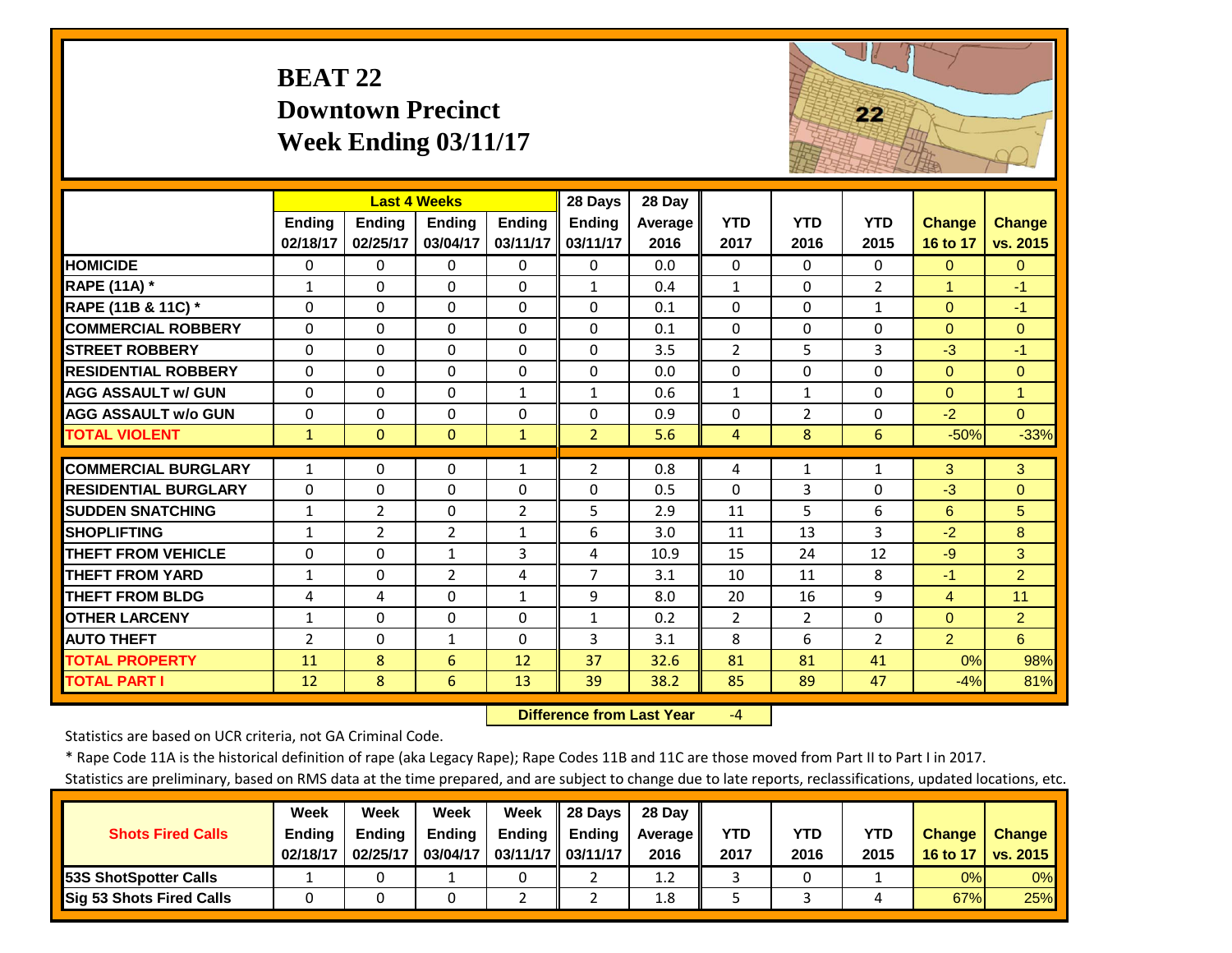# **BEAT 22 Downtown Precinct Week Ending 03/11/17**



|                             |                | <b>Last 4 Weeks</b> |                |                | 28 Days        | 28 Day  |                |                |                |                |                |
|-----------------------------|----------------|---------------------|----------------|----------------|----------------|---------|----------------|----------------|----------------|----------------|----------------|
|                             | <b>Ending</b>  | <b>Ending</b>       | <b>Endina</b>  | Ending         | <b>Ending</b>  | Average | <b>YTD</b>     | <b>YTD</b>     | <b>YTD</b>     | <b>Change</b>  | <b>Change</b>  |
|                             | 02/18/17       | 02/25/17            | 03/04/17       | 03/11/17       | 03/11/17       | 2016    | 2017           | 2016           | 2015           | 16 to 17       | vs. 2015       |
| <b>HOMICIDE</b>             | $\Omega$       | 0                   | $\Omega$       | 0              | $\Omega$       | 0.0     | $\Omega$       | $\Omega$       | $\Omega$       | $\Omega$       | $\Omega$       |
| <b>RAPE (11A) *</b>         | $\mathbf{1}$   | 0                   | $\Omega$       | $\Omega$       | $\mathbf{1}$   | 0.4     | $\mathbf{1}$   | $\Omega$       | $\overline{2}$ | $\overline{1}$ | $-1$           |
| RAPE (11B & 11C) *          | $\Omega$       | 0                   | $\Omega$       | $\Omega$       | $\Omega$       | 0.1     | $\Omega$       | $\Omega$       | $\mathbf{1}$   | $\Omega$       | $-1$           |
| <b>COMMERCIAL ROBBERY</b>   | $\Omega$       | 0                   | $\Omega$       | $\Omega$       | $\Omega$       | 0.1     | $\Omega$       | $\Omega$       | $\Omega$       | $\Omega$       | $\Omega$       |
| <b>STREET ROBBERY</b>       | $\Omega$       | 0                   | $\Omega$       | $\Omega$       | $\Omega$       | 3.5     | $\overline{2}$ | 5              | 3              | $-3$           | $-1$           |
| <b>RESIDENTIAL ROBBERY</b>  | $\Omega$       | $\Omega$            | $\Omega$       | $\Omega$       | $\Omega$       | 0.0     | $\Omega$       | $\Omega$       | $\Omega$       | $\Omega$       | $\Omega$       |
| <b>AGG ASSAULT w/ GUN</b>   | $\Omega$       | 0                   | $\Omega$       | $\mathbf{1}$   | $\mathbf{1}$   | 0.6     | $\mathbf{1}$   | $\mathbf{1}$   | $\Omega$       | $\Omega$       | $\overline{1}$ |
| <b>AGG ASSAULT w/o GUN</b>  | $\Omega$       | 0                   | $\Omega$       | $\Omega$       | $\Omega$       | 0.9     | $\Omega$       | $\overline{2}$ | $\Omega$       | $-2$           | $\overline{0}$ |
| <b>TOTAL VIOLENT</b>        | $\mathbf{1}$   | 0                   | $\Omega$       | $\mathbf{1}$   | $\overline{2}$ | 5.6     | $\overline{4}$ | 8              | 6              | $-50%$         | $-33%$         |
| <b>COMMERCIAL BURGLARY</b>  | $\mathbf{1}$   | 0                   | $\Omega$       | $\mathbf{1}$   | $\overline{2}$ | 0.8     | 4              | $\mathbf{1}$   | 1              | 3              | 3              |
| <b>RESIDENTIAL BURGLARY</b> | $\Omega$       | 0                   | $\Omega$       | $\Omega$       | $\Omega$       | 0.5     | $\Omega$       | 3              | $\Omega$       | $-3$           | $\Omega$       |
| <b>SUDDEN SNATCHING</b>     | $\mathbf{1}$   | $\overline{2}$      | $\Omega$       | $\overline{2}$ | 5              | 2.9     | 11             | 5              | 6              | $6\phantom{1}$ | 5              |
| <b>SHOPLIFTING</b>          | $\mathbf{1}$   | $\overline{2}$      | $\overline{2}$ | 1              | 6              | 3.0     | 11             | 13             | 3              | $-2$           | 8              |
| <b>THEFT FROM VEHICLE</b>   | $\Omega$       | 0                   | $\mathbf{1}$   | 3              | 4              | 10.9    | 15             | 24             | 12             | $-9$           | 3              |
| <b>THEFT FROM YARD</b>      | 1              | 0                   | $\overline{2}$ | 4              | $\overline{7}$ | 3.1     | 10             | 11             | 8              | $-1$           | $\overline{2}$ |
| <b>THEFT FROM BLDG</b>      | 4              | 4                   | $\Omega$       | $\mathbf{1}$   | 9              | 8.0     | 20             | 16             | 9              | 4              | 11             |
| <b>OTHER LARCENY</b>        | 1              | $\Omega$            | $\Omega$       | $\Omega$       | $\mathbf{1}$   | 0.2     | $\overline{2}$ | $\overline{2}$ | $\Omega$       | $\Omega$       | $\overline{2}$ |
| <b>AUTO THEFT</b>           | $\overline{2}$ | 0                   | $\mathbf{1}$   | $\Omega$       | 3              | 3.1     | 8              | 6              | $\overline{2}$ | $\overline{2}$ | 6              |
| <b>TOTAL PROPERTY</b>       | 11             | 8                   | 6              | 12             | 37             | 32.6    | 81             | 81             | 41             | 0%             | 98%            |
| <b>TOTAL PART I</b>         | 12             | 8                   | 6              | 13             | 39             | 38.2    | 85             | 89             | 47             | $-4%$          | 81%            |

 **Difference from Last Year**‐4

Statistics are based on UCR criteria, not GA Criminal Code.

\* Rape Code 11A is the historical definition of rape (aka Legacy Rape); Rape Codes 11B and 11C are those moved from Part II to Part I in 2017.

|                                 | <b>Week</b>   | Week          | Week          | Week              | 28 Davs       | 28 Dav     |      |      |            |               |               |
|---------------------------------|---------------|---------------|---------------|-------------------|---------------|------------|------|------|------------|---------------|---------------|
| <b>Shots Fired Calls</b>        | <b>Ending</b> | <b>Ending</b> | <b>Ending</b> | Ending            | <b>Ending</b> | Average II | YTD  | YTD  | <b>YTD</b> | <b>Change</b> | <b>Change</b> |
|                                 | 02/18/17      | 02/25/17      | 03/04/17      | 03/11/17 03/11/17 |               | 2016       | 2017 | 2016 | 2015       | 16 to 17      | vs. 2015      |
| <b>153S ShotSpotter Calls</b>   |               |               |               |                   |               | 1.2        |      |      |            | 0%            | $0\%$         |
| <b>Sig 53 Shots Fired Calls</b> |               |               |               |                   |               | 1.8        |      |      |            | 67%           | 25%           |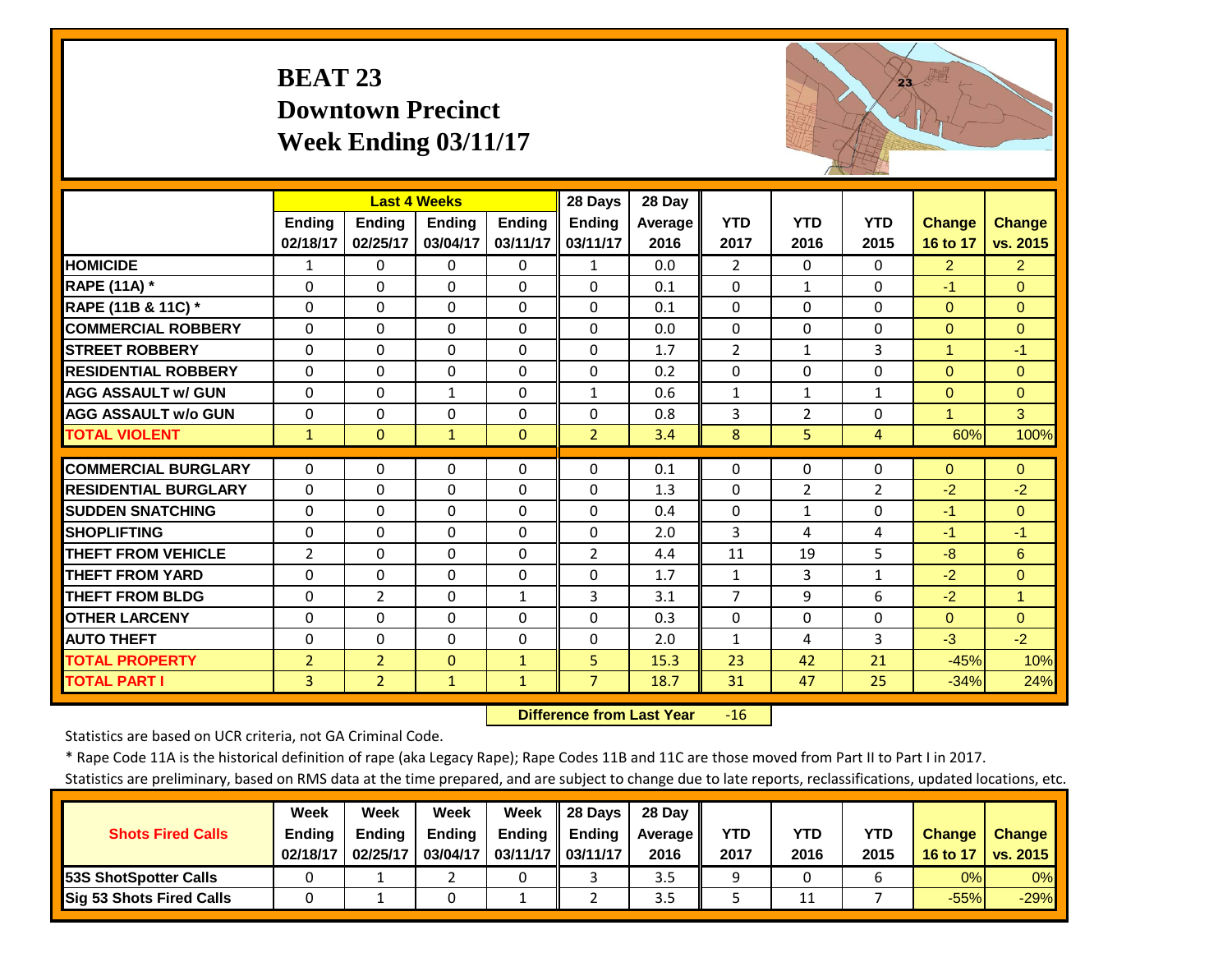# **BEAT 23 Downtown Precinct Week Ending 03/11/17**



|                             |                | <b>Last 4 Weeks</b> |               |               | 28 Days        | 28 Day  |                |                |              |                |                      |
|-----------------------------|----------------|---------------------|---------------|---------------|----------------|---------|----------------|----------------|--------------|----------------|----------------------|
|                             | <b>Ending</b>  | <b>Endina</b>       | <b>Endina</b> | <b>Endina</b> | <b>Ending</b>  | Average | <b>YTD</b>     | <b>YTD</b>     | <b>YTD</b>   | Change         | <b>Change</b>        |
|                             | 02/18/17       | 02/25/17            | 03/04/17      | 03/11/17      | 03/11/17       | 2016    | 2017           | 2016           | 2015         | 16 to 17       | vs. 2015             |
| <b>HOMICIDE</b>             | 1              | 0                   | $\Omega$      | $\Omega$      | $\mathbf{1}$   | 0.0     | $\overline{2}$ | $\Omega$       | $\Omega$     | $\overline{2}$ | 2                    |
| RAPE (11A) *                | $\Omega$       | 0                   | $\Omega$      | $\Omega$      | $\Omega$       | 0.1     | $\Omega$       | 1              | $\Omega$     | $-1$           | $\Omega$             |
| RAPE (11B & 11C) *          | $\Omega$       | 0                   | $\Omega$      | $\Omega$      | $\Omega$       | 0.1     | $\Omega$       | $\Omega$       | $\Omega$     | $\mathbf{0}$   | $\Omega$             |
| <b>COMMERCIAL ROBBERY</b>   | $\Omega$       | 0                   | $\Omega$      | $\Omega$      | $\Omega$       | 0.0     | $\Omega$       | $\Omega$       | $\Omega$     | $\Omega$       | $\Omega$             |
| <b>STREET ROBBERY</b>       | $\Omega$       | 0                   | $\Omega$      | $\Omega$      | $\Omega$       | 1.7     | $\overline{2}$ | $\mathbf{1}$   | 3            | $\overline{1}$ | $-1$                 |
| <b>RESIDENTIAL ROBBERY</b>  | $\Omega$       | 0                   | $\Omega$      | $\Omega$      | $\Omega$       | 0.2     | $\Omega$       | $\Omega$       | $\Omega$     | $\mathbf{0}$   | $\Omega$             |
| <b>AGG ASSAULT W/ GUN</b>   | $\Omega$       | 0                   | $\mathbf{1}$  | $\Omega$      | $\mathbf{1}$   | 0.6     | $\mathbf{1}$   | $\mathbf{1}$   | $\mathbf{1}$ | $\Omega$       | $\Omega$             |
| <b>AGG ASSAULT w/o GUN</b>  | $\Omega$       | 0                   | $\Omega$      | $\Omega$      | $\Omega$       | 0.8     | 3              | $\overline{2}$ | $\Omega$     |                | 3                    |
| <b>TOTAL VIOLENT</b>        | $\mathbf{1}$   | $\Omega$            | $\mathbf{1}$  | $\Omega$      | $\overline{2}$ | 3.4     | 8              | 5              | 4            | 60%            | 100%                 |
| <b>COMMERCIAL BURGLARY</b>  | $\Omega$       | 0                   | 0             | 0             | $\Omega$       | 0.1     | 0              | $\Omega$       | 0            | $\mathbf{0}$   | $\Omega$             |
| <b>RESIDENTIAL BURGLARY</b> |                |                     |               |               |                |         |                |                |              |                |                      |
|                             | $\Omega$       | 0                   | $\Omega$      | $\Omega$      | $\Omega$       | 1.3     | $\Omega$       | $\overline{2}$ | 2            | $-2$           | $-2$                 |
| <b>SUDDEN SNATCHING</b>     | $\Omega$       | 0                   | $\Omega$      | $\Omega$      | $\Omega$       | 0.4     | $\Omega$       | $\mathbf{1}$   | $\Omega$     | $-1$           | $\Omega$             |
| <b>SHOPLIFTING</b>          | $\Omega$       | 0                   | $\Omega$      | $\Omega$      | $\Omega$       | 2.0     | 3              | 4              | 4            | $-1$           | $-1$                 |
| <b>THEFT FROM VEHICLE</b>   | $\overline{2}$ | 0                   | $\Omega$      | $\Omega$      | $\overline{2}$ | 4.4     | 11             | 19             | 5            | $-8$           | 6                    |
| <b>THEFT FROM YARD</b>      | $\Omega$       | 0                   | $\Omega$      | $\Omega$      | $\Omega$       | 1.7     | $\mathbf{1}$   | 3              | $\mathbf{1}$ | $-2$           | $\Omega$             |
| <b>THEFT FROM BLDG</b>      | $\Omega$       | $\overline{2}$      | $\Omega$      | $\mathbf{1}$  | 3              | 3.1     | $\overline{7}$ | 9              | 6            | $-2$           | $\blacktriangleleft$ |
| <b>OTHER LARCENY</b>        | $\Omega$       | $\Omega$            | $\Omega$      | $\Omega$      | $\Omega$       | 0.3     | $\Omega$       | $\Omega$       | $\Omega$     | $\Omega$       | $\Omega$             |
| <b>AUTO THEFT</b>           | $\Omega$       | 0                   | $\Omega$      | $\Omega$      | $\Omega$       | 2.0     | $\mathbf{1}$   | 4              | 3            | $-3$           | $-2$                 |
| <b>TOTAL PROPERTY</b>       | $\overline{2}$ | $\overline{2}$      | $\Omega$      | $\mathbf{1}$  | 5 <sup>1</sup> | 15.3    | 23             | 42             | 21           | $-45%$         | 10%                  |
| <b>TOTAL PART I</b>         | 3              | $\overline{2}$      | $\mathbf{1}$  | $\mathbf{1}$  | $\overline{7}$ | 18.7    | 31             | 47             | 25           | $-34%$         | 24%                  |

 **Difference from Last Year**r -16

Statistics are based on UCR criteria, not GA Criminal Code.

\* Rape Code 11A is the historical definition of rape (aka Legacy Rape); Rape Codes 11B and 11C are those moved from Part II to Part I in 2017.

|                                 | Week          | Week          | Week          | Week              | 28 Davs       | 28 Dav     |      |      |      |               |               |
|---------------------------------|---------------|---------------|---------------|-------------------|---------------|------------|------|------|------|---------------|---------------|
| <b>Shots Fired Calls</b>        | <b>Ending</b> | <b>Ending</b> | <b>Ending</b> | Ending            | <b>Ending</b> | Average II | YTD  | YTD  | YTD  | <b>Change</b> | <b>Change</b> |
|                                 | 02/18/17      | 02/25/17      | 03/04/17      | 03/11/17 03/11/17 |               | 2016       | 2017 | 2016 | 2015 | 16 to 17      | vs. 2015      |
| <b>153S ShotSpotter Calls</b>   |               |               |               |                   |               | 3.5        |      |      |      | 0%            | $0\%$         |
| <b>Sig 53 Shots Fired Calls</b> |               |               |               |                   |               | 3.5        |      | 11   |      | $-55%$        | $-29%$        |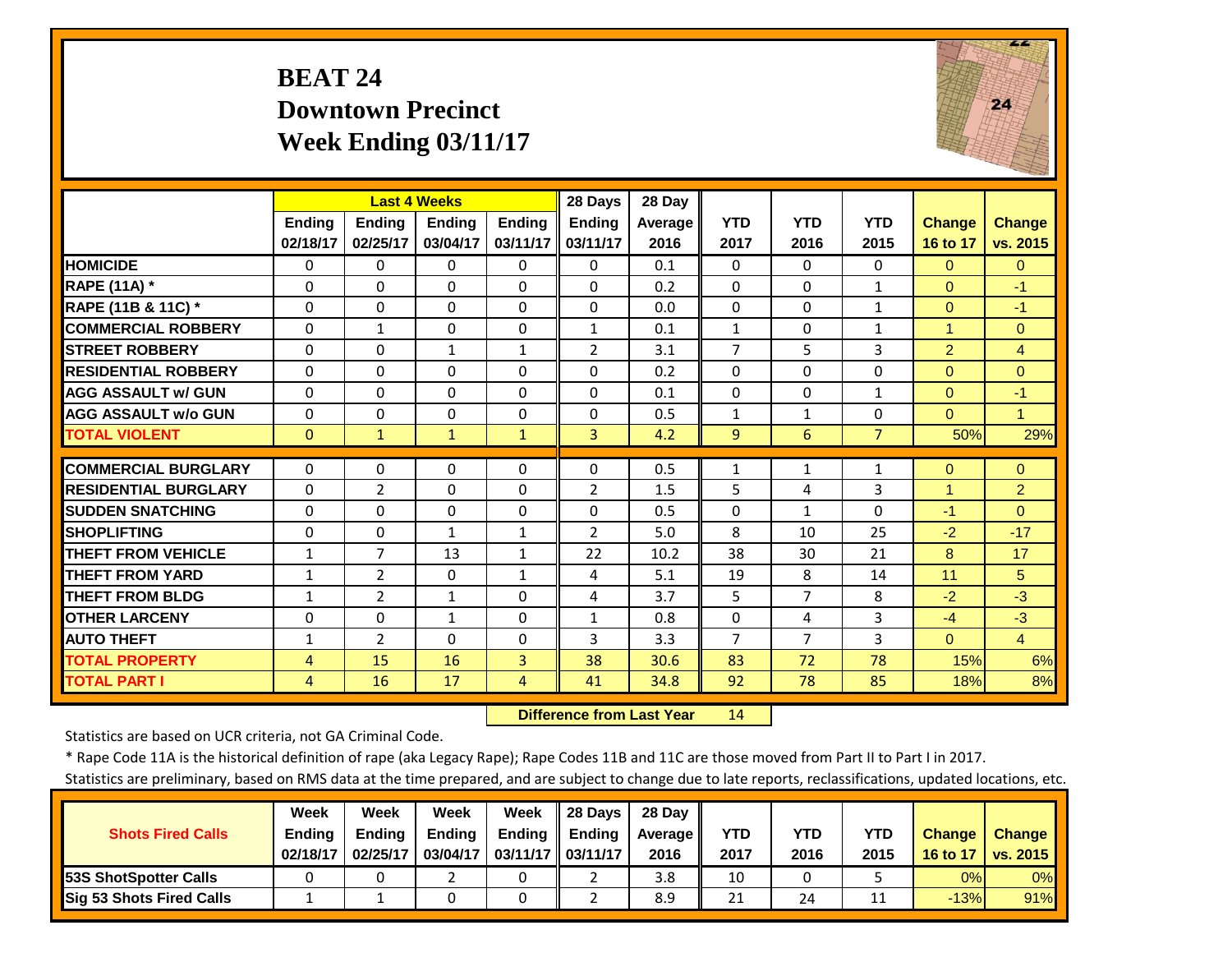#### **BEAT 24 Downtown PrecinctWeek Ending 03/11/17**



|                             |                |                | <b>Last 4 Weeks</b> |               | 28 Days        | 28 Day  |                |                |                |                      |                      |
|-----------------------------|----------------|----------------|---------------------|---------------|----------------|---------|----------------|----------------|----------------|----------------------|----------------------|
|                             | <b>Ending</b>  | <b>Ending</b>  | <b>Ending</b>       | <b>Ending</b> | <b>Ending</b>  | Average | <b>YTD</b>     | <b>YTD</b>     | <b>YTD</b>     | <b>Change</b>        | <b>Change</b>        |
|                             | 02/18/17       | 02/25/17       | 03/04/17            | 03/11/17      | 03/11/17       | 2016    | 2017           | 2016           | 2015           | 16 to 17             | vs. 2015             |
| <b>HOMICIDE</b>             | $\Omega$       | $\Omega$       | $\Omega$            | $\Omega$      | $\Omega$       | 0.1     | $\Omega$       | $\Omega$       | 0              | $\Omega$             | $\Omega$             |
| <b>RAPE (11A) *</b>         | $\Omega$       | $\Omega$       | $\Omega$            | $\Omega$      | $\Omega$       | 0.2     | $\Omega$       | $\Omega$       | $\mathbf{1}$   | $\Omega$             | $-1$                 |
| RAPE (11B & 11C) *          | $\Omega$       | $\Omega$       | $\Omega$            | $\Omega$      | $\Omega$       | 0.0     | $\Omega$       | $\Omega$       | $\mathbf{1}$   | $\Omega$             | $-1$                 |
| <b>COMMERCIAL ROBBERY</b>   | $\Omega$       | 1              | $\Omega$            | 0             | $\mathbf{1}$   | 0.1     | $\mathbf{1}$   | $\Omega$       | $\mathbf{1}$   | $\overline{1}$       | $\Omega$             |
| <b>STREET ROBBERY</b>       | $\Omega$       | $\Omega$       | $\mathbf{1}$        | $\mathbf{1}$  | 2              | 3.1     | $\overline{7}$ | 5              | 3              | $\overline{2}$       | $\overline{4}$       |
| <b>RESIDENTIAL ROBBERY</b>  | $\Omega$       | $\Omega$       | $\Omega$            | 0             | $\Omega$       | 0.2     | $\Omega$       | $\Omega$       | 0              | $\Omega$             | $\Omega$             |
| <b>AGG ASSAULT W/ GUN</b>   | $\Omega$       | $\Omega$       | $\Omega$            | $\Omega$      | $\Omega$       | 0.1     | $\Omega$       | $\Omega$       | $\mathbf{1}$   | $\Omega$             | $-1$                 |
| <b>AGG ASSAULT w/o GUN</b>  | $\Omega$       | 0              | $\Omega$            | $\Omega$      | $\Omega$       | 0.5     | $\mathbf{1}$   | 1              | 0              | $\Omega$             | $\blacktriangleleft$ |
| <b>TOTAL VIOLENT</b>        | $\mathbf{0}$   | $\mathbf{1}$   | 1                   | $\mathbf{1}$  | 3              | 4.2     | 9              | 6              | $\overline{7}$ | 50%                  | 29%                  |
| <b>COMMERCIAL BURGLARY</b>  | $\Omega$       | 0              | $\Omega$            | 0             | $\Omega$       | 0.5     | $\mathbf{1}$   | $\mathbf{1}$   | $\mathbf{1}$   | $\mathbf{0}$         | $\Omega$             |
| <b>RESIDENTIAL BURGLARY</b> | 0              | 2              | $\mathbf 0$         | 0             | $\overline{2}$ | 1.5     | 5              | 4              | 3              | $\blacktriangleleft$ | $\overline{2}$       |
| <b>SUDDEN SNATCHING</b>     | $\Omega$       | 0              | $\Omega$            | $\Omega$      | $\Omega$       | 0.5     | $\Omega$       |                | 0              | $-1$                 | $\Omega$             |
|                             |                |                |                     |               |                |         |                | $\mathbf{1}$   |                |                      |                      |
| <b>SHOPLIFTING</b>          | $\Omega$       | 0              | $\mathbf{1}$        | 1             | 2              | 5.0     | 8              | 10             | 25             | $-2$                 | $-17$                |
| <b>THEFT FROM VEHICLE</b>   | $\mathbf{1}$   | 7              | 13                  | 1             | 22             | 10.2    | 38             | 30             | 21             | 8                    | 17                   |
| <b>THEFT FROM YARD</b>      | $\mathbf{1}$   | $\overline{2}$ | $\Omega$            | $\mathbf{1}$  | 4              | 5.1     | 19             | 8              | 14             | 11                   | 5                    |
| <b>THEFT FROM BLDG</b>      | $\mathbf{1}$   | $\overline{2}$ | $\mathbf{1}$        | $\Omega$      | 4              | 3.7     | 5              | 7              | 8              | $-2$                 | $-3$                 |
| <b>OTHER LARCENY</b>        | $\Omega$       | 0              | $\mathbf{1}$        | $\Omega$      | $\mathbf{1}$   | 0.8     | $\Omega$       | 4              | 3              | $-4$                 | $-3$                 |
| <b>AUTO THEFT</b>           | $\mathbf{1}$   | $\overline{2}$ | $\Omega$            | $\Omega$      | 3              | 3.3     | 7              | $\overline{7}$ | 3              | $\Omega$             | $\overline{4}$       |
| <b>TOTAL PROPERTY</b>       | 4              | 15             | 16                  | 3             | 38             | 30.6    | 83             | 72             | 78             | 15%                  | 6%                   |
| <b>TOTAL PART I</b>         | $\overline{4}$ | 16             | 17                  | 4             | 41             | 34.8    | 92             | 78             | 85             | 18%                  | 8%                   |

 **Difference from Last Year**r 14

Statistics are based on UCR criteria, not GA Criminal Code.

\* Rape Code 11A is the historical definition of rape (aka Legacy Rape); Rape Codes 11B and 11C are those moved from Part II to Part I in 2017.

|                                 | Week          | Week          | Week     | Week              | 28 Davs       | 28 Dav            |      |      |            |               |               |
|---------------------------------|---------------|---------------|----------|-------------------|---------------|-------------------|------|------|------------|---------------|---------------|
| <b>Shots Fired Calls</b>        | <b>Ending</b> | <b>Ending</b> | Ending   | <b>Ending</b>     | <b>Ending</b> | <b>Average</b> II | YTD  | YTD  | <b>YTD</b> | <b>Change</b> | <b>Change</b> |
|                                 | 02/18/17      | 02/25/17      | 03/04/17 | 03/11/17 03/11/17 |               | 2016              | 2017 | 2016 | 2015       | 16 to 17      | vs. 2015      |
| <b>53S ShotSpotter Calls</b>    |               |               |          |                   |               | 3.8               | 10   |      |            | 0%            | 0%            |
| <b>Sig 53 Shots Fired Calls</b> |               |               |          |                   |               | 8.9               | 21   | 24   |            | $-13%$        | 91%           |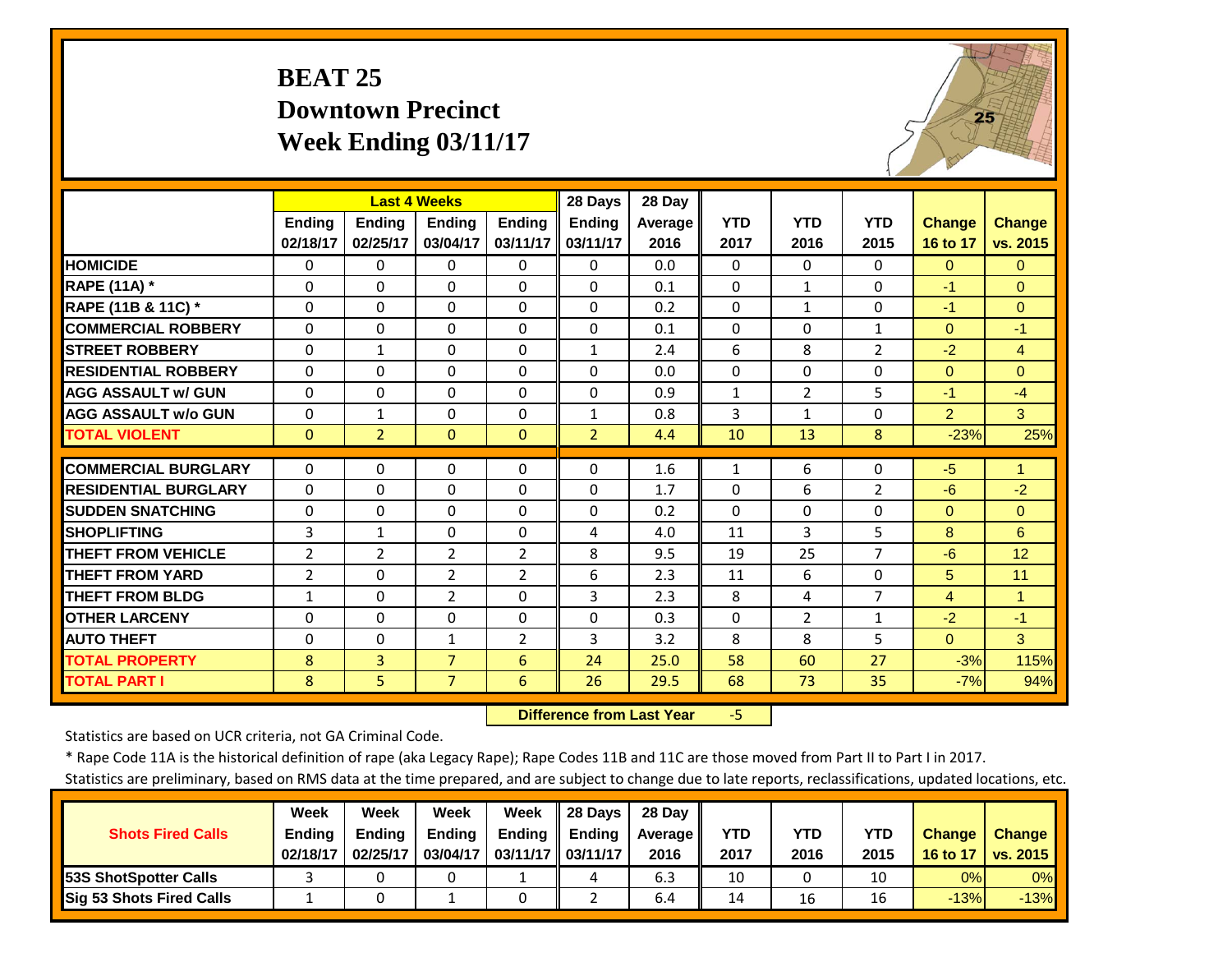### **BEAT 25 Downtown PrecinctWeek Ending 03/11/17**



|                             |                |                | <b>Last 4 Weeks</b> |                | 28 Days        | 28 Day  |              |                |                |                |                      |
|-----------------------------|----------------|----------------|---------------------|----------------|----------------|---------|--------------|----------------|----------------|----------------|----------------------|
|                             | <b>Endina</b>  | <b>Ending</b>  | <b>Endina</b>       | <b>Ending</b>  | <b>Ending</b>  | Average | <b>YTD</b>   | <b>YTD</b>     | <b>YTD</b>     | <b>Change</b>  | <b>Change</b>        |
|                             | 02/18/17       | 02/25/17       | 03/04/17            | 03/11/17       | 03/11/17       | 2016    | 2017         | 2016           | 2015           | 16 to 17       | vs. 2015             |
| <b>HOMICIDE</b>             | $\Omega$       | $\Omega$       | 0                   | $\Omega$       | $\Omega$       | 0.0     | $\Omega$     | $\Omega$       | 0              | $\Omega$       | $\Omega$             |
| <b>RAPE (11A) *</b>         | $\Omega$       | $\Omega$       | $\Omega$            | $\Omega$       | $\Omega$       | 0.1     | $\Omega$     | $\mathbf{1}$   | $\Omega$       | $-1$           | $\Omega$             |
| RAPE (11B & 11C) *          | $\Omega$       | $\Omega$       | $\Omega$            | $\Omega$       | $\Omega$       | 0.2     | $\Omega$     | $\mathbf{1}$   | 0              | $-1$           | $\Omega$             |
| <b>COMMERCIAL ROBBERY</b>   | $\Omega$       | $\Omega$       | $\Omega$            | $\Omega$       | $\Omega$       | 0.1     | $\Omega$     | $\Omega$       | $\mathbf{1}$   | $\Omega$       | $-1$                 |
| <b>STREET ROBBERY</b>       | 0              | $1\,$          | $\Omega$            | $\mathbf 0$    | $\mathbf{1}$   | 2.4     | 6            | 8              | $\overline{2}$ | $-2$           | $\overline{4}$       |
| <b>RESIDENTIAL ROBBERY</b>  | $\Omega$       | $\Omega$       | $\Omega$            | $\Omega$       | $\Omega$       | 0.0     | $\Omega$     | $\Omega$       | 0              | $\Omega$       | $\Omega$             |
| <b>AGG ASSAULT w/ GUN</b>   | $\Omega$       | $\Omega$       | $\Omega$            | $\Omega$       | $\Omega$       | 0.9     | $\mathbf{1}$ | $\overline{2}$ | 5              | $-1$           | $-4$                 |
| <b>AGG ASSAULT w/o GUN</b>  | $\Omega$       | $\mathbf{1}$   | $\Omega$            | $\Omega$       | $\mathbf{1}$   | 0.8     | 3            | $\mathbf{1}$   | 0              | 2              | $\mathbf{3}$         |
| <b>TOTAL VIOLENT</b>        | $\mathbf{0}$   | $\overline{2}$ | $\mathbf{0}$        | $\mathbf{0}$   | $\overline{2}$ | 4.4     | 10           | 13             | 8              | $-23%$         | 25%                  |
| <b>COMMERCIAL BURGLARY</b>  | $\Omega$       | $\Omega$       | $\Omega$            | $\Omega$       | $\Omega$       | 1.6     | 1            | 6              | 0              | $-5$           | $\blacktriangleleft$ |
| <b>RESIDENTIAL BURGLARY</b> | $\Omega$       | $\Omega$       | $\Omega$            | $\mathbf 0$    | $\Omega$       | 1.7     | $\Omega$     | 6              | 2              | $-6$           | $-2$                 |
| <b>SUDDEN SNATCHING</b>     | 0              | $\Omega$       | $\Omega$            | $\Omega$       | $\Omega$       | 0.2     | $\Omega$     | $\Omega$       | 0              | $\Omega$       | $\Omega$             |
| <b>SHOPLIFTING</b>          | 3              | $\mathbf{1}$   | $\Omega$            | $\Omega$       | 4              | 4.0     | 11           | 3              | 5              | 8              | 6                    |
| <b>THEFT FROM VEHICLE</b>   | $\overline{2}$ | $\overline{2}$ | $\overline{2}$      | $\overline{2}$ | 8              | 9.5     | 19           | 25             | 7              | $-6$           | 12                   |
| <b>THEFT FROM YARD</b>      | $\overline{2}$ | $\Omega$       | $\overline{2}$      | $\overline{2}$ | 6              | 2.3     | 11           | 6              | 0              | 5              | 11                   |
| <b>THEFT FROM BLDG</b>      | 1              | $\Omega$       | $\overline{2}$      | $\Omega$       | 3              | 2.3     | 8            | 4              | $\overline{7}$ | $\overline{4}$ | $\overline{1}$       |
| <b>OTHER LARCENY</b>        | $\Omega$       | $\Omega$       | $\Omega$            | $\Omega$       | $\Omega$       | 0.3     | $\Omega$     | $\overline{2}$ | $\mathbf{1}$   | $-2$           | $-1$                 |
| <b>AUTO THEFT</b>           | $\Omega$       | $\Omega$       | $\mathbf{1}$        | $\overline{2}$ | 3              | 3.2     | 8            | 8              | 5              | $\Omega$       | 3                    |
| <b>TOTAL PROPERTY</b>       | 8              | 3              | $\overline{7}$      | 6              | 24             | 25.0    | 58           | 60             | 27             | $-3%$          | 115%                 |
| <b>TOTAL PART I</b>         | 8              | 5              | $\overline{7}$      | 6              | 26             | 29.5    | 68           | 73             | 35             | $-7%$          | 94%                  |

 **Difference from Last Year**‐5

Statistics are based on UCR criteria, not GA Criminal Code.

\* Rape Code 11A is the historical definition of rape (aka Legacy Rape); Rape Codes 11B and 11C are those moved from Part II to Part I in 2017.

|                                 | Week          | Week          | Week          | Week              | 28 Davs       | 28 Dav     |      |      |      |               |               |
|---------------------------------|---------------|---------------|---------------|-------------------|---------------|------------|------|------|------|---------------|---------------|
| <b>Shots Fired Calls</b>        | <b>Ending</b> | <b>Ending</b> | <b>Ending</b> | <b>Ending</b>     | <b>Ending</b> | Average II | YTD  | YTD  | YTD  | <b>Change</b> | <b>Change</b> |
|                                 | 02/18/17      | 02/25/17      | 03/04/17      | 03/11/17 03/11/17 |               | 2016       | 2017 | 2016 | 2015 | 16 to 17      | vs. 2015      |
| <b>153S ShotSpotter Calls</b>   |               |               |               |                   | 4             | 6.3        | 10   |      | 10   | 0%            | $0\%$         |
| <b>Sig 53 Shots Fired Calls</b> |               |               |               |                   |               | 6.4        | 14   | 16   | 16   | $-13%$        | $-13%$        |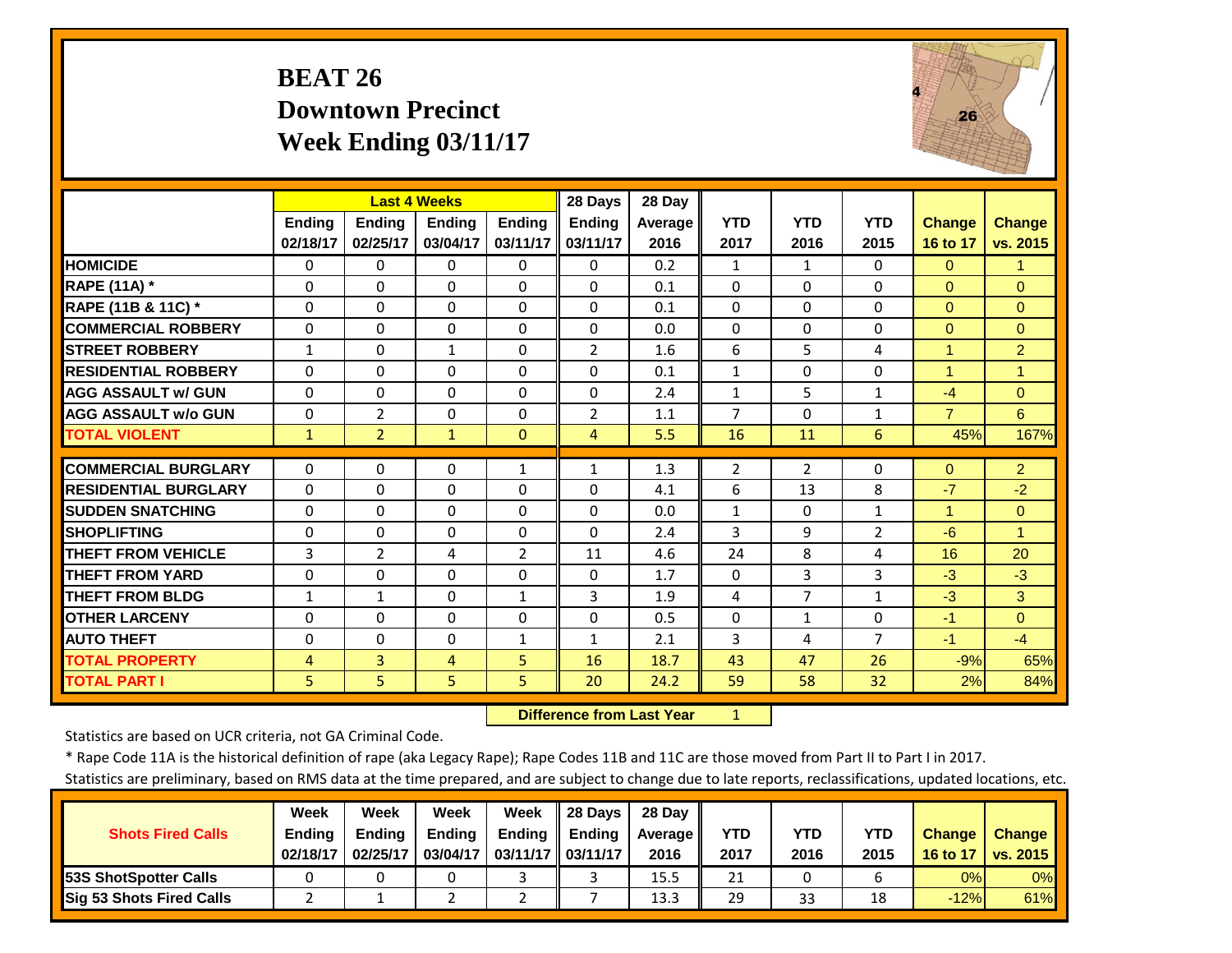#### **BEAT 26 Downtown Precinct Week Ending 03/11/17**



|                             |               | <b>Last 4 Weeks</b> |                |                | 28 Days        | 28 Day  |                |                |                |                      |                      |
|-----------------------------|---------------|---------------------|----------------|----------------|----------------|---------|----------------|----------------|----------------|----------------------|----------------------|
|                             | <b>Ending</b> | <b>Endina</b>       | <b>Endina</b>  | <b>Endina</b>  | <b>Ending</b>  | Average | <b>YTD</b>     | <b>YTD</b>     | <b>YTD</b>     | <b>Change</b>        | <b>Change</b>        |
|                             | 02/18/17      | 02/25/17            | 03/04/17       | 03/11/17       | 03/11/17       | 2016    | 2017           | 2016           | 2015           | 16 to 17             | vs. 2015             |
| <b>HOMICIDE</b>             | $\Omega$      | 0                   | $\Omega$       | $\Omega$       | $\Omega$       | 0.2     | 1              | $\mathbf{1}$   | $\Omega$       | $\Omega$             | $\mathbf{1}$         |
| RAPE (11A) *                | $\Omega$      | $\Omega$            | $\Omega$       | $\Omega$       | $\Omega$       | 0.1     | $\Omega$       | 0              | 0              | $\Omega$             | $\Omega$             |
| RAPE (11B & 11C) *          | $\Omega$      | $\Omega$            | $\Omega$       | $\Omega$       | $\Omega$       | 0.1     | $\mathbf 0$    | $\Omega$       | 0              | $\mathbf{0}$         | $\Omega$             |
| <b>COMMERCIAL ROBBERY</b>   | $\Omega$      | $\Omega$            | $\Omega$       | $\Omega$       | $\Omega$       | 0.0     | $\Omega$       | $\Omega$       | 0              | $\Omega$             | $\Omega$             |
| <b>STREET ROBBERY</b>       | $\mathbf{1}$  | $\Omega$            | $\mathbf{1}$   | $\Omega$       | $\overline{2}$ | 1.6     | 6              | 5              | 4              | $\blacktriangleleft$ | $\overline{2}$       |
| <b>RESIDENTIAL ROBBERY</b>  | $\Omega$      | $\Omega$            | $\Omega$       | $\Omega$       | $\Omega$       | 0.1     | $\mathbf{1}$   | $\Omega$       | 0              | $\blacktriangleleft$ | $\blacktriangleleft$ |
| <b>AGG ASSAULT w/ GUN</b>   | $\Omega$      | $\Omega$            | $\Omega$       | $\Omega$       | $\Omega$       | 2.4     | 1              | 5              | $\mathbf{1}$   | $-4$                 | $\Omega$             |
| <b>AGG ASSAULT w/o GUN</b>  | $\Omega$      | $\overline{2}$      | $\Omega$       | $\Omega$       | $\overline{2}$ | 1.1     | 7              | $\Omega$       | $\mathbf{1}$   | $\overline{7}$       | 6                    |
| <b>TOTAL VIOLENT</b>        | $\mathbf{1}$  | $\overline{2}$      | 1              | $\mathbf{0}$   | 4              | 5.5     | 16             | 11             | 6              | 45%                  | 167%                 |
|                             |               |                     |                |                |                |         |                |                |                |                      |                      |
| <b>COMMERCIAL BURGLARY</b>  | $\Omega$      | 0                   | 0              | $\mathbf{1}$   | 1              | 1.3     | $\overline{2}$ | $\overline{2}$ | 0              | $\Omega$             | $\overline{2}$       |
| <b>RESIDENTIAL BURGLARY</b> | $\Omega$      | $\Omega$            | $\Omega$       | $\Omega$       | $\Omega$       | 4.1     | 6              | 13             | 8              | $-7$                 | $-2$                 |
| <b>SUDDEN SNATCHING</b>     | $\Omega$      | $\Omega$            | $\Omega$       | $\Omega$       | $\Omega$       | 0.0     | $\mathbf{1}$   | $\Omega$       | $\mathbf{1}$   | $\blacktriangleleft$ | $\Omega$             |
| <b>SHOPLIFTING</b>          | $\Omega$      | $\Omega$            | $\Omega$       | $\Omega$       | $\Omega$       | 2.4     | 3              | 9              | 2              | $-6$                 | $\mathbf{1}$         |
| <b>THEFT FROM VEHICLE</b>   | 3             | $\overline{2}$      | 4              | $\overline{2}$ | 11             | 4.6     | 24             | 8              | 4              | 16                   | 20                   |
| <b>THEFT FROM YARD</b>      | $\Omega$      | 0                   | $\Omega$       | $\Omega$       | $\Omega$       | 1.7     | $\Omega$       | 3              | 3              | $-3$                 | $-3$                 |
| <b>THEFT FROM BLDG</b>      | 1             | $\mathbf{1}$        | $\Omega$       | $\mathbf{1}$   | 3              | 1.9     | 4              | $\overline{7}$ | $\mathbf{1}$   | $-3$                 | 3                    |
| <b>OTHER LARCENY</b>        | $\Omega$      | $\Omega$            | $\Omega$       | $\Omega$       | $\Omega$       | 0.5     | $\Omega$       | $\mathbf{1}$   | 0              | $-1$                 | $\Omega$             |
| <b>AUTO THEFT</b>           | $\Omega$      | $\Omega$            | $\Omega$       | $\mathbf{1}$   | $\mathbf{1}$   | 2.1     | 3              | 4              | $\overline{7}$ | $-1$                 | $-4$                 |
| <b>TOTAL PROPERTY</b>       | 4             | 3                   | $\overline{4}$ | 5              | 16             | 18.7    | 43             | 47             | 26             | $-9%$                | 65%                  |
| <b>TOTAL PART I</b>         | 5             | 5                   | 5              | 5.             | 20             | 24.2    | 59             | 58             | 32             | 2%                   | 84%                  |

 **Difference from Last Year**1

Statistics are based on UCR criteria, not GA Criminal Code.

\* Rape Code 11A is the historical definition of rape (aka Legacy Rape); Rape Codes 11B and 11C are those moved from Part II to Part I in 2017.

|                                 | Week          | Week          | Week          | Week              | 28 Days       | 28 Dav     |      |      |            |               |               |
|---------------------------------|---------------|---------------|---------------|-------------------|---------------|------------|------|------|------------|---------------|---------------|
| <b>Shots Fired Calls</b>        | <b>Ending</b> | <b>Ending</b> | <b>Ending</b> | <b>Ending</b>     | <b>Ending</b> | Average II | YTD  | YTD  | <b>YTD</b> | <b>Change</b> | <b>Change</b> |
|                                 | 02/18/17      | 02/25/17      | 03/04/17      | 03/11/17 03/11/17 |               | 2016       | 2017 | 2016 | 2015       | 16 to 17      | vs. 2015      |
| <b>153S ShotSpotter Calls</b>   |               |               |               |                   |               | 15.5       | 21   |      |            | 0%            | $0\%$         |
| <b>Sig 53 Shots Fired Calls</b> |               |               |               |                   |               | 13.3       | 29   | 33   | 18         | $-12%$        | 61%           |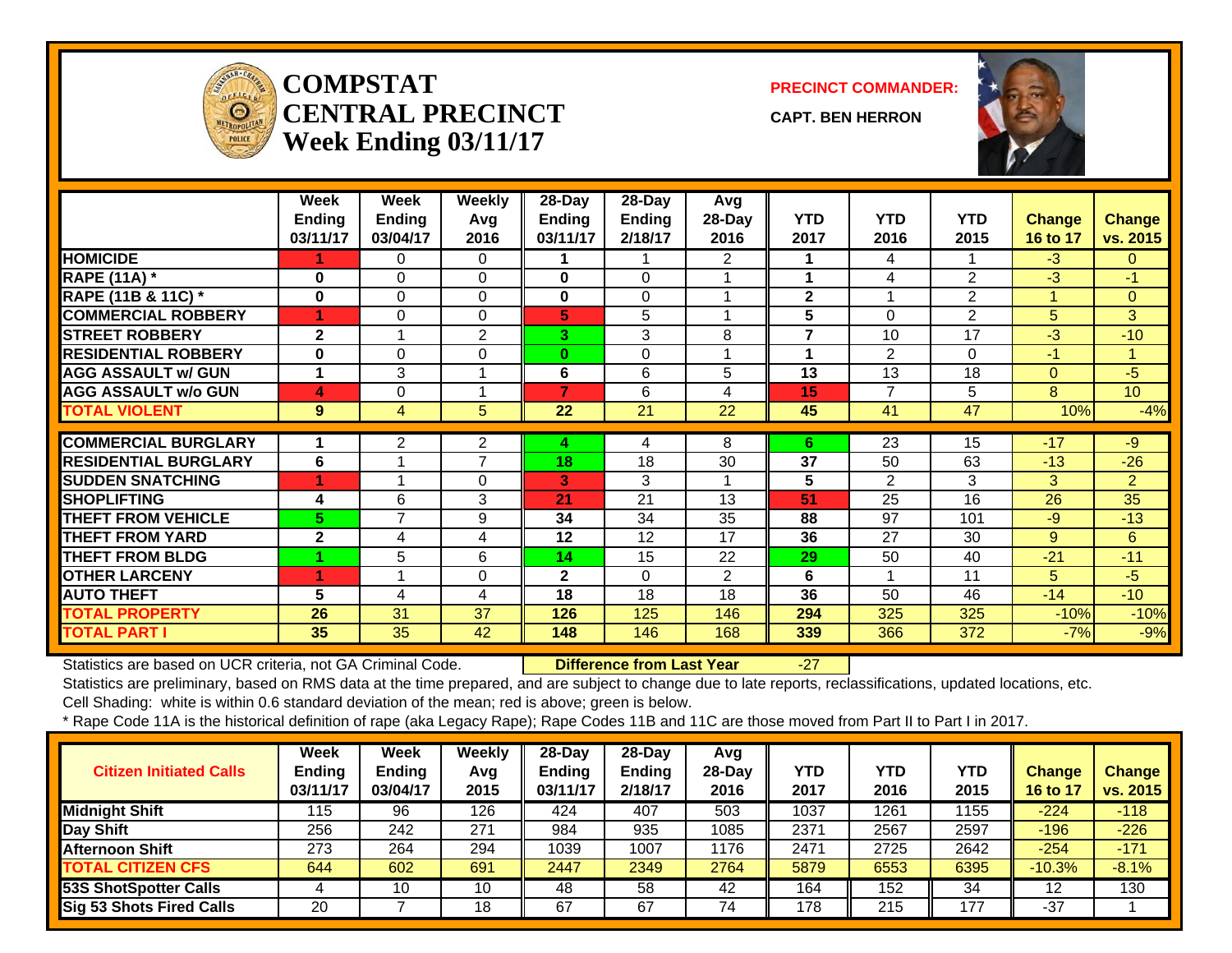

#### **COMPSTATCENTRAL PRECINCTWeek Ending 03/11/17**

**PRECINCT COMMANDER:**

**CAPT. BEN HERRON**



|                               | Week<br><b>Ending</b><br>03/11/17 | Week<br><b>Ending</b><br>03/04/17 | Weekly<br>Avg<br>2016 | 28-Day<br><b>Ending</b><br>03/11/17 | 28-Day<br><b>Ending</b><br>2/18/17 | Avg<br>28-Day<br>2016 | <b>YTD</b><br>2017 | <b>YTD</b><br>2016       | <b>YTD</b><br>2015 | Change<br>16 to 17 | <b>Change</b><br>vs. 2015 |
|-------------------------------|-----------------------------------|-----------------------------------|-----------------------|-------------------------------------|------------------------------------|-----------------------|--------------------|--------------------------|--------------------|--------------------|---------------------------|
| <b>HOMICIDE</b>               |                                   | 0                                 | 0                     |                                     |                                    | 2                     | 1                  | 4                        | 1                  | $-3$               | $\mathbf{0}$              |
| <b>RAPE (11A) *</b>           | $\bf{0}$                          | $\Omega$                          | $\Omega$              | $\mathbf{0}$                        | $\Omega$                           |                       | 1                  | 4                        | 2                  | $-3$               | $-1$                      |
| <b>RAPE (11B &amp; 11C)</b> * | 0                                 | 0                                 | $\Omega$              | 0                                   | $\Omega$                           |                       | $\mathbf{2}$       | 1                        | 2                  |                    | $\mathbf{0}$              |
| <b>COMMERCIAL ROBBERY</b>     | 1                                 | 0                                 | 0                     | 5                                   | 5                                  | 4                     | 5                  | $\Omega$                 | 2                  | 5                  | 3                         |
| <b>STREET ROBBERY</b>         | $\mathbf{2}$                      | 1                                 | $\mathbf{2}$          | 3                                   | 3                                  | 8                     | $\overline{7}$     | 10                       | 17                 | $-3$               | $-10$                     |
| <b>RESIDENTIAL ROBBERY</b>    | $\bf{0}$                          | $\Omega$                          | $\Omega$              | $\bf{0}$                            | $\Omega$                           |                       | 1                  | $\overline{2}$           | $\Omega$           | $-1$               | 1                         |
| <b>AGG ASSAULT w/ GUN</b>     | 1                                 | 3                                 | 1                     | 6                                   | 6                                  | 5                     | 13                 | 13                       | 18                 | $\Omega$           | $-5$                      |
| <b>AGG ASSAULT w/o GUN</b>    | 4                                 | $\Omega$                          | 1                     | 7                                   | 6                                  | 4                     | 15                 | $\overline{\phantom{a}}$ | 5                  | 8                  | 10                        |
| <b>TOTAL VIOLENT</b>          | 9                                 | 4                                 | 5                     | 22                                  | 21                                 | 22                    | 45                 | 41                       | 47                 | 10%                | $-4%$                     |
|                               |                                   |                                   |                       |                                     |                                    |                       |                    |                          |                    |                    |                           |
| <b>COMMERCIAL BURGLARY</b>    | 1                                 | 2                                 | 2                     | 4                                   | 4                                  | 8                     | 6                  | 23                       | 15                 | $-17$              | $-9$                      |
| <b>RESIDENTIAL BURGLARY</b>   | 6                                 |                                   | 7                     | 18                                  | 18                                 | 30                    | 37                 | 50                       | 63                 | $-13$              | $-26$                     |
| <b>SUDDEN SNATCHING</b>       | 4                                 |                                   | $\Omega$              | 3                                   | 3                                  |                       | 5                  | $\overline{2}$           | 3                  | 3                  | $\overline{2}$            |
| <b>SHOPLIFTING</b>            | 4                                 | 6                                 | 3                     | 21                                  | 21                                 | 13                    | 51                 | 25                       | 16                 | 26                 | 35                        |
| <b>THEFT FROM VEHICLE</b>     | 5.                                | 7                                 | 9                     | 34                                  | 34                                 | 35                    | 88                 | 97                       | 101                | $-9$               | $-13$                     |
| <b>THEFT FROM YARD</b>        | $\mathbf{2}$                      | 4                                 | 4                     | 12                                  | 12                                 | 17                    | 36                 | 27                       | 30                 | 9                  | 6                         |
| <b>THEFT FROM BLDG</b>        |                                   | 5                                 | 6                     | 14                                  | 15                                 | 22                    | 29                 | 50                       | 40                 | $-21$              | $-11$                     |
| <b>OTHER LARCENY</b>          | 4                                 | 1                                 | $\Omega$              | $\mathbf{2}$                        | $\Omega$                           | $\overline{2}$        | 6                  | 1                        | 11                 | 5                  | $-5$                      |
| <b>AUTO THEFT</b>             | 5                                 | 4                                 | 4                     | 18                                  | 18                                 | 18                    | 36                 | 50                       | 46                 | $-14$              | $-10$                     |
| <b>TOTAL PROPERTY</b>         | 26                                | 31                                | 37                    | 126                                 | 125                                | 146                   | 294                | 325                      | 325                | $-10%$             | $-10%$                    |
| <b>TOTAL PART I</b>           | 35                                | 35                                | 42                    | 148                                 | 146                                | 168                   | 339                | 366                      | 372                | $-7%$              | $-9%$                     |

Statistics are based on UCR criteria, not GA Criminal Code. **Difference from Last Year** -27

Statistics are preliminary, based on RMS data at the time prepared, and are subject to change due to late reports, reclassifications, updated locations, etc.

Cell Shading: white is within 0.6 standard deviation of the mean; red is above; green is below.

| <b>Citizen Initiated Calls</b>  | Week<br><b>Ending</b><br>03/11/17 | <b>Week</b><br><b>Ending</b><br>03/04/17 | Weekly<br>Avg<br>2015 | 28-Day<br><b>Ending</b><br>03/11/17 | 28-Day<br><b>Ending</b><br>2/18/17 | Avg<br>$28$ -Day<br>2016 | YTD<br>2017 | <b>YTD</b><br>2016 | YTD<br>2015 | Change<br>16 to 17 | <b>Change</b><br>vs. 2015 |
|---------------------------------|-----------------------------------|------------------------------------------|-----------------------|-------------------------------------|------------------------------------|--------------------------|-------------|--------------------|-------------|--------------------|---------------------------|
| <b>Midnight Shift</b>           | 115                               | 96                                       | 126                   | 424                                 | 407                                | 503                      | 1037        | 1261               | 1155        | $-224$             | $-118$                    |
| Day Shift                       | 256                               | 242                                      | 271                   | 984                                 | 935                                | 1085                     | 2371        | 2567               | 2597        | $-196$             | $-226$                    |
| <b>Afternoon Shift</b>          | 273                               | 264                                      | 294                   | 1039                                | 1007                               | 1176                     | 2471        | 2725               | 2642        | $-254$             | $-171$                    |
| <b>TOTAL CITIZEN CFS</b>        | 644                               | 602                                      | 691                   | 2447                                | 2349                               | 2764                     | 5879        | 6553               | 6395        | $-10.3%$           | $-8.1%$                   |
| <b>53S ShotSpotter Calls</b>    | 4                                 | 10                                       | 10                    | 48                                  | 58                                 | 42                       | 164         | 152                | 34          | 12                 | 130                       |
| <b>Sig 53 Shots Fired Calls</b> | 20                                |                                          | 18                    | 67                                  | 67                                 | 74                       | 178         | 215                | 177         | -37                |                           |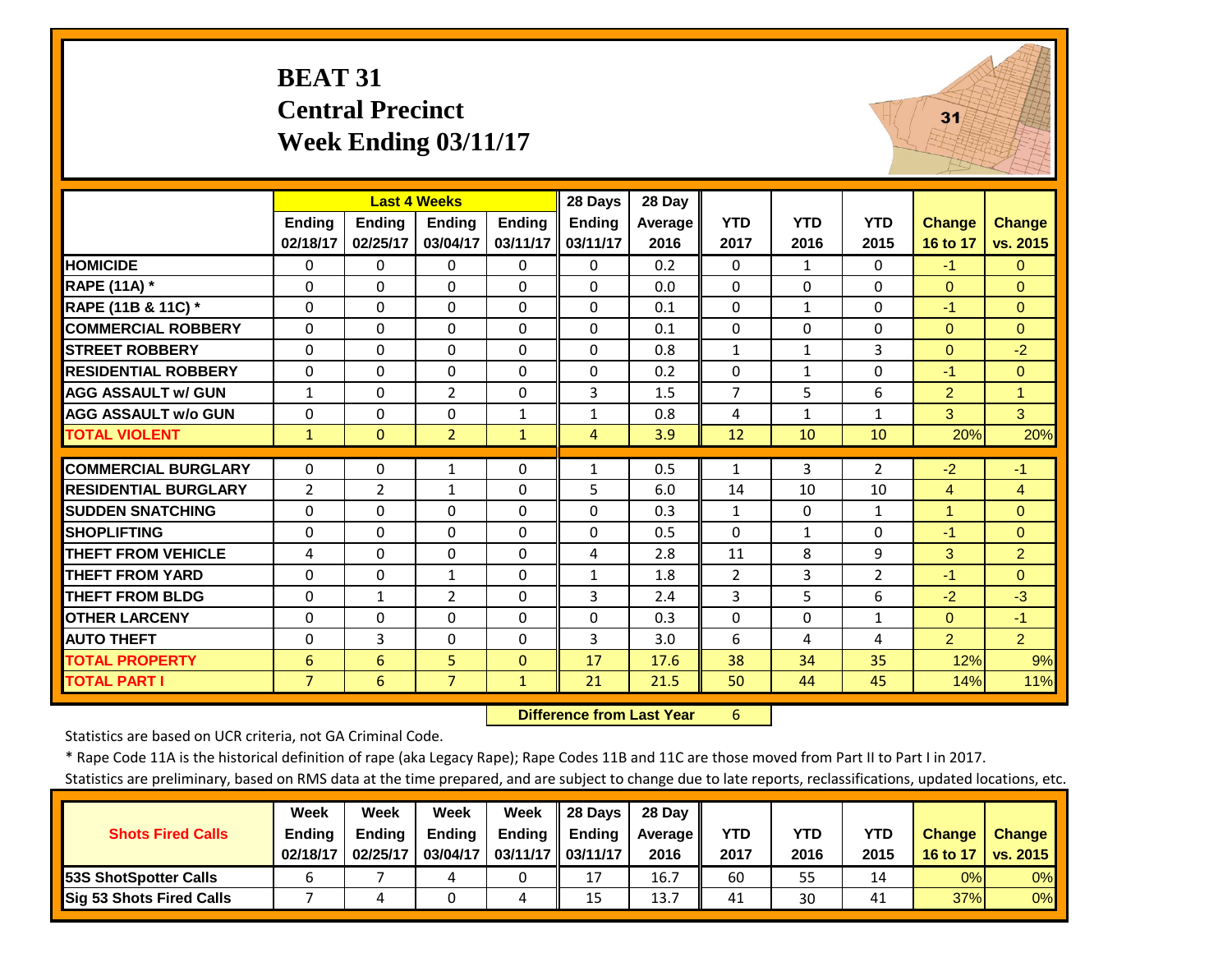### **BEAT 31 Central Precinct Week Ending 03/11/17**



|                             |                |                | <b>Last 4 Weeks</b> |               | 28 Days       | 28 Day  |                |              |                |                |                |
|-----------------------------|----------------|----------------|---------------------|---------------|---------------|---------|----------------|--------------|----------------|----------------|----------------|
|                             | <b>Ending</b>  | Ending         | <b>Endina</b>       | <b>Ending</b> | <b>Ending</b> | Average | <b>YTD</b>     | <b>YTD</b>   | <b>YTD</b>     | <b>Change</b>  | <b>Change</b>  |
|                             | 02/18/17       | 02/25/17       | 03/04/17            | 03/11/17      | 03/11/17      | 2016    | 2017           | 2016         | 2015           | 16 to 17       | vs. 2015       |
| <b>HOMICIDE</b>             | 0              | $\Omega$       | $\Omega$            | 0             | 0             | 0.2     | 0              | 1            | 0              | $-1$           | $\Omega$       |
| RAPE (11A) *                | $\Omega$       | $\Omega$       | $\Omega$            | $\Omega$      | $\Omega$      | 0.0     | $\Omega$       | $\Omega$     | $\Omega$       | $\Omega$       | $\Omega$       |
| RAPE (11B & 11C) *          | 0              | $\Omega$       | $\Omega$            | $\Omega$      | $\Omega$      | 0.1     | $\Omega$       | $\mathbf{1}$ | $\Omega$       | $-1$           | $\Omega$       |
| <b>COMMERCIAL ROBBERY</b>   | $\Omega$       | $\Omega$       | 0                   | $\Omega$      | $\Omega$      | 0.1     | $\Omega$       | $\Omega$     | $\Omega$       | $\mathbf{0}$   | $\Omega$       |
| <b>STREET ROBBERY</b>       | $\Omega$       | $\Omega$       | $\Omega$            | $\Omega$      | $\Omega$      | 0.8     | $\mathbf{1}$   | $\mathbf{1}$ | 3              | $\mathbf{0}$   | $-2$           |
| <b>RESIDENTIAL ROBBERY</b>  | $\Omega$       | $\Omega$       | $\Omega$            | $\Omega$      | $\Omega$      | 0.2     | $\Omega$       | $\mathbf{1}$ | 0              | $-1$           | $\Omega$       |
| <b>AGG ASSAULT W/ GUN</b>   | $\mathbf{1}$   | $\Omega$       | $\overline{2}$      | $\Omega$      | 3             | 1.5     | $\overline{7}$ | 5            | 6              | $\overline{2}$ | $\overline{1}$ |
| <b>AGG ASSAULT w/o GUN</b>  | $\Omega$       | $\Omega$       | 0                   | $\mathbf{1}$  | $\mathbf{1}$  | 0.8     | 4              | $\mathbf{1}$ | $\mathbf{1}$   | 3              | $\mathbf{3}$   |
| <b>TOTAL VIOLENT</b>        | $\mathbf{1}$   | $\Omega$       | $\overline{2}$      | $\mathbf{1}$  | 4             | 3.9     | 12             | 10           | 10             | 20%            | 20%            |
| <b>COMMERCIAL BURGLARY</b>  | $\Omega$       | 0              | 1                   | 0             | $\mathbf{1}$  | 0.5     | 1              | 3            | $\overline{2}$ | $-2$           | $-1$           |
|                             |                |                |                     |               |               |         |                |              |                |                |                |
| <b>RESIDENTIAL BURGLARY</b> | $\overline{2}$ | $\overline{2}$ | 1                   | 0             | 5             | 6.0     | 14             | 10           | 10             | $\overline{4}$ | 4              |
| <b>SUDDEN SNATCHING</b>     | 0              | 0              | $\mathbf 0$         | $\Omega$      | $\Omega$      | 0.3     | $\mathbf{1}$   | $\Omega$     | $\mathbf{1}$   | $\overline{1}$ | $\Omega$       |
| <b>SHOPLIFTING</b>          | $\Omega$       | $\Omega$       | $\Omega$            | $\Omega$      | $\Omega$      | 0.5     | $\Omega$       | $\mathbf{1}$ | 0              | $-1$           | $\Omega$       |
| <b>THEFT FROM VEHICLE</b>   | 4              | $\Omega$       | $\mathbf 0$         | 0             | 4             | 2.8     | 11             | 8            | 9              | 3              | $\overline{2}$ |
| <b>THEFT FROM YARD</b>      | 0              | $\Omega$       | 1                   | $\Omega$      | $\mathbf{1}$  | 1.8     | $\overline{2}$ | 3            | 2              | $-1$           | $\Omega$       |
| <b>THEFT FROM BLDG</b>      | $\Omega$       | $\mathbf{1}$   | $\overline{2}$      | $\Omega$      | 3             | 2.4     | 3              | 5.           | 6              | $-2$           | $-3$           |
| <b>OTHER LARCENY</b>        | $\Omega$       | 0              | $\Omega$            | $\Omega$      | $\Omega$      | 0.3     | $\Omega$       | $\Omega$     | $\mathbf{1}$   | $\Omega$       | $-1$           |
| <b>AUTO THEFT</b>           | $\Omega$       | 3              | $\Omega$            | 0             | 3             | 3.0     | 6              | 4            | 4              | $\overline{2}$ | $\overline{2}$ |
| <b>TOTAL PROPERTY</b>       | 6              | 6              | 5                   | $\Omega$      | 17            | 17.6    | 38             | 34           | 35             | 12%            | 9%             |
| <b>TOTAL PART I</b>         | $\overline{7}$ | 6              | $\overline{7}$      | $\mathbf{1}$  | 21            | 21.5    | 50             | 44           | 45             | 14%            | 11%            |

 **Difference from Last Year**r 6

Statistics are based on UCR criteria, not GA Criminal Code.

\* Rape Code 11A is the historical definition of rape (aka Legacy Rape); Rape Codes 11B and 11C are those moved from Part II to Part I in 2017.

|                                 | Week          | Week          | Week          | Week              | 28 Davs       | 28 Dav     |      |      |            |               |               |
|---------------------------------|---------------|---------------|---------------|-------------------|---------------|------------|------|------|------------|---------------|---------------|
| <b>Shots Fired Calls</b>        | <b>Ending</b> | <b>Ending</b> | <b>Ending</b> | <b>Ending</b>     | <b>Ending</b> | Average II | YTD  | YTD  | <b>YTD</b> | <b>Change</b> | <b>Change</b> |
|                                 | 02/18/17      | 02/25/17      | 03/04/17      | 03/11/17 03/11/17 |               | 2016       | 2017 | 2016 | 2015       | 16 to 17      | vs. 2015      |
| <b>153S ShotSpotter Calls</b>   |               |               |               |                   | 17            | 16.7       | 60   | 55   | 14         | 0%            | $0\%$         |
| <b>Sig 53 Shots Fired Calls</b> |               |               |               | 4                 | 15            | 13.7       | 41   | 30   | 41         | 37%           | 0%            |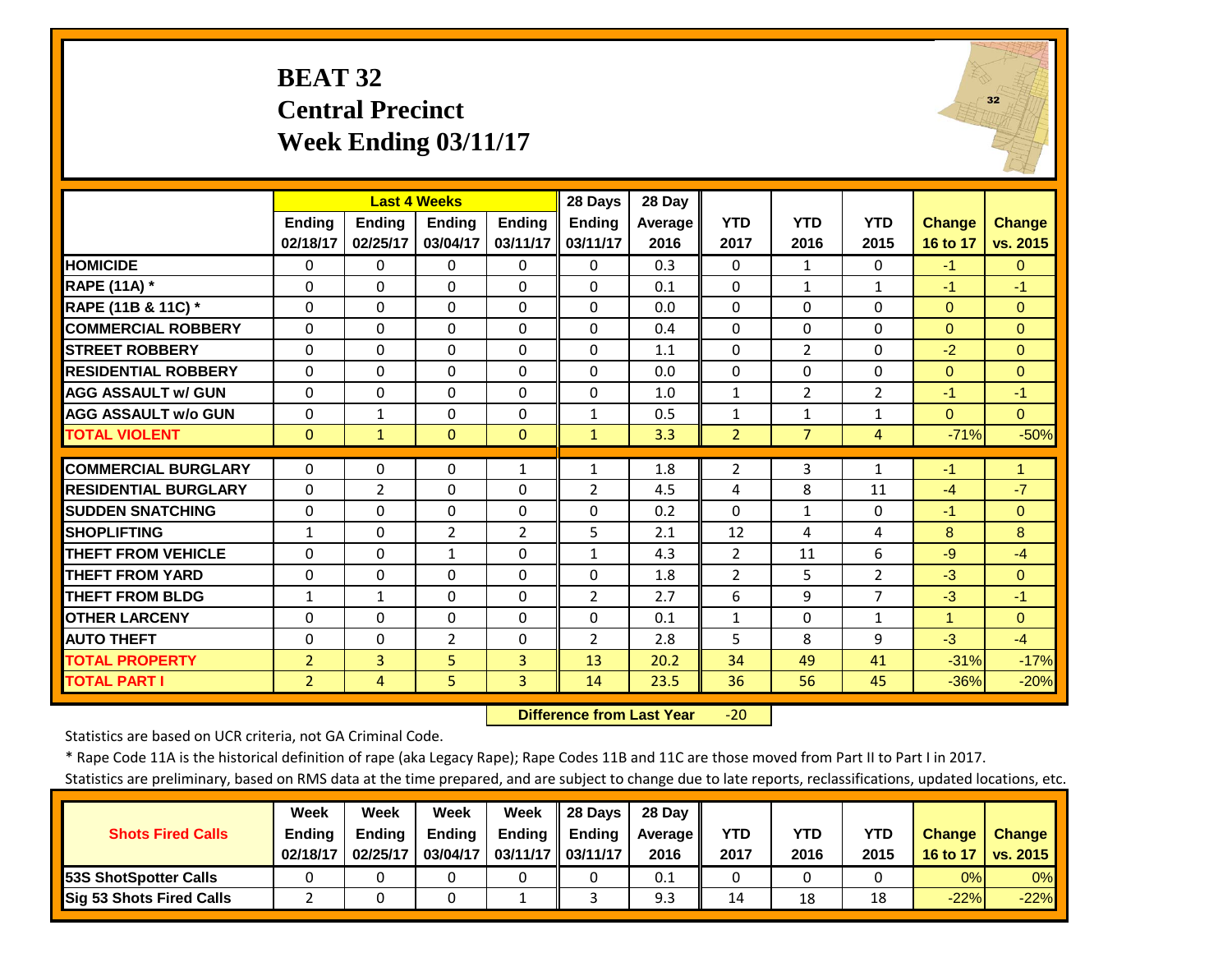### **BEAT 32 Central Precinct Week Ending 03/11/17**



|                             |                | <b>Last 4 Weeks</b> |                |                | 28 Days        | 28 Day  |                |                |                |               |               |
|-----------------------------|----------------|---------------------|----------------|----------------|----------------|---------|----------------|----------------|----------------|---------------|---------------|
|                             | <b>Ending</b>  | <b>Ending</b>       | <b>Endina</b>  | <b>Ending</b>  | <b>Ending</b>  | Average | <b>YTD</b>     | <b>YTD</b>     | <b>YTD</b>     | <b>Change</b> | <b>Change</b> |
|                             | 02/18/17       | 02/25/17            | 03/04/17       | 03/11/17       | 03/11/17       | 2016    | 2017           | 2016           | 2015           | 16 to 17      | vs. 2015      |
| <b>HOMICIDE</b>             | 0              | $\Omega$            | $\Omega$       | $\Omega$       | $\Omega$       | 0.3     | $\Omega$       | $\mathbf{1}$   | $\Omega$       | $-1$          | $\Omega$      |
| <b>RAPE (11A) *</b>         | $\Omega$       | $\Omega$            | $\Omega$       | $\Omega$       | $\Omega$       | 0.1     | $\mathbf 0$    | $\mathbf{1}$   | 1              | $-1$          | $-1$          |
| RAPE (11B & 11C) *          | $\Omega$       | $\Omega$            | $\Omega$       | $\Omega$       | $\Omega$       | 0.0     | $\Omega$       | $\Omega$       | $\Omega$       | $\Omega$      | $\Omega$      |
| <b>COMMERCIAL ROBBERY</b>   | $\Omega$       | $\Omega$            | $\Omega$       | $\Omega$       | $\Omega$       | 0.4     | $\Omega$       | $\Omega$       | $\Omega$       | $\Omega$      | $\Omega$      |
| <b>STREET ROBBERY</b>       | $\Omega$       | $\Omega$            | $\Omega$       | $\Omega$       | $\Omega$       | 1.1     | $\Omega$       | 2              | $\Omega$       | $-2$          | $\Omega$      |
| <b>RESIDENTIAL ROBBERY</b>  | $\Omega$       | $\Omega$            | $\Omega$       | $\Omega$       | $\Omega$       | 0.0     | $\Omega$       | $\Omega$       | $\Omega$       | $\Omega$      | $\Omega$      |
| <b>AGG ASSAULT w/ GUN</b>   | $\Omega$       | $\Omega$            | $\Omega$       | $\Omega$       | $\Omega$       | 1.0     | $\mathbf{1}$   | $\overline{2}$ | 2              | $-1$          | $-1$          |
| <b>AGG ASSAULT w/o GUN</b>  | 0              | $\mathbf{1}$        | 0              | 0              | 1              | 0.5     | $\mathbf{1}$   | $\mathbf{1}$   | $\overline{1}$ | $\Omega$      | $\Omega$      |
| <b>TOTAL VIOLENT</b>        | $\mathbf{0}$   | $\mathbf{1}$        | $\Omega$       | $\Omega$       | $\mathbf{1}$   | 3.3     | $\overline{2}$ | $\overline{7}$ | 4              | $-71%$        | $-50%$        |
| <b>COMMERCIAL BURGLARY</b>  | $\Omega$       | $\Omega$            | $\Omega$       | $\mathbf{1}$   | $\mathbf{1}$   | 1.8     | 2              | 3              | 1              | -1            | 1             |
| <b>RESIDENTIAL BURGLARY</b> | $\Omega$       | $\overline{2}$      | $\Omega$       | $\Omega$       | $\overline{2}$ | 4.5     | 4              | 8              | 11             | $-4$          | $-7$          |
|                             |                |                     |                |                |                |         |                |                |                |               |               |
| <b>SUDDEN SNATCHING</b>     | $\Omega$       | 0                   | $\Omega$       | $\Omega$       | $\Omega$       | 0.2     | $\Omega$       | $\mathbf{1}$   | $\Omega$       | -1            | $\Omega$      |
| <b>SHOPLIFTING</b>          | $\mathbf{1}$   | $\Omega$            | $\overline{2}$ | $\overline{2}$ | 5              | 2.1     | 12             | 4              | 4              | 8             | 8             |
| <b>THEFT FROM VEHICLE</b>   | $\Omega$       | $\Omega$            | $\mathbf{1}$   | $\Omega$       | $\mathbf{1}$   | 4.3     | $\overline{2}$ | 11             | 6              | $-9$          | $-4$          |
| <b>THEFT FROM YARD</b>      | 0              | 0                   | $\Omega$       | $\Omega$       | 0              | 1.8     | 2              | 5              | $\overline{2}$ | $-3$          | $\Omega$      |
| <b>THEFT FROM BLDG</b>      | 1              | $\mathbf{1}$        | $\Omega$       | $\Omega$       | $\overline{2}$ | 2.7     | 6              | 9              | 7              | $-3$          | $-1$          |
| <b>OTHER LARCENY</b>        | $\Omega$       | $\Omega$            | $\Omega$       | $\Omega$       | $\Omega$       | 0.1     | $\mathbf{1}$   | $\Omega$       | $\mathbf{1}$   | $\mathbf{1}$  | $\Omega$      |
| <b>AUTO THEFT</b>           | $\Omega$       | $\Omega$            | $\overline{2}$ | $\Omega$       | $\overline{2}$ | 2.8     | 5              | 8              | 9              | $-3$          | $-4$          |
| <b>TOTAL PROPERTY</b>       | $\overline{2}$ | 3                   | 5              | 3              | 13             | 20.2    | 34             | 49             | 41             | $-31%$        | $-17%$        |
| <b>TOTAL PART I</b>         | $\overline{2}$ | 4                   | 5              | 3              | 14             | 23.5    | 36             | 56             | 45             | $-36%$        | $-20%$        |

 **Difference from Last Year**‐20

Statistics are based on UCR criteria, not GA Criminal Code.

\* Rape Code 11A is the historical definition of rape (aka Legacy Rape); Rape Codes 11B and 11C are those moved from Part II to Part I in 2017.

|                               | Week          | Week          | <b>Week</b>   | Week              | 28 Davs       | 28 Dav     |      |      |            |               |               |
|-------------------------------|---------------|---------------|---------------|-------------------|---------------|------------|------|------|------------|---------------|---------------|
| <b>Shots Fired Calls</b>      | <b>Ending</b> | <b>Endina</b> | <b>Ending</b> | <b>Ending</b>     | <b>Ending</b> | Average II | YTD  | YTD  | <b>YTD</b> | <b>Change</b> | <b>Change</b> |
|                               | 02/18/17      | 02/25/17      | 03/04/17      | 03/11/17 03/11/17 |               | 2016       | 2017 | 2016 | 2015       | 16 to 17      | vs. 2015      |
| <b>153S ShotSpotter Calls</b> |               |               |               |                   |               | 0.1        |      |      |            | 0%            | 0%            |
| Sig 53 Shots Fired Calls      |               |               |               |                   |               | 9.3        | 14   | 18   | 18         | $-22%$        | $-22%$        |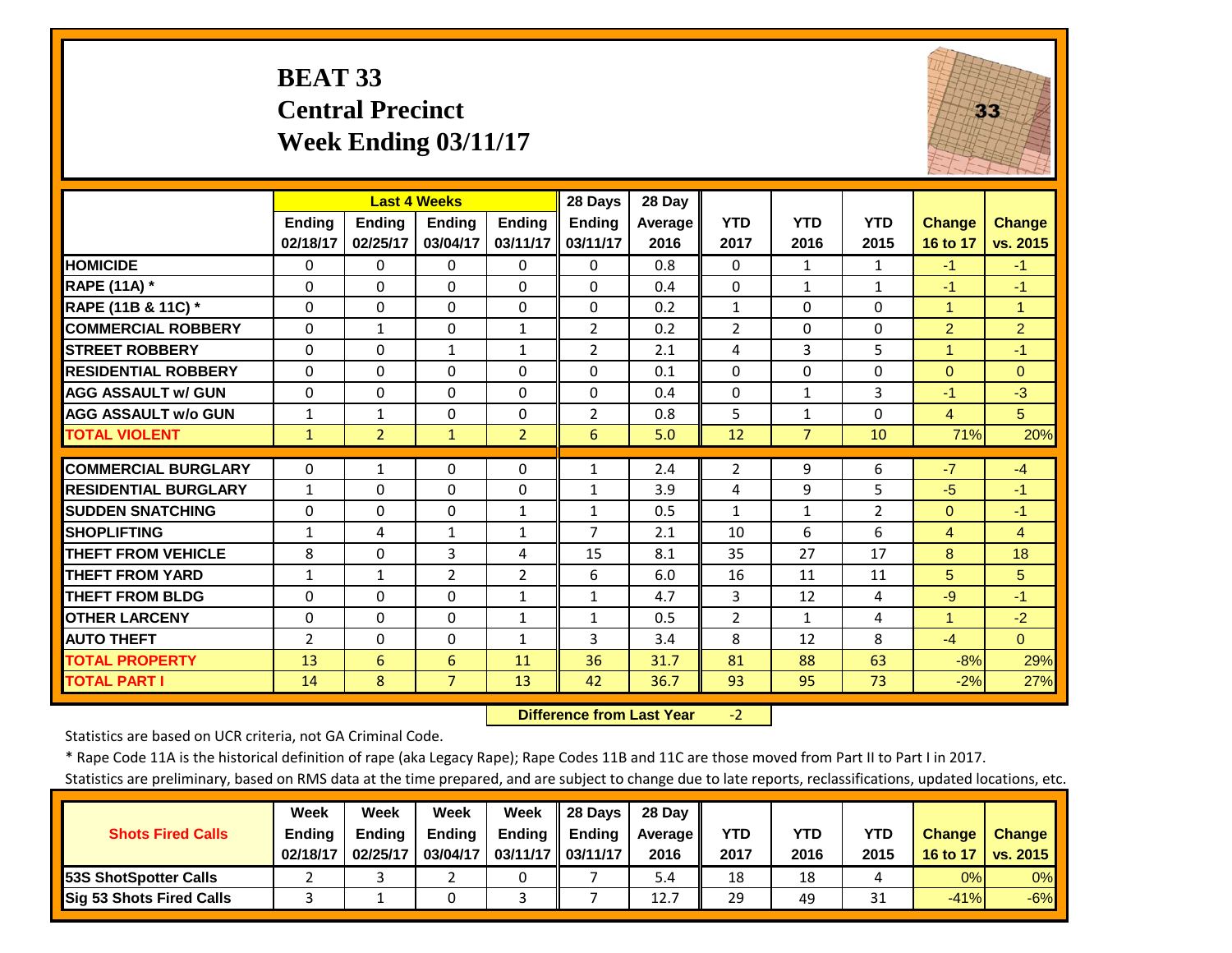#### **BEAT 33 Central Precinct Week Ending 03/11/17**



|                             |                | <b>Last 4 Weeks</b> |                |                | 28 Days        | 28 Day         |                |                |              |                      |                |
|-----------------------------|----------------|---------------------|----------------|----------------|----------------|----------------|----------------|----------------|--------------|----------------------|----------------|
|                             | Ending         | <b>Ending</b>       | <b>Ending</b>  | <b>Endina</b>  | <b>Ending</b>  | <b>Average</b> | <b>YTD</b>     | <b>YTD</b>     | <b>YTD</b>   | <b>Change</b>        | <b>Change</b>  |
|                             | 02/18/17       | 02/25/17            | 03/04/17       | 03/11/17       | 03/11/17       | 2016           | 2017           | 2016           | 2015         | 16 to 17             | vs. 2015       |
| <b>HOMICIDE</b>             | $\Omega$       | $\Omega$            | $\mathbf 0$    | $\Omega$       | $\Omega$       | 0.8            | $\Omega$       | $\mathbf{1}$   | $\mathbf{1}$ | $-1$                 | $-1$           |
| RAPE (11A) *                | $\Omega$       | $\Omega$            | $\Omega$       | $\Omega$       | $\Omega$       | 0.4            | $\Omega$       | $\mathbf{1}$   | $\mathbf{1}$ | $-1$                 | $-1$           |
| RAPE (11B & 11C) *          | $\Omega$       | $\Omega$            | $\Omega$       | $\Omega$       | $\Omega$       | 0.2            | $\mathbf{1}$   | $\Omega$       | 0            | $\mathbf{1}$         | $\overline{1}$ |
| <b>COMMERCIAL ROBBERY</b>   | $\Omega$       | 1                   | $\mathbf 0$    | 1              | $\overline{2}$ | 0.2            | $\overline{2}$ | $\Omega$       | 0            | $\overline{2}$       | $\overline{2}$ |
| <b>STREET ROBBERY</b>       | $\Omega$       | 0                   | $\mathbf{1}$   | $\mathbf{1}$   | $\overline{2}$ | 2.1            | 4              | 3              | 5            | $\blacktriangleleft$ | $-1$           |
| <b>RESIDENTIAL ROBBERY</b>  | $\Omega$       | 0                   | $\Omega$       | $\Omega$       | $\Omega$       | 0.1            | $\Omega$       | 0              | 0            | $\Omega$             | $\Omega$       |
| <b>AGG ASSAULT w/ GUN</b>   | $\Omega$       | 0                   | $\mathbf 0$    | $\Omega$       | 0              | 0.4            | $\Omega$       | 1              | 3            | $-1$                 | $-3$           |
| <b>AGG ASSAULT w/o GUN</b>  | 1              | $\mathbf{1}$        | 0              | $\Omega$       | $\overline{2}$ | 0.8            | 5              | 1              | 0            | $\overline{4}$       | 5              |
| <b>TOTAL VIOLENT</b>        | $\mathbf{1}$   | $\overline{2}$      | $\mathbf{1}$   | $\overline{2}$ | 6              | 5.0            | 12             | $\overline{7}$ | 10           | 71%                  | 20%            |
| <b>COMMERCIAL BURGLARY</b>  | 0              | 1                   | $\Omega$       | 0              | $\mathbf{1}$   | 2.4            | $\overline{2}$ | 9              | 6            | $-7$                 | $-4$           |
| <b>RESIDENTIAL BURGLARY</b> | 1              | 0                   | $\Omega$       | 0              | 1              | 3.9            | 4              | 9              | 5            | $-5$                 | $-1$           |
| <b>SUDDEN SNATCHING</b>     | $\Omega$       | 0                   | $\Omega$       | $\mathbf{1}$   | $\mathbf{1}$   | 0.5            | 1              | 1              | 2            | $\Omega$             | $-1$           |
| <b>SHOPLIFTING</b>          | $\mathbf{1}$   | 4                   | $\mathbf{1}$   | 1              | $\overline{7}$ | 2.1            | 10             | 6              | 6            | $\overline{4}$       | $\overline{4}$ |
| <b>THEFT FROM VEHICLE</b>   | 8              | 0                   | 3              | 4              | 15             | 8.1            | 35             | 27             | 17           | 8                    | 18             |
| <b>THEFT FROM YARD</b>      | 1              | $\mathbf{1}$        | $\overline{2}$ | $\overline{2}$ | 6              | 6.0            | 16             | 11             | 11           | 5                    | 5              |
| <b>THEFT FROM BLDG</b>      | $\Omega$       | $\Omega$            | $\mathbf 0$    | $\mathbf{1}$   | $\mathbf{1}$   | 4.7            | 3              | 12             | 4            | $-9$                 | $-1$           |
| <b>OTHER LARCENY</b>        | $\Omega$       | 0                   | $\Omega$       | $\mathbf{1}$   | $\mathbf{1}$   | 0.5            | $\overline{2}$ | $\mathbf{1}$   | 4            | $\blacktriangleleft$ | $-2$           |
| <b>AUTO THEFT</b>           | $\overline{2}$ | $\Omega$            | $\Omega$       | 1              | 3              | 3.4            | 8              | 12             | 8            | $-4$                 | $\Omega$       |
| <b>TOTAL PROPERTY</b>       | 13             | 6                   | 6              | 11             | 36             | 31.7           | 81             | 88             | 63           | $-8%$                | 29%            |
| <b>TOTAL PART I</b>         | 14             | 8                   | $\overline{7}$ | 13             | 42             | 36.7           | 93             | 95             | 73           | $-2%$                | 27%            |

 **Difference from Last Year**‐2

Statistics are based on UCR criteria, not GA Criminal Code.

\* Rape Code 11A is the historical definition of rape (aka Legacy Rape); Rape Codes 11B and 11C are those moved from Part II to Part I in 2017.

|                                 | Week          | Week          | Week          | Week              | 28 Davs       | 28 Day     |      |      |            |               |               |
|---------------------------------|---------------|---------------|---------------|-------------------|---------------|------------|------|------|------------|---------------|---------------|
| <b>Shots Fired Calls</b>        | <b>Ending</b> | <b>Ending</b> | <b>Ending</b> | <b>Ending</b>     | <b>Ending</b> | Average II | YTD  | YTD  | <b>YTD</b> | <b>Change</b> | <b>Change</b> |
|                                 | 02/18/17      | 02/25/17      | 03/04/17      | 03/11/17 03/11/17 |               | 2016       | 2017 | 2016 | 2015       | 16 to 17      | vs. 2015      |
| <b>153S ShotSpotter Calls</b>   |               |               |               |                   |               | 5.4        | 18   | 18   |            | 0%            | $0\%$         |
| <b>Sig 53 Shots Fired Calls</b> |               |               |               |                   |               | 12.7       | 29   | 49   | 31         | $-41%$        | $-6%$         |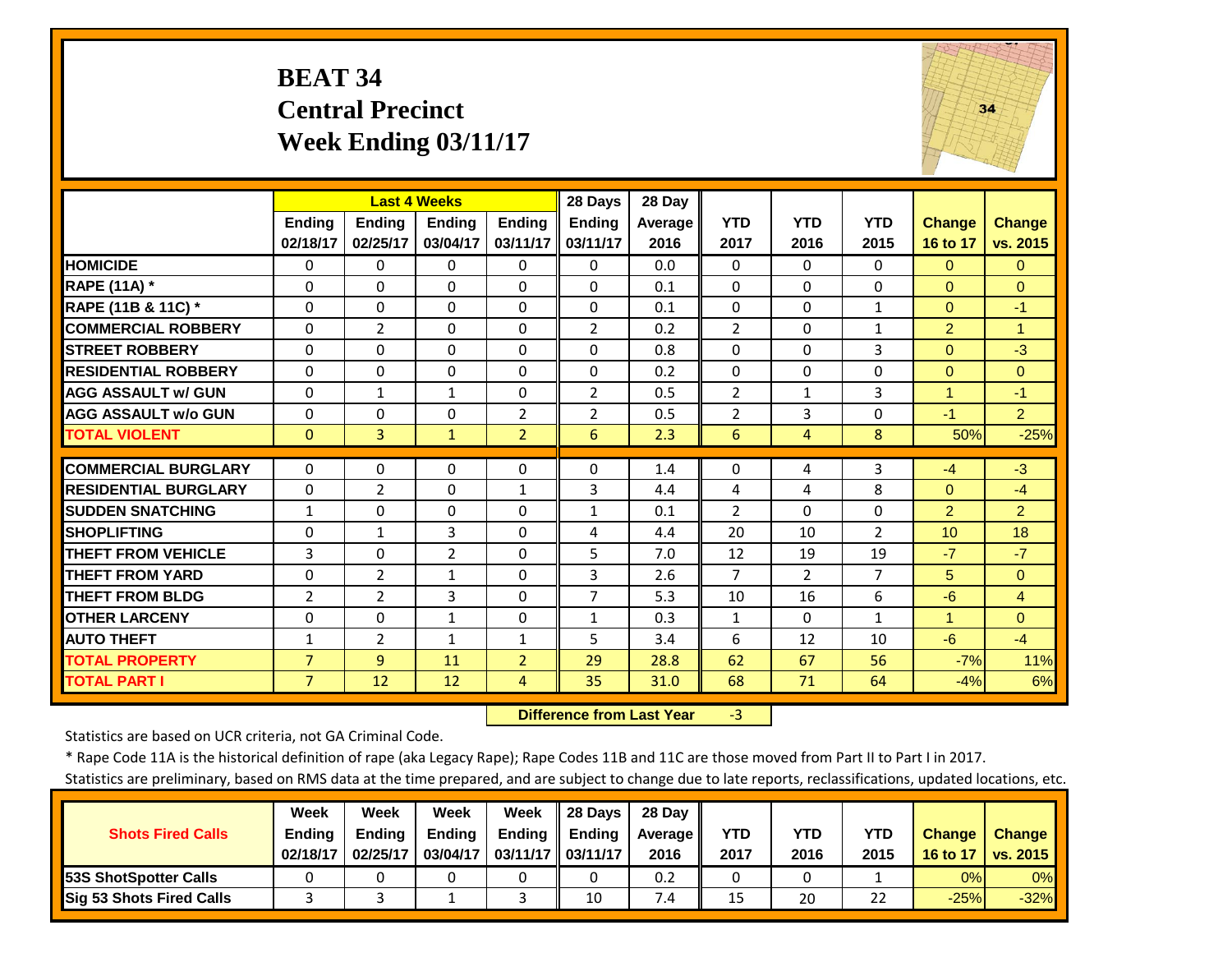#### **BEAT 34 Central Precinct Week Ending 03/11/17**



|                             |                | <b>Last 4 Weeks</b> |                |                | 28 Days        | 28 Day  |                |                |                |                      |                      |
|-----------------------------|----------------|---------------------|----------------|----------------|----------------|---------|----------------|----------------|----------------|----------------------|----------------------|
|                             | <b>Ending</b>  | <b>Ending</b>       | <b>Ending</b>  | <b>Endina</b>  | <b>Ending</b>  | Average | <b>YTD</b>     | <b>YTD</b>     | <b>YTD</b>     | <b>Change</b>        | <b>Change</b>        |
|                             | 02/18/17       | 02/25/17            | 03/04/17       | 03/11/17       | 03/11/17       | 2016    | 2017           | 2016           | 2015           | 16 to 17             | vs. 2015             |
| <b>HOMICIDE</b>             | $\Omega$       | $\Omega$            | $\Omega$       | $\Omega$       | 0              | 0.0     | $\Omega$       | $\Omega$       | $\Omega$       | $\Omega$             | $\Omega$             |
| <b>RAPE (11A) *</b>         | $\Omega$       | $\Omega$            | $\Omega$       | $\Omega$       | $\Omega$       | 0.1     | $\Omega$       | $\Omega$       | $\Omega$       | $\Omega$             | $\Omega$             |
| RAPE (11B & 11C) *          | $\Omega$       | $\Omega$            | $\Omega$       | $\Omega$       | $\Omega$       | 0.1     | $\Omega$       | $\Omega$       | $\mathbf{1}$   | $\Omega$             | $-1$                 |
| <b>COMMERCIAL ROBBERY</b>   | $\Omega$       | $\overline{2}$      | $\Omega$       | $\Omega$       | $\overline{2}$ | 0.2     | $\overline{2}$ | $\Omega$       | $\mathbf{1}$   | $\overline{2}$       | $\blacktriangleleft$ |
| <b>STREET ROBBERY</b>       | 0              | $\Omega$            | $\Omega$       | 0              | $\Omega$       | 0.8     | $\Omega$       | $\Omega$       | 3              | $\mathbf{0}$         | $-3$                 |
| <b>RESIDENTIAL ROBBERY</b>  | $\Omega$       | $\Omega$            | $\Omega$       | $\Omega$       | $\Omega$       | 0.2     | $\Omega$       | $\Omega$       | 0              | $\Omega$             | $\Omega$             |
| <b>AGG ASSAULT w/ GUN</b>   | $\Omega$       | $\mathbf{1}$        | $\mathbf{1}$   | $\Omega$       | $\overline{2}$ | 0.5     | $\overline{2}$ | $\mathbf{1}$   | 3              | $\overline{1}$       | $-1$                 |
| <b>AGG ASSAULT w/o GUN</b>  | $\Omega$       | $\Omega$            | 0              | $\overline{2}$ | $\overline{2}$ | 0.5     | $\overline{2}$ | 3              | 0              | $-1$                 | 2 <sup>1</sup>       |
| <b>TOTAL VIOLENT</b>        | $\mathbf{0}$   | 3                   | $\mathbf{1}$   | $\overline{2}$ | 6              | 2.3     | 6              | 4              | 8              | 50%                  | $-25%$               |
| <b>COMMERCIAL BURGLARY</b>  | $\Omega$       | $\Omega$            | $\Omega$       | $\Omega$       | $\Omega$       | 1.4     | $\Omega$       | 4              | 3              | $-4$                 | $-3$                 |
|                             |                |                     |                |                |                |         |                |                |                |                      |                      |
| <b>RESIDENTIAL BURGLARY</b> | $\Omega$       | $\overline{2}$      | $\Omega$       | $\mathbf{1}$   | 3              | 4.4     | 4              | 4              | 8              | $\mathbf{0}$         | $-4$                 |
| <b>SUDDEN SNATCHING</b>     | $\mathbf{1}$   | $\Omega$            | $\Omega$       | $\Omega$       | $\mathbf{1}$   | 0.1     | $\overline{2}$ | $\Omega$       | 0              | $\overline{2}$       | $\overline{2}$       |
| <b>SHOPLIFTING</b>          | $\Omega$       | $\mathbf{1}$        | 3              | $\Omega$       | 4              | 4.4     | 20             | 10             | $\overline{2}$ | 10                   | 18                   |
| <b>THEFT FROM VEHICLE</b>   | 3              | $\Omega$            | $\overline{2}$ | $\Omega$       | 5              | 7.0     | 12             | 19             | 19             | $-7$                 | $-7$                 |
| <b>THEFT FROM YARD</b>      | $\Omega$       | $\overline{2}$      | $\mathbf{1}$   | 0              | 3              | 2.6     | $\overline{7}$ | $\mathfrak{D}$ | $\overline{7}$ | 5                    | $\Omega$             |
| <b>THEFT FROM BLDG</b>      | $\overline{2}$ | $\overline{2}$      | 3              | $\Omega$       | $\overline{7}$ | 5.3     | 10             | 16             | 6              | $-6$                 | $\overline{4}$       |
| <b>OTHER LARCENY</b>        | $\Omega$       | $\Omega$            | $\mathbf{1}$   | $\Omega$       | $\mathbf{1}$   | 0.3     | 1              | $\Omega$       | $\mathbf{1}$   | $\blacktriangleleft$ | $\Omega$             |
| <b>AUTO THEFT</b>           | $\mathbf 1$    | $\overline{2}$      | $\mathbf{1}$   | $\mathbf{1}$   | 5              | 3.4     | 6              | 12             | 10             | $-6$                 | $-4$                 |
| <b>TOTAL PROPERTY</b>       | $\overline{7}$ | 9                   | 11             | $\overline{2}$ | 29             | 28.8    | 62             | 67             | 56             | $-7%$                | 11%                  |
| <b>TOTAL PART I</b>         | $\overline{7}$ | 12                  | 12             | 4              | 35             | 31.0    | 68             | 71             | 64             | $-4%$                | 6%                   |

 **Difference from Last Year**r -3

Statistics are based on UCR criteria, not GA Criminal Code.

\* Rape Code 11A is the historical definition of rape (aka Legacy Rape); Rape Codes 11B and 11C are those moved from Part II to Part I in 2017.

|                                 | Week          | Week          | Week          | Week              | 28 Davs       | 28 Day     |      |      |      |               |               |
|---------------------------------|---------------|---------------|---------------|-------------------|---------------|------------|------|------|------|---------------|---------------|
| <b>Shots Fired Calls</b>        | <b>Ending</b> | <b>Ending</b> | <b>Ending</b> | <b>Ending</b>     | <b>Ending</b> | Average II | YTD  | YTD  | YTD  | <b>Change</b> | <b>Change</b> |
|                                 | 02/18/17      | 02/25/17      | 03/04/17      | 03/11/17 03/11/17 |               | 2016       | 2017 | 2016 | 2015 | 16 to 17      | vs. 2015      |
| <b>153S ShotSpotter Calls</b>   |               |               |               |                   |               | 0.2        |      |      |      | 0%            | 0%            |
| <b>Sig 53 Shots Fired Calls</b> |               |               |               |                   | 10            | 7.4        | 15   | 20   | 22   | $-25%$        | $-32%$        |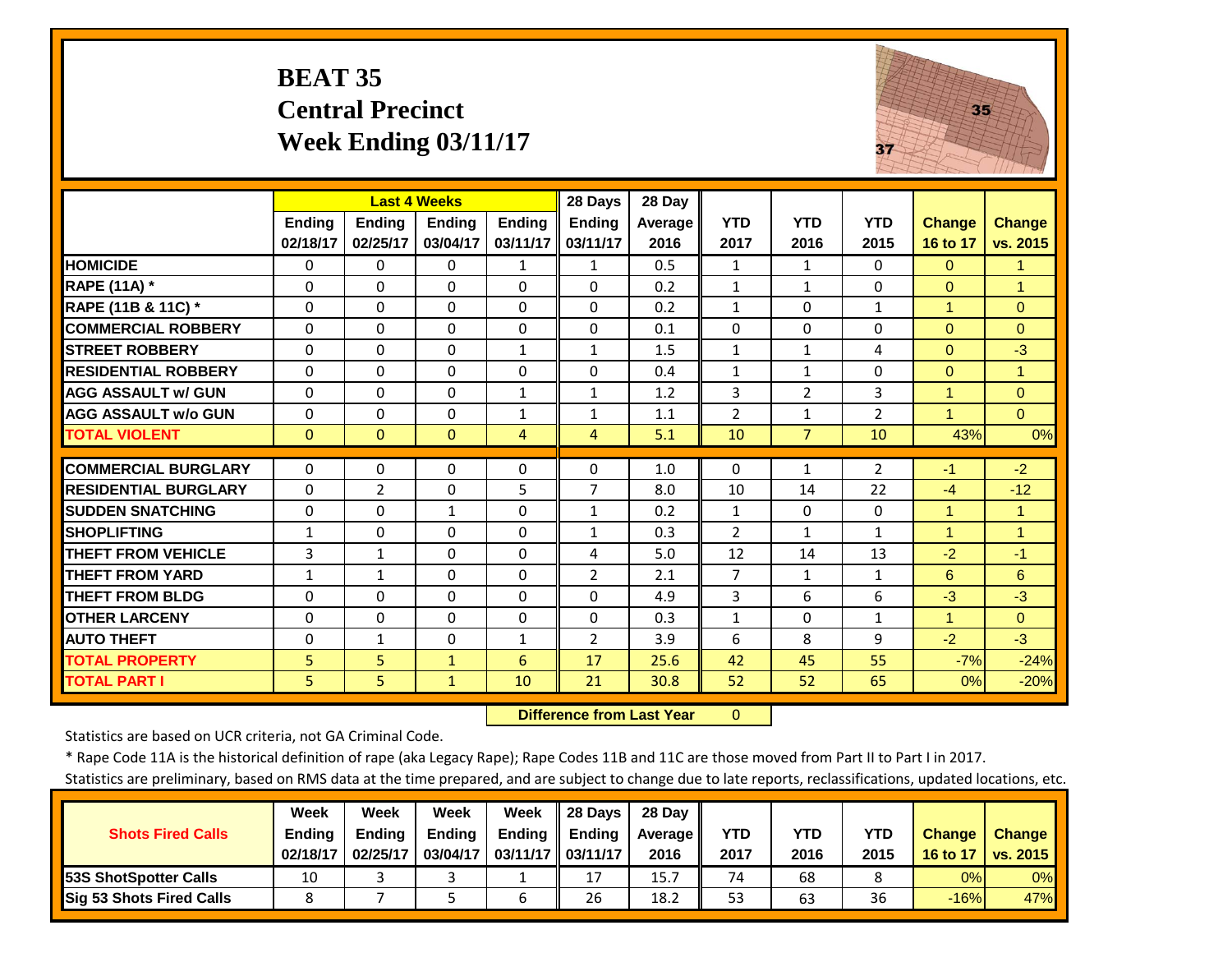### **BEAT 35 Central Precinct Week Ending 03/11/17**



|                             |               |                | <b>Last 4 Weeks</b> |              | 28 Days        | 28 Day  |                |                |                |                      |                      |
|-----------------------------|---------------|----------------|---------------------|--------------|----------------|---------|----------------|----------------|----------------|----------------------|----------------------|
|                             | <b>Ending</b> | <b>Ending</b>  | Ending              | Ending       | <b>Ending</b>  | Average | <b>YTD</b>     | <b>YTD</b>     | <b>YTD</b>     | <b>Change</b>        | <b>Change</b>        |
|                             | 02/18/17      | 02/25/17       | 03/04/17            | 03/11/17     | 03/11/17       | 2016    | 2017           | 2016           | 2015           | 16 to 17             | vs. 2015             |
| <b>HOMICIDE</b>             | $\Omega$      | 0              | $\Omega$            | $\mathbf{1}$ | $\mathbf{1}$   | 0.5     | $\mathbf{1}$   | $\mathbf{1}$   | 0              | $\mathbf{0}$         | 1                    |
| RAPE (11A) *                | $\Omega$      | 0              | $\Omega$            | $\Omega$     | $\Omega$       | 0.2     | $\mathbf{1}$   | $\mathbf{1}$   | $\Omega$       | $\Omega$             | $\overline{1}$       |
| RAPE (11B & 11C) *          | $\Omega$      | 0              | $\Omega$            | $\Omega$     | $\Omega$       | 0.2     | $1\,$          | $\Omega$       | $\mathbf{1}$   | $\mathbf{1}$         | $\overline{0}$       |
| <b>COMMERCIAL ROBBERY</b>   | $\Omega$      | 0              | $\Omega$            | $\Omega$     | $\Omega$       | 0.1     | $\Omega$       | $\Omega$       | $\Omega$       | $\Omega$             | $\Omega$             |
| <b>STREET ROBBERY</b>       | $\Omega$      | 0              | $\Omega$            | $\mathbf{1}$ | $\mathbf{1}$   | 1.5     | $1\,$          | $\mathbf{1}$   | 4              | $\Omega$             | $-3$                 |
| <b>RESIDENTIAL ROBBERY</b>  | $\Omega$      | 0              | $\Omega$            | $\Omega$     | $\Omega$       | 0.4     | $\mathbf{1}$   | $\mathbf{1}$   | $\Omega$       | $\mathbf{0}$         | $\blacktriangleleft$ |
| <b>AGG ASSAULT w/ GUN</b>   | $\Omega$      | 0              | $\mathbf 0$         | $\mathbf{1}$ | $\mathbf{1}$   | 1.2     | 3              | $\overline{2}$ | 3              | 1                    | $\Omega$             |
| <b>AGG ASSAULT w/o GUN</b>  | $\Omega$      | 0              | $\Omega$            | $\mathbf{1}$ | $\mathbf{1}$   | 1.1     | $\overline{2}$ | $\mathbf{1}$   | $\overline{2}$ | $\overline{1}$       | $\overline{0}$       |
| <b>TOTAL VIOLENT</b>        | $\Omega$      | $\overline{0}$ | $\Omega$            | 4            | 4              | 5.1     | 10             | $\overline{7}$ | 10             | 43%                  | 0%                   |
| <b>COMMERCIAL BURGLARY</b>  | $\Omega$      |                |                     |              |                |         |                |                |                | $-1$                 |                      |
|                             |               | 0              | $\Omega$            | $\Omega$     | $\Omega$       | 1.0     | $\Omega$       | $\mathbf{1}$   | $\overline{2}$ |                      | $-2$                 |
| <b>RESIDENTIAL BURGLARY</b> | $\Omega$      | $\overline{2}$ | $\Omega$            | 5            | $\overline{7}$ | 8.0     | 10             | 14             | 22             | $-4$                 | $-12$                |
| <b>SUDDEN SNATCHING</b>     | $\Omega$      | 0              | 1                   | $\Omega$     | 1              | 0.2     | 1              | $\Omega$       | $\Omega$       |                      | 1                    |
| <b>SHOPLIFTING</b>          | 1             | 0              | $\Omega$            | $\Omega$     | $\mathbf{1}$   | 0.3     | $\overline{2}$ | $\mathbf{1}$   | $\mathbf{1}$   | $\blacktriangleleft$ | $\overline{1}$       |
| <b>THEFT FROM VEHICLE</b>   | 3             | $\mathbf{1}$   | $\Omega$            | $\Omega$     | 4              | 5.0     | 12             | 14             | 13             | $-2$                 | $-1$                 |
| <b>THEFT FROM YARD</b>      | 1             | $\mathbf{1}$   | $\Omega$            | $\Omega$     | $\overline{2}$ | 2.1     | $\overline{7}$ | 1              | $\mathbf{1}$   | 6                    | 6                    |
| <b>THEFT FROM BLDG</b>      | $\Omega$      | 0              | $\Omega$            | $\Omega$     | $\Omega$       | 4.9     | 3              | 6              | 6              | $-3$                 | $-3$                 |
| <b>OTHER LARCENY</b>        | $\Omega$      | $\Omega$       | $\Omega$            | $\Omega$     | $\Omega$       | 0.3     | $\mathbf{1}$   | $\Omega$       | $\mathbf{1}$   | $\overline{1}$       | $\Omega$             |
| <b>AUTO THEFT</b>           | $\Omega$      | $\mathbf{1}$   | $\Omega$            | $\mathbf{1}$ | $\overline{2}$ | 3.9     | 6              | 8              | 9              | $-2$                 | $-3$                 |
| <b>TOTAL PROPERTY</b>       | 5             | 5              | $\mathbf{1}$        | 6            | 17             | 25.6    | 42             | 45             | 55             | $-7%$                | $-24%$               |
| <b>TOTAL PART I</b>         | 5             | 5              | $\mathbf{1}$        | 10           | 21             | 30.8    | 52             | 52             | 65             | 0%                   | $-20%$               |

 **Difference from Last Year**0

Statistics are based on UCR criteria, not GA Criminal Code.

\* Rape Code 11A is the historical definition of rape (aka Legacy Rape); Rape Codes 11B and 11C are those moved from Part II to Part I in 2017.

|                                 | Week          | Week          | Week          | Week              | 28 Davs       | 28 Day     |      |      |      |               |               |
|---------------------------------|---------------|---------------|---------------|-------------------|---------------|------------|------|------|------|---------------|---------------|
| <b>Shots Fired Calls</b>        | <b>Ending</b> | <b>Ending</b> | <b>Ending</b> | <b>Ending</b>     | <b>Ending</b> | Average II | YTD  | YTD  | YTD  | <b>Change</b> | <b>Change</b> |
|                                 | 02/18/17      | 02/25/17      | 03/04/17      | 03/11/17 03/11/17 |               | 2016       | 2017 | 2016 | 2015 | 16 to 17      | vs. 2015      |
| <b>153S ShotSpotter Calls</b>   | 10            |               |               |                   | 17            | 15.7       | 74   | 68   |      | 0%            | 0%            |
| <b>Sig 53 Shots Fired Calls</b> |               |               |               |                   | 26            | 18.2       | 53   | 63   | 36   | $-16%$        | 47%           |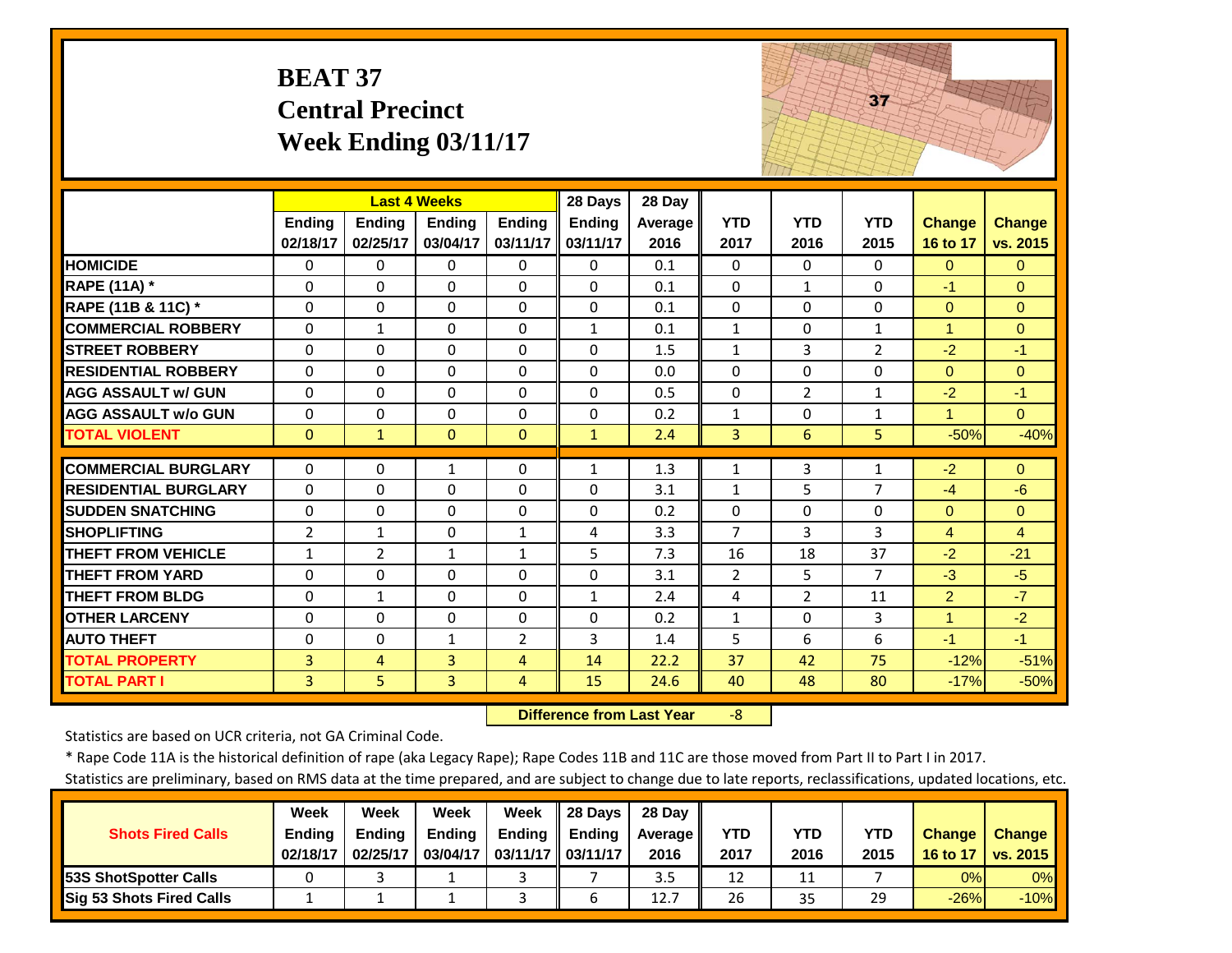# **BEAT 37 Central Precinct Week Ending 03/11/17**



|                             |                |                | <b>Last 4 Weeks</b> |                | 28 Days      | 28 Day         |                |                |                |                      |                |
|-----------------------------|----------------|----------------|---------------------|----------------|--------------|----------------|----------------|----------------|----------------|----------------------|----------------|
|                             | <b>Ending</b>  | <b>Endina</b>  | <b>Endina</b>       | <b>Ending</b>  | Ending       | <b>Average</b> | <b>YTD</b>     | <b>YTD</b>     | <b>YTD</b>     | <b>Change</b>        | <b>Change</b>  |
|                             | 02/18/17       | 02/25/17       | 03/04/17            | 03/11/17       | 03/11/17     | 2016           | 2017           | 2016           | 2015           | 16 to 17             | vs. 2015       |
| <b>HOMICIDE</b>             | $\Omega$       | 0              | 0                   | $\Omega$       | $\Omega$     | 0.1            | 0              | 0              | $\Omega$       | $\Omega$             | $\Omega$       |
| <b>RAPE (11A) *</b>         | $\Omega$       | 0              | $\Omega$            | $\Omega$       | $\Omega$     | 0.1            | $\Omega$       | $\mathbf{1}$   | $\Omega$       | $-1$                 | $\Omega$       |
| RAPE (11B & 11C) *          | $\mathbf{0}$   | 0              | $\Omega$            | $\Omega$       | $\Omega$     | 0.1            | $\Omega$       | $\Omega$       | $\Omega$       | $\Omega$             | $\Omega$       |
| <b>COMMERCIAL ROBBERY</b>   | $\Omega$       | $\mathbf{1}$   | $\Omega$            | $\Omega$       | $\mathbf{1}$ | 0.1            | $\mathbf{1}$   | $\Omega$       | $\mathbf{1}$   | $\mathbf{1}$         | $\Omega$       |
| <b>STREET ROBBERY</b>       | $\Omega$       | 0              | 0                   | $\Omega$       | $\Omega$     | 1.5            | $\mathbf{1}$   | 3              | $\overline{2}$ | $-2$                 | $-1$           |
| <b>RESIDENTIAL ROBBERY</b>  | $\Omega$       | 0              | 0                   | $\Omega$       | $\Omega$     | 0.0            | $\mathbf{0}$   | 0              | $\Omega$       | $\Omega$             | $\Omega$       |
| <b>AGG ASSAULT w/ GUN</b>   | $\Omega$       | 0              | $\Omega$            | $\Omega$       | $\Omega$     | 0.5            | $\mathbf{0}$   | $\overline{2}$ | $\mathbf{1}$   | $-2$                 | $-1$           |
| <b>AGG ASSAULT w/o GUN</b>  | $\Omega$       | 0              | $\Omega$            | $\Omega$       | $\Omega$     | 0.2            | $\mathbf{1}$   | $\Omega$       | $\mathbf{1}$   | $\blacktriangleleft$ | $\overline{0}$ |
| <b>TOTAL VIOLENT</b>        | $\mathbf{0}$   | $\mathbf{1}$   | $\Omega$            | $\Omega$       | $\mathbf{1}$ | 2.4            | 3              | 6              | 5 <sup>1</sup> | $-50%$               | $-40%$         |
| <b>COMMERCIAL BURGLARY</b>  | $\Omega$       | 0              | $\mathbf{1}$        | $\Omega$       | $\mathbf{1}$ | 1.3            | $\mathbf{1}$   | 3              | $\mathbf{1}$   | $-2$                 | $\Omega$       |
|                             |                |                |                     |                |              |                |                |                | $\overline{7}$ |                      |                |
| <b>RESIDENTIAL BURGLARY</b> | $\mathbf 0$    | 0              | $\Omega$            | $\Omega$       | $\Omega$     | 3.1            | $\mathbf{1}$   | 5              |                | $-4$                 | $-6$           |
| <b>SUDDEN SNATCHING</b>     | $\Omega$       | 0              | $\Omega$            | $\Omega$       | $\Omega$     | 0.2            | $\Omega$       | $\Omega$       | $\Omega$       | $\Omega$             | $\Omega$       |
| <b>SHOPLIFTING</b>          | $\overline{2}$ | $\mathbf{1}$   | $\Omega$            | 1              | 4            | 3.3            | $\overline{7}$ | 3              | 3              | $\overline{4}$       | $\overline{4}$ |
| <b>THEFT FROM VEHICLE</b>   | $\mathbf{1}$   | $\overline{2}$ | $\mathbf{1}$        | $\mathbf{1}$   | 5            | 7.3            | 16             | 18             | 37             | $-2$                 | $-21$          |
| <b>THEFT FROM YARD</b>      | $\Omega$       | 0              | 0                   | $\Omega$       | $\Omega$     | 3.1            | 2              | 5              | $\overline{7}$ | $-3$                 | $-5$           |
| <b>THEFT FROM BLDG</b>      | $\Omega$       | $\mathbf{1}$   | 0                   | $\Omega$       | $\mathbf{1}$ | 2.4            | 4              | $\overline{2}$ | 11             | 2                    | $-7$           |
| <b>OTHER LARCENY</b>        | $\Omega$       | 0              | $\Omega$            | $\Omega$       | $\Omega$     | 0.2            | 1              | 0              | 3              | 1                    | $-2$           |
| <b>AUTO THEFT</b>           | $\Omega$       | 0              | $\mathbf{1}$        | $\overline{2}$ | 3            | 1.4            | 5              | 6              | 6              | $-1$                 | $-1$           |
| <b>TOTAL PROPERTY</b>       | $\overline{3}$ | 4              | 3                   | 4              | 14           | 22.2           | 37             | 42             | 75             | $-12%$               | $-51%$         |
| <b>TOTAL PART I</b>         | 3              | 5.             | 3                   | $\overline{4}$ | 15           | 24.6           | 40             | 48             | 80             | $-17%$               | $-50%$         |

 **Difference from Last Year**‐8

Statistics are based on UCR criteria, not GA Criminal Code.

\* Rape Code 11A is the historical definition of rape (aka Legacy Rape); Rape Codes 11B and 11C are those moved from Part II to Part I in 2017.

|                                 | Week          | Week          | Week          | Week              | 28 Davs       | 28 Dav     |      |      |      |               |               |
|---------------------------------|---------------|---------------|---------------|-------------------|---------------|------------|------|------|------|---------------|---------------|
| <b>Shots Fired Calls</b>        | <b>Ending</b> | <b>Ending</b> | <b>Ending</b> | <b>Ending</b>     | <b>Ending</b> | Average II | YTD  | YTD  | YTD  | <b>Change</b> | <b>Change</b> |
|                                 | 02/18/17      | 02/25/17      | 03/04/17      | 03/11/17 03/11/17 |               | 2016       | 2017 | 2016 | 2015 | 16 to 17      | vs. 2015      |
| <b>153S ShotSpotter Calls</b>   |               |               |               |                   |               | 3.5        | 12   | 11   |      | 0%            | $0\%$         |
| <b>Sig 53 Shots Fired Calls</b> |               |               |               |                   |               | 12.7       | 26   | 35   | 29   | $-26%$        | $-10%$        |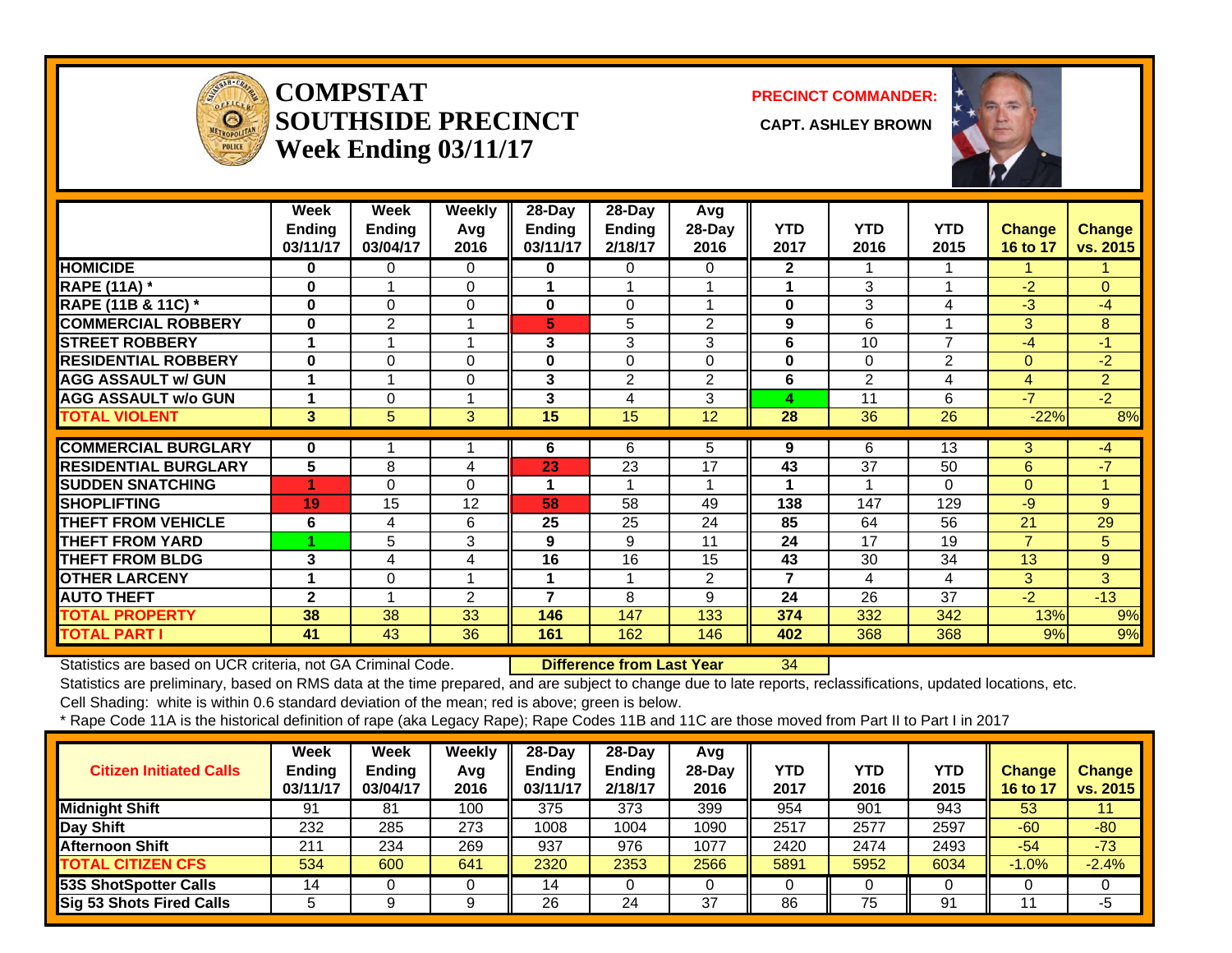

#### **COMPSTATSOUTHSIDE PRECINCT** CAPT. ASHLEY BROWN **Week Ending 03/11/17**

**PRECINCT COMMANDER:**



|                             | Week          | Week          | <b>Weekly</b> | 28-Day          | 28-Day        | Avg            |                |                |                 |                |                |
|-----------------------------|---------------|---------------|---------------|-----------------|---------------|----------------|----------------|----------------|-----------------|----------------|----------------|
|                             | <b>Ending</b> | <b>Ending</b> | Avg           | <b>Ending</b>   | <b>Ending</b> | $28-Day$       | <b>YTD</b>     | <b>YTD</b>     | <b>YTD</b>      | <b>Change</b>  | <b>Change</b>  |
|                             | 03/11/17      | 03/04/17      | 2016          | 03/11/17        | 2/18/17       | 2016           | 2017           | 2016           | 2015            | 16 to 17       | vs. 2015       |
| <b>HOMICIDE</b>             | 0             | 0             | $\Omega$      | 0               | $\mathbf{0}$  | 0              | $\mathbf{2}$   |                |                 |                |                |
| <b>RAPE (11A)</b> *         | 0             | 1             | $\Omega$      | 1               | 1             |                | -1             | 3              |                 | $-2$           | $\mathbf{0}$   |
| RAPE (11B & 11C) *          | $\bf{0}$      | 0             | $\mathbf 0$   | 0               | 0             |                | $\bf{0}$       | 3              | 4               | $-3$           | -4             |
| <b>COMMERCIAL ROBBERY</b>   | 0             | 2             | 1             | 5               | 5             | $\overline{2}$ | 9              | 6              |                 | 3              | 8              |
| <b>STREET ROBBERY</b>       | 1             |               | 1             | 3               | 3             | 3              | 6              | 10             | $\overline{7}$  | $-4$           | $-1$           |
| <b>RESIDENTIAL ROBBERY</b>  | $\bf{0}$      | $\Omega$      | $\Omega$      | 0               | $\Omega$      | 0              | $\bf{0}$       | $\Omega$       | $\overline{2}$  | $\Omega$       | $-2$           |
| <b>AGG ASSAULT w/ GUN</b>   | 1             |               | $\Omega$      | 3               | 2             | $\overline{2}$ | 6              | $\overline{2}$ | 4               | 4              | $\overline{2}$ |
| <b>AGG ASSAULT w/o GUN</b>  |               | 0             | 1             | 3               | 4             | 3              | 4              | 11             | 6               | $-7$           | $-2$           |
| <b>TOTAL VIOLENT</b>        | 3             | 5             | 3             | $\overline{15}$ | 15            | 12             | 28             | 36             | 26              | $-22%$         | 8%             |
|                             |               |               |               |                 |               |                |                |                |                 |                |                |
| <b>COMMERCIAL BURGLARY</b>  | 0             |               |               | 6               | 6             | 5              | 9              | 6              | 13              | 3              | -4             |
| <b>RESIDENTIAL BURGLARY</b> | 5             | 8             | 4             | 23              | 23            | 17             | 43             | 37             | 50              | 6              | $-7$           |
| <b>SUDDEN SNATCHING</b>     | 4             | $\Omega$      | $\Omega$      | 1               |               |                |                |                | $\Omega$        | $\Omega$       | 1              |
| <b>SHOPLIFTING</b>          | 19            | 15            | 12            | 58              | 58            | 49             | 138            | 147            | 129             | -9             | 9              |
| <b>THEFT FROM VEHICLE</b>   | 6             | 4             | 6             | 25              | 25            | 24             | 85             | 64             | 56              | 21             | 29             |
| <b>THEFT FROM YARD</b>      | A             | 5             | 3             | 9               | 9             | 11             | 24             | 17             | 19              | $\overline{7}$ | 5              |
| <b>THEFT FROM BLDG</b>      | 3             | 4             | 4             | 16              | 16            | 15             | 43             | 30             | 34              | 13             | $\overline{9}$ |
| <b>OTHER LARCENY</b>        | 4             | $\Omega$      | 1             | 1               | 1             | 2              | $\overline{7}$ | 4              | 4               | 3              | 3              |
| <b>AUTO THEFT</b>           | $\mathbf{2}$  |               | 2             | 7               | 8             | 9              | 24             | 26             | $\overline{37}$ | $-2$           | $-13$          |
| <b>TOTAL PROPERTY</b>       | 38            | 38            | 33            | 146             | 147           | 133            | 374            | 332            | 342             | 13%            | 9%             |
| <b>TOTAL PART I</b>         | 41            | 43            | 36            | 161             | 162           | 146            | 402            | 368            | 368             | 9%             | 9%             |

Statistics are based on UCR criteria, not GA Criminal Code. **Difference from Last Year** 34

Statistics are preliminary, based on RMS data at the time prepared, and are subject to change due to late reports, reclassifications, updated locations, etc.

Cell Shading: white is within 0.6 standard deviation of the mean; red is above; green is below.

| <b>Citizen Initiated Calls</b>  | Week<br><b>Ending</b><br>03/11/17 | <b>Week</b><br><b>Ending</b><br>03/04/17 | Weekly<br>Avg<br>2016 | 28-Dav<br><b>Ending</b><br>03/11/17 | $28-Dav$<br><b>Ending</b><br>2/18/17 | Avg<br>$28-Day$<br>2016 | <b>YTD</b><br>2017 | YTD<br>2016 | <b>YTD</b><br>2015 | <b>Change</b><br>16 to 17 | <b>Change</b><br>vs. 2015 |
|---------------------------------|-----------------------------------|------------------------------------------|-----------------------|-------------------------------------|--------------------------------------|-------------------------|--------------------|-------------|--------------------|---------------------------|---------------------------|
| <b>Midnight Shift</b>           | 91                                | 81                                       | 100                   | 375                                 | 373                                  | 399                     | 954                | 901         | 943                | 53                        | 11                        |
| Day Shift                       | 232                               | 285                                      | 273                   | 1008                                | 1004                                 | 1090                    | 2517               | 2577        | 2597               | $-60$                     | $-80$                     |
| <b>Afternoon Shift</b>          | 211                               | 234                                      | 269                   | 937                                 | 976                                  | 1077                    | 2420               | 2474        | 2493               | $-54$                     | $-73$                     |
| <b>TOTAL CITIZEN CFS</b>        | 534                               | 600                                      | 641                   | 2320                                | 2353                                 | 2566                    | 5891               | 5952        | 6034               | $-1.0%$                   | $-2.4%$                   |
| <b>53S ShotSpotter Calls</b>    | 14                                |                                          | υ                     | 14                                  |                                      |                         |                    |             |                    |                           |                           |
| <b>Sig 53 Shots Fired Calls</b> |                                   |                                          | 9                     | 26                                  | 24                                   | 37                      | 86                 | 75          | 91                 |                           | -5                        |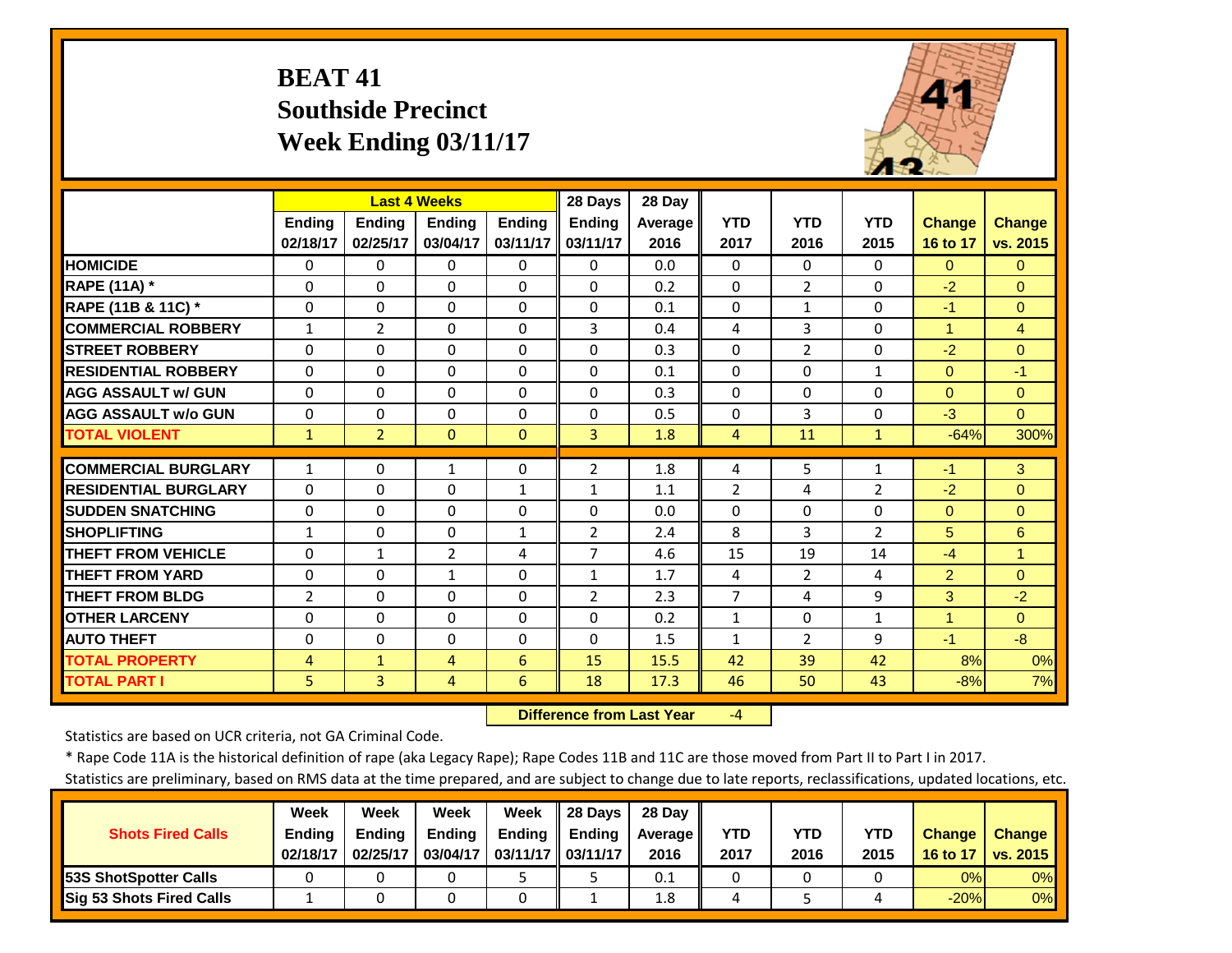# **BEAT 41 Southside Precinct Week Ending 03/11/17**



|                             |                |                | <b>Last 4 Weeks</b> |              | 28 Days        | 28 Day  |                |                |                |                |                |
|-----------------------------|----------------|----------------|---------------------|--------------|----------------|---------|----------------|----------------|----------------|----------------|----------------|
|                             | <b>Endina</b>  | <b>Ending</b>  | <b>Endina</b>       | Ending       | <b>Ending</b>  | Average | <b>YTD</b>     | <b>YTD</b>     | <b>YTD</b>     | <b>Change</b>  | <b>Change</b>  |
|                             | 02/18/17       | 02/25/17       | 03/04/17            | 03/11/17     | 03/11/17       | 2016    | 2017           | 2016           | 2015           | 16 to 17       | vs. 2015       |
| <b>HOMICIDE</b>             | $\Omega$       | 0              | $\Omega$            | $\Omega$     | $\Omega$       | 0.0     | $\Omega$       | $\Omega$       | $\Omega$       | $\Omega$       | $\Omega$       |
| <b>RAPE (11A) *</b>         | $\Omega$       | $\Omega$       | $\Omega$            | $\Omega$     | $\Omega$       | 0.2     | $\mathbf{0}$   | $\overline{2}$ | $\Omega$       | $-2$           | $\Omega$       |
| RAPE (11B & 11C) *          | $\Omega$       | 0              | $\Omega$            | $\Omega$     | $\Omega$       | 0.1     | $\Omega$       | $\mathbf{1}$   | $\Omega$       | $-1$           | $\Omega$       |
| <b>COMMERCIAL ROBBERY</b>   | $\mathbf{1}$   | $\overline{2}$ | $\Omega$            | $\Omega$     | 3              | 0.4     | 4              | 3              | $\Omega$       | $\mathbf{1}$   | $\overline{4}$ |
| <b>STREET ROBBERY</b>       | $\Omega$       | 0              | $\Omega$            | $\Omega$     | $\Omega$       | 0.3     | $\mathbf{0}$   | $\overline{2}$ | $\Omega$       | $-2$           | $\Omega$       |
| <b>RESIDENTIAL ROBBERY</b>  | $\Omega$       | 0              | $\Omega$            | $\Omega$     | $\Omega$       | 0.1     | $\Omega$       | $\Omega$       | $\mathbf{1}$   | $\Omega$       | $-1$           |
| <b>AGG ASSAULT W/ GUN</b>   | $\Omega$       | 0              | $\Omega$            | $\Omega$     | $\Omega$       | 0.3     | $\mathbf{0}$   | $\Omega$       | $\Omega$       | $\Omega$       | $\Omega$       |
| <b>AGG ASSAULT w/o GUN</b>  | $\Omega$       | 0              | $\Omega$            | $\Omega$     | $\Omega$       | 0.5     | $\Omega$       | 3              | $\Omega$       | $-3$           | $\Omega$       |
| <b>TOTAL VIOLENT</b>        | $\mathbf{1}$   | $\overline{2}$ | $\Omega$            | $\Omega$     | 3              | 1.8     | 4              | 11             | $\mathbf{1}$   | $-64%$         | 300%           |
| <b>COMMERCIAL BURGLARY</b>  | 1              | 0              | 1                   | 0            | $\overline{2}$ | 1.8     | 4              | 5              | 1              | $-1$           | 3              |
| <b>RESIDENTIAL BURGLARY</b> | $\Omega$       | 0              | $\Omega$            | $\mathbf{1}$ | $\mathbf{1}$   | 1.1     | $\overline{2}$ | 4              | $\overline{2}$ | $-2$           | $\Omega$       |
| <b>SUDDEN SNATCHING</b>     | $\Omega$       | 0              | $\Omega$            | $\Omega$     | $\Omega$       | 0.0     | $\Omega$       | $\Omega$       | $\Omega$       | $\Omega$       | $\Omega$       |
|                             |                |                |                     |              |                |         |                |                |                |                |                |
| <b>SHOPLIFTING</b>          | 1              | 0              | $\Omega$            | $\mathbf{1}$ | $\overline{2}$ | 2.4     | 8              | 3              | $\overline{2}$ | 5              | 6              |
| <b>THEFT FROM VEHICLE</b>   | $\Omega$       | $\mathbf{1}$   | $\overline{2}$      | 4            | $\overline{7}$ | 4.6     | 15             | 19             | 14             | $-4$           | $\overline{1}$ |
| <b>THEFT FROM YARD</b>      | $\Omega$       | 0              | $\mathbf{1}$        | $\Omega$     | $\mathbf{1}$   | 1.7     | 4              | $\overline{2}$ | 4              | $\overline{2}$ | $\Omega$       |
| <b>THEFT FROM BLDG</b>      | $\overline{2}$ | 0              | $\Omega$            | $\Omega$     | $\overline{2}$ | 2.3     | $\overline{7}$ | 4              | 9              | 3              | $-2$           |
| <b>OTHER LARCENY</b>        | $\Omega$       | 0              | $\Omega$            | $\Omega$     | $\Omega$       | 0.2     | $\mathbf{1}$   | $\Omega$       | $\mathbf{1}$   | $\overline{1}$ | $\Omega$       |
| <b>AUTO THEFT</b>           | $\Omega$       | 0              | $\Omega$            | $\Omega$     | $\Omega$       | 1.5     | $\mathbf{1}$   | $\overline{2}$ | 9              | $-1$           | $-8$           |
| <b>TOTAL PROPERTY</b>       | 4              | $\mathbf{1}$   | 4                   | 6            | 15             | 15.5    | 42             | 39             | 42             | 8%             | 0%             |
| <b>TOTAL PART I</b>         | 5              | $\overline{3}$ | 4                   | 6            | 18             | 17.3    | 46             | 50             | 43             | $-8%$          | 7%             |

 **Difference from Last Year**‐4

Statistics are based on UCR criteria, not GA Criminal Code.

\* Rape Code 11A is the historical definition of rape (aka Legacy Rape); Rape Codes 11B and 11C are those moved from Part II to Part I in 2017.

|                                 | Week          | Week          | Week          | Week                           | 28 Davs | 28 Dav     |            |      |            |               |                          |
|---------------------------------|---------------|---------------|---------------|--------------------------------|---------|------------|------------|------|------------|---------------|--------------------------|
| <b>Shots Fired Calls</b>        | <b>Ending</b> | <b>Ending</b> | <b>Ending</b> | <b>Ending</b>                  | Endina  | Average II | <b>YTD</b> | YTD  | <b>YTD</b> | <b>Change</b> | <b>Change</b>            |
|                                 | 02/18/17      | 02/25/17      |               | 03/04/17   03/11/17   03/11/17 |         | 2016       | 2017       | 2016 | 2015       | 16 to 17      | $\vert$ vs. 2015 $\vert$ |
| <b>53S ShotSpotter Calls</b>    |               |               |               |                                |         | 0.1        |            |      |            | 0%            | $0\%$                    |
| <b>Sig 53 Shots Fired Calls</b> |               |               |               |                                |         | 1.8        |            |      |            | $-20%$        | 0%                       |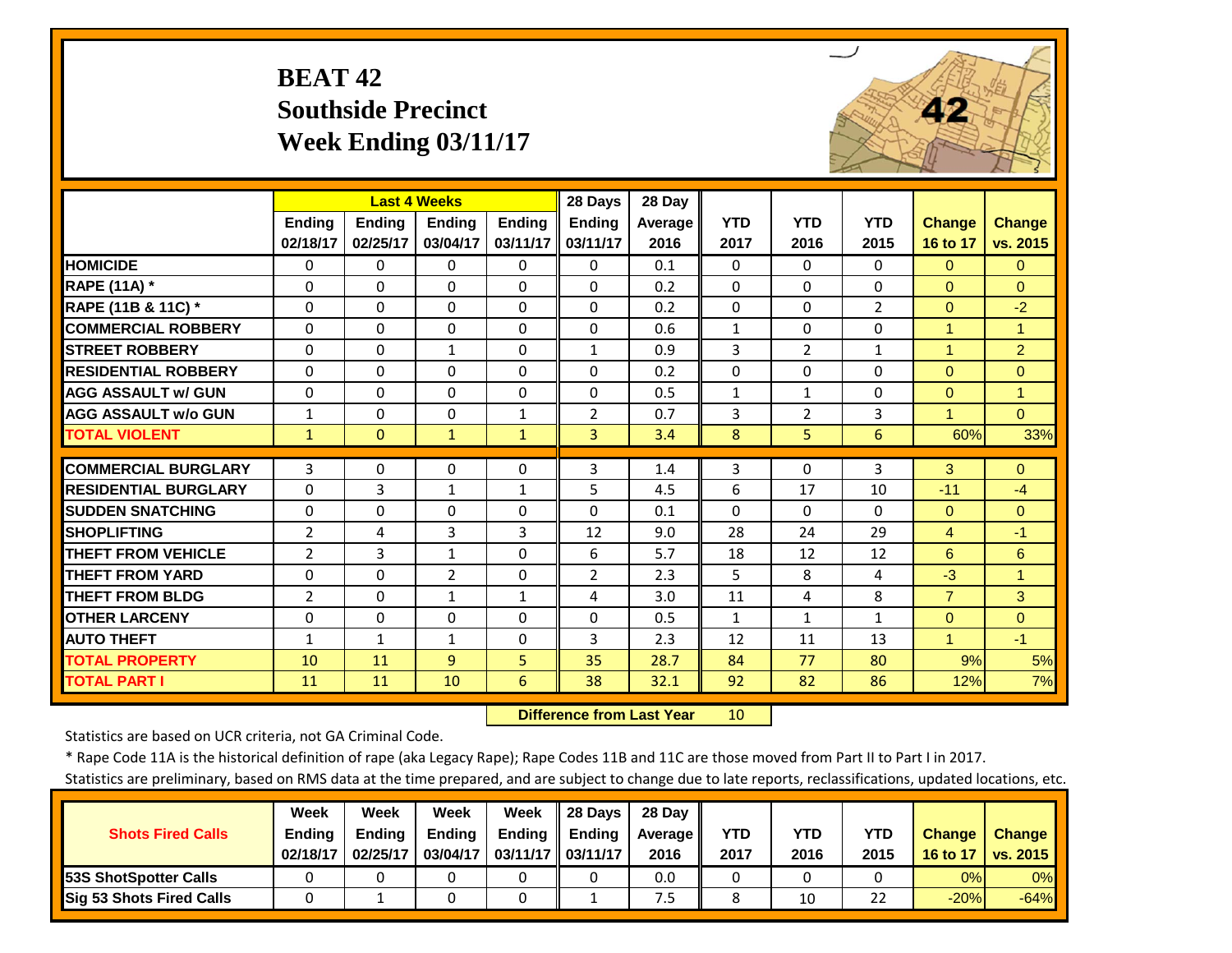# **BEAT 42 Southside Precinct Week Ending 03/11/17**



|                             |                | <b>Last 4 Weeks</b> |                |              | 28 Days        | 28 Day  |              |                |                |                      |                |
|-----------------------------|----------------|---------------------|----------------|--------------|----------------|---------|--------------|----------------|----------------|----------------------|----------------|
|                             | Ending         | <b>Ending</b>       | <b>Endina</b>  | Ending       | <b>Ending</b>  | Average | <b>YTD</b>   | <b>YTD</b>     | <b>YTD</b>     | <b>Change</b>        | <b>Change</b>  |
|                             | 02/18/17       | 02/25/17            | 03/04/17       | 03/11/17     | 03/11/17       | 2016    | 2017         | 2016           | 2015           | 16 to 17             | vs. 2015       |
| <b>HOMICIDE</b>             | $\Omega$       | 0                   | $\Omega$       | $\Omega$     | 0              | 0.1     | $\Omega$     | $\Omega$       | 0              | $\Omega$             | $\Omega$       |
| RAPE (11A) *                | $\Omega$       | 0                   | $\Omega$       | $\Omega$     | $\Omega$       | 0.2     | $\Omega$     | $\Omega$       | $\Omega$       | $\Omega$             | $\Omega$       |
| RAPE (11B & 11C) *          | $\Omega$       | 0                   | $\Omega$       | $\Omega$     | $\Omega$       | 0.2     | $\Omega$     | $\Omega$       | $\overline{2}$ | $\Omega$             | $-2$           |
| <b>COMMERCIAL ROBBERY</b>   | $\Omega$       | 0                   | $\Omega$       | $\Omega$     | $\Omega$       | 0.6     | $\mathbf{1}$ | $\Omega$       | $\Omega$       | $\mathbf{1}$         | $\mathbf{1}$   |
| <b>STREET ROBBERY</b>       | $\Omega$       | $\Omega$            | $\mathbf{1}$   | $\Omega$     | $\mathbf{1}$   | 0.9     | 3            | $\overline{2}$ | $\mathbf{1}$   | $\mathbf{1}$         | $\overline{2}$ |
| <b>RESIDENTIAL ROBBERY</b>  | $\Omega$       | $\Omega$            | $\Omega$       | $\Omega$     | $\Omega$       | 0.2     | $\Omega$     | $\Omega$       | $\Omega$       | $\Omega$             | $\Omega$       |
| <b>AGG ASSAULT W/ GUN</b>   | $\Omega$       | 0                   | $\Omega$       | $\Omega$     | $\Omega$       | 0.5     | $\mathbf{1}$ | $\mathbf{1}$   | $\Omega$       | $\Omega$             | $\mathbf{1}$   |
| <b>AGG ASSAULT w/o GUN</b>  | 1              | 0                   | $\Omega$       | $\mathbf{1}$ | 2              | 0.7     | 3            | $\overline{2}$ | 3              | $\mathbf{1}$         | $\Omega$       |
| <b>TOTAL VIOLENT</b>        | $\mathbf{1}$   | $\Omega$            | $\mathbf{1}$   | $\mathbf{1}$ | 3              | 3.4     | 8            | 5              | 6              | 60%                  | 33%            |
| <b>COMMERCIAL BURGLARY</b>  | 3              | 0                   | $\Omega$       | 0            | 3              | 1.4     | 3            | $\Omega$       | 3              | 3 <sup>1</sup>       | $\Omega$       |
| <b>RESIDENTIAL BURGLARY</b> | $\Omega$       | 3                   | $\mathbf{1}$   | $\mathbf{1}$ | 5              | 4.5     | 6            | 17             | 10             | $-11$                | $-4$           |
| <b>SUDDEN SNATCHING</b>     | $\Omega$       | 0                   | $\Omega$       | $\Omega$     | $\Omega$       | 0.1     | $\Omega$     | 0              | $\Omega$       | $\Omega$             | $\Omega$       |
| <b>SHOPLIFTING</b>          | $\overline{2}$ | 4                   | 3              | 3            | 12             | 9.0     | 28           | 24             | 29             | $\overline{4}$       | $-1$           |
| <b>THEFT FROM VEHICLE</b>   | $\overline{2}$ | 3                   | $\mathbf{1}$   | $\Omega$     | 6              | 5.7     | 18           | 12             | 12             | 6                    | 6              |
| <b>THEFT FROM YARD</b>      | $\Omega$       | 0                   | $\overline{2}$ | $\Omega$     | $\overline{2}$ | 2.3     | 5.           | 8              | 4              | $-3$                 | $\mathbf{1}$   |
| <b>THEFT FROM BLDG</b>      | $\overline{2}$ | $\Omega$            | $\mathbf{1}$   | $\mathbf{1}$ | 4              | 3.0     | 11           | 4              | 8              | $\overline{7}$       | 3              |
| <b>OTHER LARCENY</b>        | $\Omega$       | 0                   | $\Omega$       | $\Omega$     | $\Omega$       | 0.5     | $\mathbf{1}$ | $\mathbf{1}$   | $\mathbf{1}$   | $\Omega$             | $\Omega$       |
| <b>AUTO THEFT</b>           | $\mathbf{1}$   | $\mathbf{1}$        | $\mathbf{1}$   | $\Omega$     | 3              | 2.3     | 12           | 11             | 13             | $\blacktriangleleft$ | $-1$           |
| <b>TOTAL PROPERTY</b>       | 10             | 11                  | 9              | 5            | 35             | 28.7    | 84           | 77             | 80             | 9%                   | 5%             |
| <b>TOTAL PART I</b>         | 11             | 11                  | 10             | 6            | 38             | 32.1    | 92           | 82             | 86             | 12%                  | 7%             |

 **Difference from Last Year**10

Statistics are based on UCR criteria, not GA Criminal Code.

\* Rape Code 11A is the historical definition of rape (aka Legacy Rape); Rape Codes 11B and 11C are those moved from Part II to Part I in 2017.

|                                 | Week          | Week          | Week          | Week              | 28 Days       | 28 Dav     |      |      |            |               |               |
|---------------------------------|---------------|---------------|---------------|-------------------|---------------|------------|------|------|------------|---------------|---------------|
| <b>Shots Fired Calls</b>        | <b>Ending</b> | <b>Ending</b> | <b>Ending</b> | <b>Ending</b>     | <b>Ending</b> | Average II | YTD  | YTD  | <b>YTD</b> | <b>Change</b> | <b>Change</b> |
|                                 | 02/18/17      | 02/25/17      | 03/04/17      | 03/11/17 03/11/17 |               | 2016       | 2017 | 2016 | 2015       | 16 to 17      | vs. 2015      |
| <b>53S ShotSpotter Calls</b>    |               |               |               |                   |               | 0.0        |      |      |            | 0%            | 0%            |
| <b>Sig 53 Shots Fired Calls</b> |               |               |               |                   |               | 7.5        |      | 10   | າາ<br>∠∠   | $-20%$        | $-64%$        |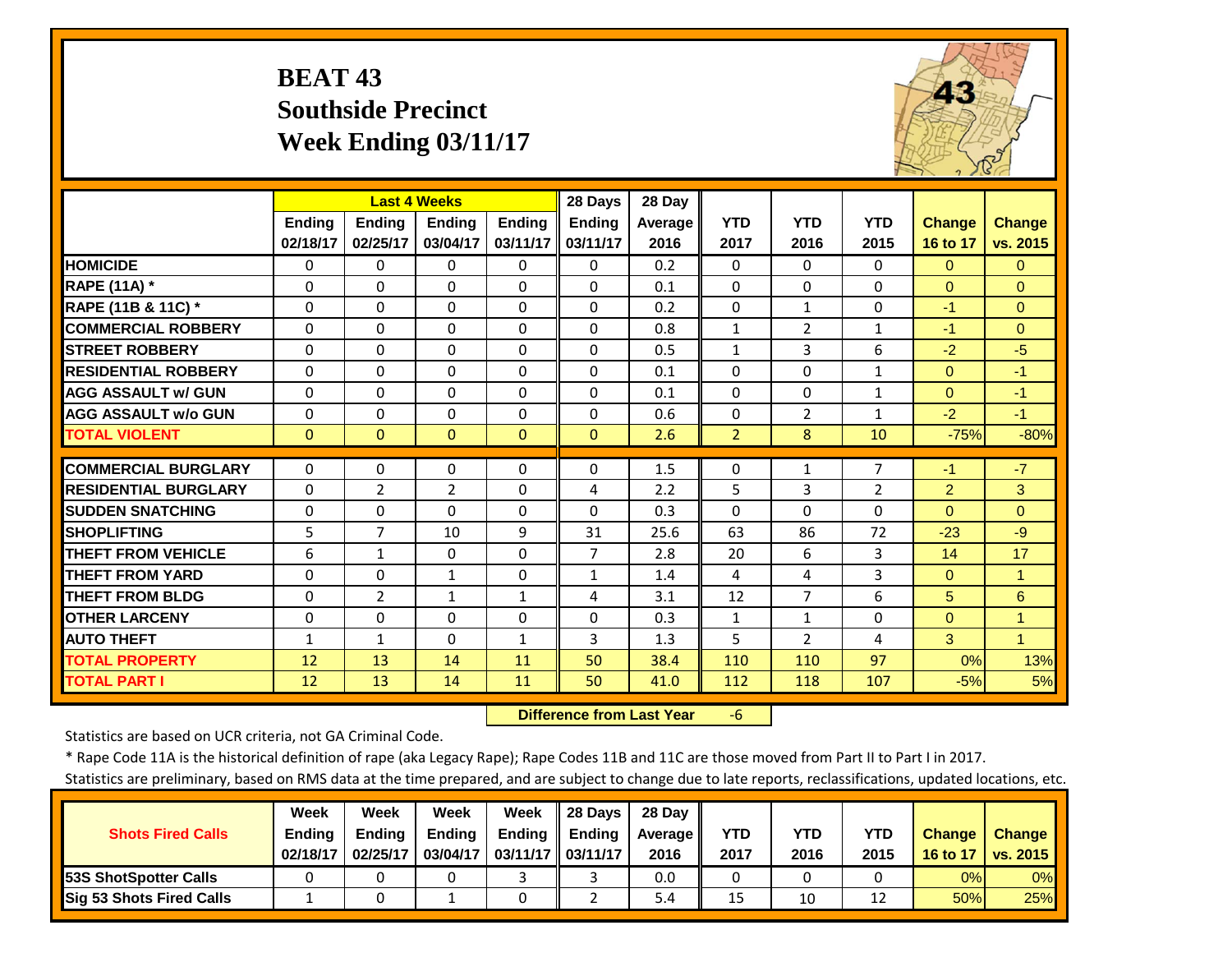# **BEAT 43 Southside PrecinctWeek Ending 03/11/17**



|                             |              | <b>Last 4 Weeks</b> |                |               | 28 Days        | 28 Day         |                |                |              |                |                      |
|-----------------------------|--------------|---------------------|----------------|---------------|----------------|----------------|----------------|----------------|--------------|----------------|----------------------|
|                             | Ending       | <b>Ending</b>       | <b>Ending</b>  | <b>Endina</b> | <b>Ending</b>  | <b>Average</b> | <b>YTD</b>     | <b>YTD</b>     | <b>YTD</b>   | <b>Change</b>  | <b>Change</b>        |
|                             | 02/18/17     | 02/25/17            | 03/04/17       | 03/11/17      | 03/11/17       | 2016           | 2017           | 2016           | 2015         | 16 to 17       | vs. 2015             |
| <b>HOMICIDE</b>             | 0            | 0                   | 0              | $\Omega$      | $\Omega$       | 0.2            | $\Omega$       | 0              | 0            | $\mathbf{0}$   | $\Omega$             |
| <b>RAPE (11A) *</b>         | $\Omega$     | $\Omega$            | $\Omega$       | $\Omega$      | $\Omega$       | 0.1            | $\Omega$       | $\Omega$       | 0            | $\Omega$       | $\Omega$             |
| RAPE (11B & 11C) *          | $\Omega$     | $\Omega$            | $\Omega$       | $\Omega$      | $\Omega$       | 0.2            | $\Omega$       | $\mathbf{1}$   | $\Omega$     | $-1$           | $\Omega$             |
| <b>COMMERCIAL ROBBERY</b>   | $\Omega$     | 0                   | $\Omega$       | $\Omega$      | $\Omega$       | 0.8            | $\mathbf{1}$   | 2              | $\mathbf{1}$ | $-1$           | $\Omega$             |
| <b>STREET ROBBERY</b>       | $\Omega$     | $\Omega$            | $\mathbf 0$    | $\Omega$      | $\Omega$       | 0.5            | $\mathbf{1}$   | 3              | 6            | $-2$           | $-5$                 |
| <b>RESIDENTIAL ROBBERY</b>  | $\Omega$     | 0                   | $\Omega$       | $\Omega$      | $\Omega$       | 0.1            | $\Omega$       | $\Omega$       | $\mathbf{1}$ | $\Omega$       | $-1$                 |
| <b>AGG ASSAULT W/ GUN</b>   | $\Omega$     | 0                   | $\Omega$       | $\Omega$      | $\Omega$       | 0.1            | $\Omega$       | $\Omega$       | $\mathbf{1}$ | $\Omega$       | $-1$                 |
| <b>AGG ASSAULT w/o GUN</b>  | $\Omega$     | 0                   | $\Omega$       | $\Omega$      | $\Omega$       | 0.6            | $\Omega$       | $\overline{2}$ | $\mathbf{1}$ | $-2$           | $-1$                 |
| <b>TOTAL VIOLENT</b>        | $\Omega$     | $\Omega$            | $\Omega$       | $\Omega$      | $\Omega$       | 2.6            | $\overline{2}$ | 8              | 10           | $-75%$         | $-80%$               |
| <b>COMMERCIAL BURGLARY</b>  | $\Omega$     | 0                   | 0              | 0             | 0              | 1.5            | 0              | 1              | 7            | $-1$           | $-7$                 |
| <b>RESIDENTIAL BURGLARY</b> | $\Omega$     | $\overline{2}$      | $\overline{2}$ | $\Omega$      | 4              | 2.2            | 5              | 3              | 2            | $\overline{2}$ | 3                    |
| <b>SUDDEN SNATCHING</b>     | $\Omega$     | 0                   | $\Omega$       | $\Omega$      | $\Omega$       | 0.3            | $\Omega$       | $\Omega$       | $\Omega$     | $\Omega$       | $\Omega$             |
| <b>SHOPLIFTING</b>          | 5            | 7                   | 10             | 9             | 31             | 25.6           | 63             | 86             | 72           | $-23$          | $-9$                 |
| <b>THEFT FROM VEHICLE</b>   | 6            | 1                   | $\Omega$       | $\Omega$      | $\overline{7}$ | 2.8            | 20             | 6              | 3            | 14             | 17                   |
| <b>THEFT FROM YARD</b>      | $\Omega$     | $\Omega$            | $\mathbf{1}$   | $\Omega$      | $\mathbf{1}$   | 1.4            | 4              | 4              | 3            | $\Omega$       | $\blacktriangleleft$ |
| <b>THEFT FROM BLDG</b>      | $\Omega$     | $\overline{2}$      | $\mathbf{1}$   | $\mathbf{1}$  | 4              | 3.1            | 12             | 7              | 6            | 5              | 6                    |
| <b>OTHER LARCENY</b>        | $\Omega$     | 0                   | $\Omega$       | $\Omega$      | $\Omega$       | 0.3            | $\mathbf{1}$   | $\mathbf{1}$   | 0            | $\Omega$       | $\overline{1}$       |
| <b>AUTO THEFT</b>           | $\mathbf{1}$ | $\mathbf{1}$        | $\Omega$       | $\mathbf{1}$  | 3              | 1.3            | 5              | $\overline{2}$ | 4            | 3              | $\blacktriangleleft$ |
| <b>TOTAL PROPERTY</b>       | 12           | 13                  | 14             | 11            | 50             | 38.4           | 110            | 110            | 97           | 0%             |                      |
|                             |              |                     | 14             |               | 50             |                |                |                | 107          |                | 13%                  |
| <b>TOTAL PART I</b>         | 12           | 13                  |                | 11            |                | 41.0           | 112            | 118            |              | $-5%$          | 5%                   |

 **Difference from Last Year**‐6

Statistics are based on UCR criteria, not GA Criminal Code.

\* Rape Code 11A is the historical definition of rape (aka Legacy Rape); Rape Codes 11B and 11C are those moved from Part II to Part I in 2017.

|                                 | Week          | Week          | Week          | Week              | 28 Days       | 28 Dav     |      |      |      |               |               |
|---------------------------------|---------------|---------------|---------------|-------------------|---------------|------------|------|------|------|---------------|---------------|
| <b>Shots Fired Calls</b>        | <b>Ending</b> | <b>Ending</b> | <b>Ending</b> | <b>Ending</b>     | <b>Ending</b> | Average II | YTD  | YTD  | YTD  | <b>Change</b> | <b>Change</b> |
|                                 | 02/18/17      | 02/25/17      | 03/04/17      | 03/11/17 03/11/17 |               | 2016       | 2017 | 2016 | 2015 | 16 to 17      | vs. 2015      |
| <b>153S ShotSpotter Calls</b>   |               |               |               |                   |               | 0.0        |      |      |      | 0%            | $0\%$         |
| <b>Sig 53 Shots Fired Calls</b> |               |               |               |                   |               | 5.4        | 15   | 10   |      | 50%           | 25%           |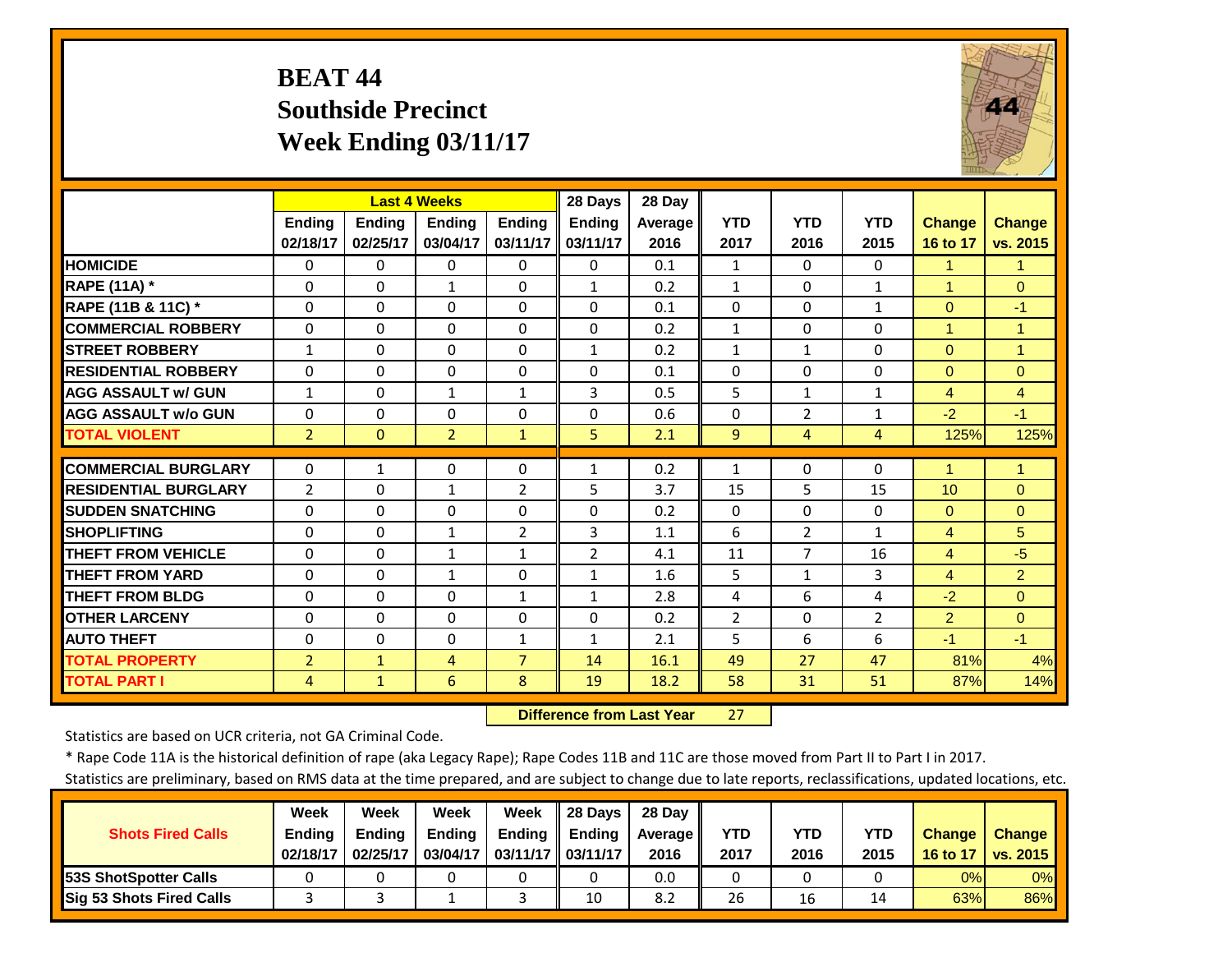### **BEAT 44 Southside PrecinctWeek Ending 03/11/17**



|                             |                |               | <b>Last 4 Weeks</b> |                | 28 Days         | 28 Day         |                |                |                |                |                |
|-----------------------------|----------------|---------------|---------------------|----------------|-----------------|----------------|----------------|----------------|----------------|----------------|----------------|
|                             | <b>Endina</b>  | <b>Ending</b> | <b>Ending</b>       | <b>Endina</b>  | Ending          | <b>Average</b> | <b>YTD</b>     | <b>YTD</b>     | <b>YTD</b>     | <b>Change</b>  | <b>Change</b>  |
|                             | 02/18/17       | 02/25/17      | 03/04/17            | 03/11/17       | 03/11/17        | 2016           | 2017           | 2016           | 2015           | 16 to 17       | vs. 2015       |
| <b>HOMICIDE</b>             | $\Omega$       | 0             | $\Omega$            | $\Omega$       | $\Omega$        | 0.1            | $\mathbf{1}$   | $\Omega$       | $\Omega$       | $\mathbf{1}$   | $\mathbf{1}$   |
| <b>RAPE (11A)</b> *         | $\Omega$       | $\Omega$      | $\mathbf{1}$        | $\Omega$       | $\mathbf{1}$    | 0.2            | $\mathbf{1}$   | $\Omega$       | $\mathbf{1}$   | $\overline{1}$ | $\Omega$       |
| RAPE (11B & 11C) *          | $\mathbf 0$    | $\Omega$      | $\Omega$            | $\Omega$       | $\Omega$        | 0.1            | $\Omega$       | $\Omega$       | $\mathbf{1}$   | $\Omega$       | $-1$           |
| <b>COMMERCIAL ROBBERY</b>   | $\mathbf{0}$   | $\Omega$      | $\Omega$            | $\Omega$       | $\Omega$        | 0.2            | $\mathbf{1}$   | $\Omega$       | $\Omega$       | $\mathbf{1}$   | -1             |
| <b>ISTREET ROBBERY</b>      | $\mathbf{1}$   | 0             | $\Omega$            | $\Omega$       | $\mathbf{1}$    | 0.2            | $\mathbf{1}$   | $\mathbf{1}$   | $\Omega$       | $\Omega$       | $\overline{1}$ |
| <b>RESIDENTIAL ROBBERY</b>  | $\Omega$       | 0             | $\Omega$            | $\Omega$       | $\Omega$        | 0.1            | $\Omega$       | $\Omega$       | 0              | $\Omega$       | $\Omega$       |
| <b>AGG ASSAULT w/ GUN</b>   | $\mathbf{1}$   | 0             | 1                   | $\mathbf{1}$   | 3               | 0.5            | 5              | $\mathbf{1}$   | $\mathbf{1}$   | $\overline{4}$ | $\overline{4}$ |
| <b>AGG ASSAULT w/o GUN</b>  | $\Omega$       | 0             | $\Omega$            | $\Omega$       | $\Omega$        | 0.6            | $\Omega$       | $\overline{2}$ | $\mathbf{1}$   | $-2$           | $-1$           |
| <b>TOTAL VIOLENT</b>        | $\overline{2}$ | $\Omega$      | $\overline{2}$      | $\mathbf{1}$   | 5               | 2.1            | 9              | 4              | 4              | 125%           | 125%           |
| <b>COMMERCIAL BURGLARY</b>  | $\mathbf{0}$   |               |                     |                |                 |                |                |                |                |                | 1              |
|                             |                | $\mathbf{1}$  | $\Omega$            | $\Omega$       | 1               | 0.2            | $\mathbf{1}$   | $\Omega$       | $\Omega$       | 1              |                |
| <b>RESIDENTIAL BURGLARY</b> | $\overline{2}$ | 0             | 1                   | $\overline{2}$ | $5\overline{)}$ | 3.7            | 15             | 5              | 15             | 10             | $\Omega$       |
| <b>SUDDEN SNATCHING</b>     | $\Omega$       | 0             | $\Omega$            | $\Omega$       | $\Omega$        | 0.2            | $\Omega$       | $\Omega$       | $\Omega$       | $\Omega$       | $\Omega$       |
| <b>SHOPLIFTING</b>          | $\Omega$       | 0             | $\mathbf{1}$        | 2              | 3               | 1.1            | 6              | $\overline{2}$ | 1              | 4              | 5              |
| <b>THEFT FROM VEHICLE</b>   | $\Omega$       | 0             | $\mathbf{1}$        | $\mathbf{1}$   | $\overline{2}$  | 4.1            | 11             | 7              | 16             | $\overline{4}$ | $-5$           |
| <b>THEFT FROM YARD</b>      | $\Omega$       | $\Omega$      | $\mathbf{1}$        | $\Omega$       | $\mathbf{1}$    | 1.6            | 5              | $\mathbf{1}$   | 3              | $\overline{4}$ | 2              |
| <b>THEFT FROM BLDG</b>      | $\Omega$       | 0             | $\Omega$            | $\mathbf{1}$   | $\mathbf{1}$    | 2.8            | 4              | 6              | 4              | $-2$           | $\Omega$       |
| <b>OTHER LARCENY</b>        | $\Omega$       | 0             | $\Omega$            | $\Omega$       | $\Omega$        | 0.2            | $\overline{2}$ | $\Omega$       | $\overline{2}$ | $\overline{2}$ | $\Omega$       |
| <b>AUTO THEFT</b>           | $\Omega$       | $\Omega$      | $\Omega$            | $\mathbf{1}$   | $\mathbf{1}$    | 2.1            | 5              | 6              | 6              | $-1$           | $-1$           |
| <b>TOTAL PROPERTY</b>       | $\overline{2}$ | $\mathbf{1}$  | 4                   | $\overline{7}$ | 14              | 16.1           | 49             | 27             | 47             | 81%            | 4%             |
| <b>TOTAL PART I</b>         | 4              | $\mathbf{1}$  | 6                   | 8              | 19              | 18.2           | 58             | 31             | 51             | 87%            | 14%            |

 **Difference from Last Year**r 27

Statistics are based on UCR criteria, not GA Criminal Code.

\* Rape Code 11A is the historical definition of rape (aka Legacy Rape); Rape Codes 11B and 11C are those moved from Part II to Part I in 2017.

|                               | Week          | Week          | Week          | Week                | 28 Days       | 28 Day            |            |      |      |               |               |
|-------------------------------|---------------|---------------|---------------|---------------------|---------------|-------------------|------------|------|------|---------------|---------------|
| <b>Shots Fired Calls</b>      | <b>Ending</b> | <b>Endina</b> | <b>Ending</b> | <b>Ending</b>       | <b>Ending</b> | <b>Average</b> II | <b>YTD</b> | YTD  | YTD  | <b>Change</b> | <b>Change</b> |
|                               | 02/18/17      | 02/25/17      | 03/04/17      | $03/11/17$ 03/11/17 |               | 2016              | 2017       | 2016 | 2015 | 16 to 17      | vs. 2015      |
| <b>153S ShotSpotter Calls</b> |               |               |               |                     |               | 0.0               |            |      |      | 0%            | 0%            |
| Sig 53 Shots Fired Calls      |               |               |               |                     | 10            | 8.2               | 26         | 16   | 14   | 63%           | 86%           |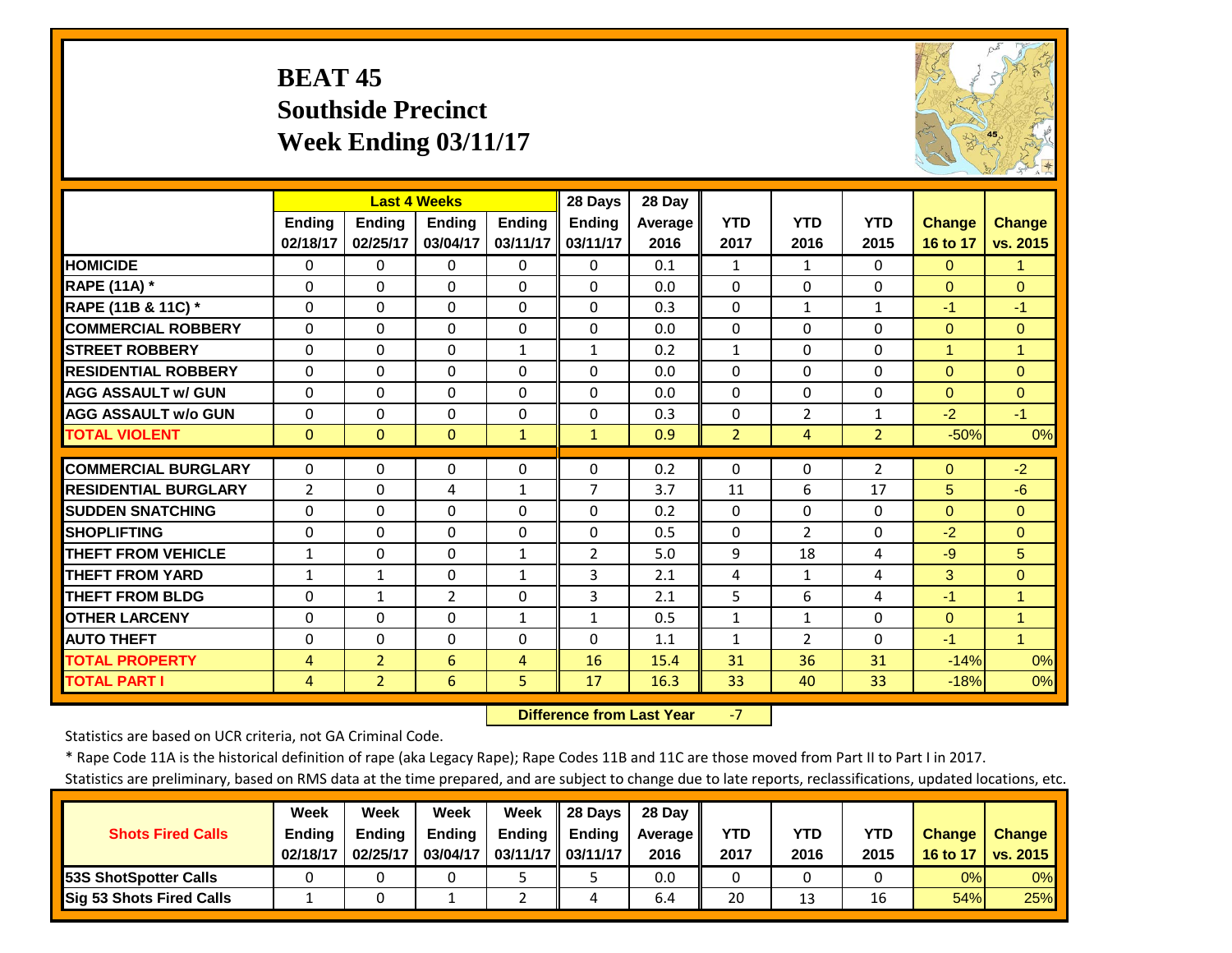## **BEAT 45 Southside PrecinctWeek Ending 03/11/17**



|                             |                |                | <b>Last 4 Weeks</b> |               | 28 Days       | 28 Day  |                |                |                |               |                      |
|-----------------------------|----------------|----------------|---------------------|---------------|---------------|---------|----------------|----------------|----------------|---------------|----------------------|
|                             | <b>Ending</b>  | <b>Ending</b>  | <b>Ending</b>       | <b>Ending</b> | <b>Ending</b> | Average | <b>YTD</b>     | <b>YTD</b>     | <b>YTD</b>     | <b>Change</b> | <b>Change</b>        |
|                             | 02/18/17       | 02/25/17       | 03/04/17            | 03/11/17      | 03/11/17      | 2016    | 2017           | 2016           | 2015           | 16 to 17      | vs. 2015             |
| <b>HOMICIDE</b>             | $\Omega$       | $\Omega$       | $\Omega$            | $\Omega$      | $\Omega$      | 0.1     | $\mathbf{1}$   | $\mathbf{1}$   | $\Omega$       | $\Omega$      | 1                    |
| <b>RAPE (11A) *</b>         | $\Omega$       | $\Omega$       | $\Omega$            | $\Omega$      | $\Omega$      | 0.0     | $\Omega$       | $\Omega$       | 0              | $\Omega$      | $\Omega$             |
| RAPE (11B & 11C) *          | $\Omega$       | $\Omega$       | $\Omega$            | $\Omega$      | $\Omega$      | 0.3     | $\Omega$       | $\mathbf{1}$   | $\mathbf{1}$   | $-1$          | $-1$                 |
| <b>COMMERCIAL ROBBERY</b>   | $\Omega$       | $\Omega$       | $\Omega$            | $\Omega$      | $\Omega$      | 0.0     | $\Omega$       | $\Omega$       | $\Omega$       | $\mathbf{0}$  | $\Omega$             |
| <b>STREET ROBBERY</b>       | 0              | $\Omega$       | 0                   | $\mathbf{1}$  | $\mathbf{1}$  | 0.2     | $\mathbf{1}$   | $\Omega$       | 0              | 1             | $\overline{1}$       |
| <b>RESIDENTIAL ROBBERY</b>  | $\Omega$       | $\Omega$       | $\Omega$            | $\Omega$      | $\Omega$      | 0.0     | $\Omega$       | $\Omega$       | 0              | $\Omega$      | $\Omega$             |
| <b>AGG ASSAULT w/ GUN</b>   | $\Omega$       | 0              | $\Omega$            | 0             | $\Omega$      | 0.0     | $\Omega$       | $\Omega$       | 0              | $\Omega$      | $\Omega$             |
| <b>AGG ASSAULT w/o GUN</b>  | 0              | $\Omega$       | $\Omega$            | $\Omega$      | 0             | 0.3     | $\Omega$       | $\overline{2}$ | 1              | $-2$          | $-1$                 |
| <b>TOTAL VIOLENT</b>        | $\Omega$       | $\Omega$       | $\Omega$            | $\mathbf{1}$  | $\mathbf{1}$  | 0.9     | $\overline{2}$ | 4              | $\overline{2}$ | $-50%$        | 0%                   |
| <b>COMMERCIAL BURGLARY</b>  | $\Omega$       | 0              | $\mathbf 0$         | 0             | 0             | 0.2     | $\Omega$       | $\Omega$       | $\overline{2}$ | $\mathbf{0}$  | $-2$                 |
| <b>RESIDENTIAL BURGLARY</b> | $\overline{2}$ | 0              | 4                   | 1             | 7             | 3.7     | 11             | 6              | 17             | 5             | $-6$                 |
| <b>SUDDEN SNATCHING</b>     | $\Omega$       | 0              | $\Omega$            | 0             | $\Omega$      | 0.2     | $\Omega$       | $\Omega$       | 0              | $\Omega$      | $\Omega$             |
| <b>SHOPLIFTING</b>          | $\Omega$       | $\Omega$       | $\Omega$            | $\Omega$      | $\Omega$      | 0.5     | $\Omega$       | $\overline{2}$ | 0              | $-2$          | $\Omega$             |
| <b>THEFT FROM VEHICLE</b>   | 1              | $\Omega$       | $\Omega$            | $\mathbf{1}$  | 2             | 5.0     | 9              | 18             | 4              | $-9$          | 5                    |
| <b>THEFT FROM YARD</b>      | 1              | 1              | $\Omega$            | $\mathbf{1}$  | 3             | 2.1     | 4              | $\mathbf{1}$   | 4              | 3             | $\Omega$             |
| <b>THEFT FROM BLDG</b>      | 0              | $\mathbf{1}$   | $\overline{2}$      | $\Omega$      | 3             | 2.1     | 5              | 6              | 4              | $-1$          | $\overline{1}$       |
| <b>OTHER LARCENY</b>        | $\Omega$       | $\Omega$       | $\Omega$            | $\mathbf{1}$  | $\mathbf{1}$  | 0.5     | $\mathbf{1}$   | $\mathbf{1}$   | $\Omega$       | $\Omega$      | $\overline{1}$       |
| <b>AUTO THEFT</b>           | 0              | $\Omega$       | $\Omega$            | $\Omega$      | $\Omega$      | 1.1     | $\mathbf{1}$   | $\overline{2}$ | $\Omega$       | $-1$          | $\blacktriangleleft$ |
| <b>TOTAL PROPERTY</b>       | 4              | $\overline{2}$ | 6                   | 4             | 16            | 15.4    | 31             | 36             | 31             | $-14%$        | 0%                   |
| <b>TOTAL PART I</b>         | 4              | $\overline{2}$ | 6                   | 5             | 17            | 16.3    | 33             | 40             | 33             | $-18%$        | 0%                   |
|                             |                |                |                     |               |               |         |                |                |                |               |                      |

 **Difference from Last Year** $-7$ 

Statistics are based on UCR criteria, not GA Criminal Code.

\* Rape Code 11A is the historical definition of rape (aka Legacy Rape); Rape Codes 11B and 11C are those moved from Part II to Part I in 2017.

|                                 | Week          | Week          | Week          | Week              | 28 Davs       | 28 Day     |      |      |      |               |               |
|---------------------------------|---------------|---------------|---------------|-------------------|---------------|------------|------|------|------|---------------|---------------|
| <b>Shots Fired Calls</b>        | <b>Ending</b> | <b>Ending</b> | <b>Ending</b> | <b>Ending</b>     | <b>Ending</b> | Average II | YTD  | YTD  | YTD  | <b>Change</b> | <b>Change</b> |
|                                 | 02/18/17      | 02/25/17      | 03/04/17      | 03/11/17 03/11/17 |               | 2016       | 2017 | 2016 | 2015 | 16 to 17      | vs. 2015      |
| <b>153S ShotSpotter Calls</b>   |               |               |               |                   |               | 0.0        |      |      |      | 0%            | $0\%$         |
| <b>Sig 53 Shots Fired Calls</b> |               |               |               |                   |               | 6.4        | 20   | 13   | 16   | 54%           | 25%           |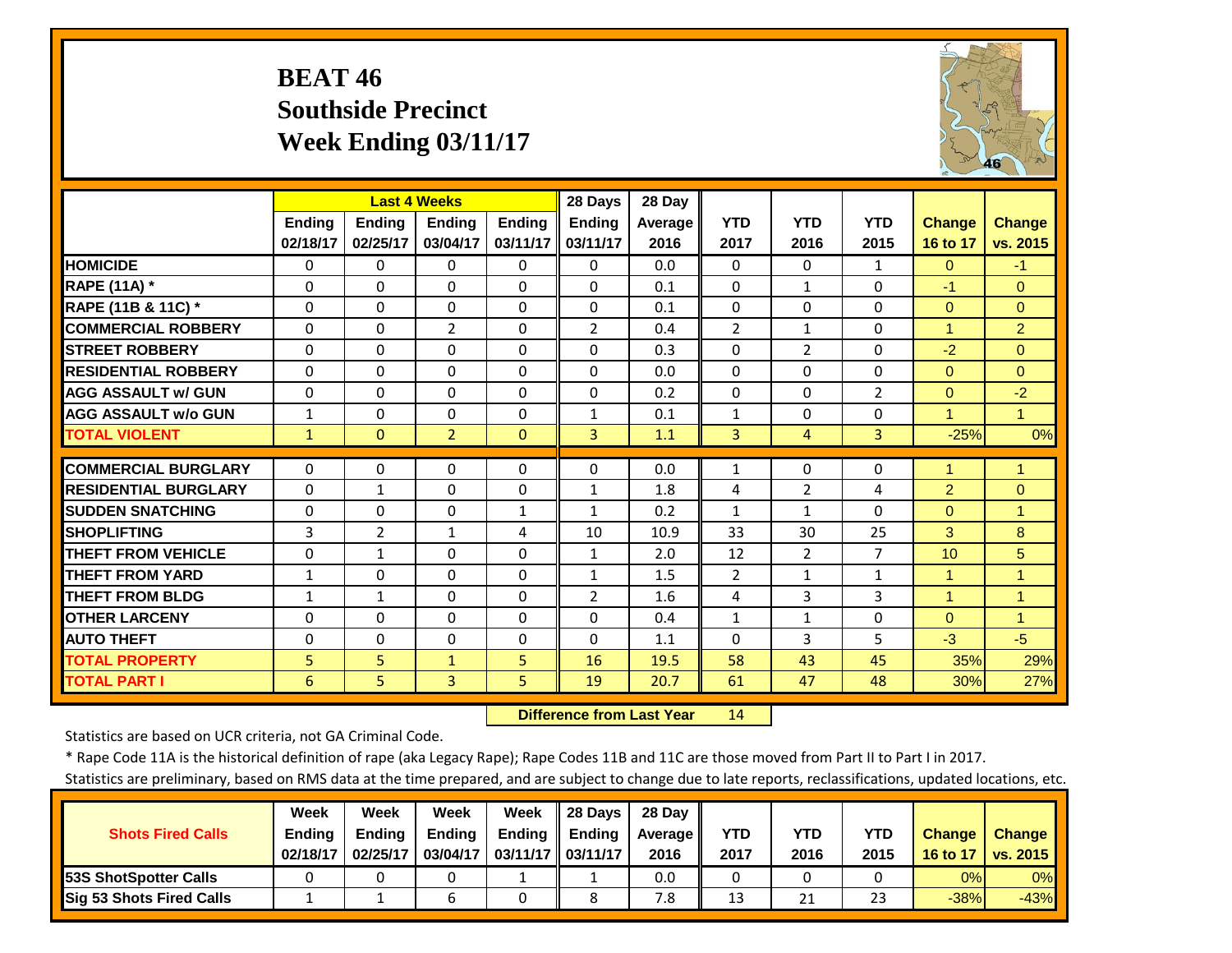#### **BEAT 46 Southside PrecinctWeek Ending 03/11/17**



|                             |               | <b>Last 4 Weeks</b> |                |               | 28 Days        | 28 Day  |                |                |                |                      |                |
|-----------------------------|---------------|---------------------|----------------|---------------|----------------|---------|----------------|----------------|----------------|----------------------|----------------|
|                             | <b>Ending</b> | <b>Endina</b>       | <b>Endina</b>  | <b>Endina</b> | <b>Endina</b>  | Average | <b>YTD</b>     | <b>YTD</b>     | <b>YTD</b>     | <b>Change</b>        | <b>Change</b>  |
|                             | 02/18/17      | 02/25/17            | 03/04/17       | 03/11/17      | 03/11/17       | 2016    | 2017           | 2016           | 2015           | 16 to 17             | vs. 2015       |
| <b>HOMICIDE</b>             | $\Omega$      | $\Omega$            | $\Omega$       | $\Omega$      | 0              | 0.0     | $\Omega$       | 0              | $\mathbf{1}$   | $\Omega$             | $-1$           |
| RAPE (11A) *                | $\Omega$      | $\Omega$            | $\Omega$       | $\Omega$      | 0              | 0.1     | $\Omega$       | $\mathbf{1}$   | 0              | $-1$                 | $\Omega$       |
| RAPE (11B & 11C) *          | $\mathbf 0$   | $\Omega$            | $\Omega$       | $\Omega$      | $\Omega$       | 0.1     | $\Omega$       | $\Omega$       | $\Omega$       | $\mathbf{0}$         | $\Omega$       |
| <b>COMMERCIAL ROBBERY</b>   | $\Omega$      | $\Omega$            | 2              | $\Omega$      | $\overline{2}$ | 0.4     | $\overline{2}$ | $\mathbf{1}$   | $\Omega$       | $\mathbf{1}$         | $\overline{2}$ |
| <b>STREET ROBBERY</b>       | $\Omega$      | $\Omega$            | $\Omega$       | $\Omega$      | $\Omega$       | 0.3     | $\Omega$       | $\overline{2}$ | $\Omega$       | $-2$                 | $\Omega$       |
| <b>RESIDENTIAL ROBBERY</b>  | $\Omega$      | $\Omega$            | $\Omega$       | $\Omega$      | $\Omega$       | 0.0     | $\Omega$       | $\Omega$       | 0              | $\Omega$             | $\Omega$       |
| <b>AGG ASSAULT W/ GUN</b>   | $\Omega$      | $\Omega$            | $\Omega$       | $\Omega$      | $\Omega$       | 0.2     | $\Omega$       | $\Omega$       | $\overline{2}$ | $\Omega$             | $-2$           |
| <b>AGG ASSAULT w/o GUN</b>  | $\mathbf{1}$  | $\Omega$            | $\Omega$       | $\Omega$      | $\mathbf{1}$   | 0.1     | $\mathbf{1}$   | $\Omega$       | 0              | $\blacktriangleleft$ | $\overline{1}$ |
| <b>TOTAL VIOLENT</b>        | $\mathbf{1}$  | $\Omega$            | $\overline{2}$ | $\Omega$      | 3              | 1.1     | 3              | 4              | 3              | $-25%$               | 0%             |
| <b>COMMERCIAL BURGLARY</b>  | $\Omega$      | $\Omega$            | 0              | 0             | $\Omega$       | 0.0     | 1              | $\Omega$       | 0              | $\mathbf 1$          | 1              |
| <b>RESIDENTIAL BURGLARY</b> | $\Omega$      | $\mathbf{1}$        | $\Omega$       | $\Omega$      | $\mathbf{1}$   | 1.8     | 4              | $\overline{2}$ | 4              | $\overline{2}$       | $\Omega$       |
| <b>SUDDEN SNATCHING</b>     | $\Omega$      | $\Omega$            | $\Omega$       | $\mathbf{1}$  | $\mathbf{1}$   | 0.2     | $\mathbf{1}$   | $\mathbf{1}$   | 0              | $\Omega$             | 1              |
| <b>SHOPLIFTING</b>          | 3             | $\overline{2}$      | 1              | 4             | 10             | 10.9    | 33             | 30             | 25             | 3                    | 8              |
| <b>THEFT FROM VEHICLE</b>   | $\Omega$      | $\mathbf{1}$        | $\Omega$       | $\Omega$      | $\mathbf{1}$   | 2.0     | 12             | $\overline{2}$ | 7              | 10                   | 5              |
| <b>THEFT FROM YARD</b>      | 1             | $\Omega$            | $\Omega$       | 0             | $\mathbf{1}$   | 1.5     | 2              | $\mathbf{1}$   | $\mathbf{1}$   | $\mathbf{1}$         | $\overline{1}$ |
| <b>THEFT FROM BLDG</b>      | 1             | 1                   | $\Omega$       | 0             | $\overline{2}$ | 1.6     | 4              | 3              | 3              | $\mathbf{1}$         | 1              |
| <b>OTHER LARCENY</b>        | $\Omega$      | $\Omega$            | $\Omega$       | $\Omega$      | $\Omega$       | 0.4     | $\mathbf{1}$   | $\mathbf{1}$   | $\Omega$       | $\Omega$             | $\overline{1}$ |
| <b>AUTO THEFT</b>           | $\mathbf 0$   | $\Omega$            | $\Omega$       | $\Omega$      | $\Omega$       | 1.1     | $\Omega$       | 3              | 5              | $-3$                 | $-5$           |
| <b>TOTAL PROPERTY</b>       | 5             | 5                   | $\mathbf{1}$   | 5             | 16             | 19.5    | 58             | 43             | 45             | 35%                  | 29%            |
| <b>TOTAL PART I</b>         | 6             | 5                   | $\overline{3}$ | 5             | 19             | 20.7    | 61             | 47             | 48             | 30%                  | 27%            |
|                             |               |                     |                |               |                |         |                |                |                |                      |                |

 **Difference from Last Year**r 14

Statistics are based on UCR criteria, not GA Criminal Code.

\* Rape Code 11A is the historical definition of rape (aka Legacy Rape); Rape Codes 11B and 11C are those moved from Part II to Part I in 2017.

|                               | Week          | Week          | Week          | Week                     | 28 Davs       | 28 Dav     |            |      |      |               |                 |
|-------------------------------|---------------|---------------|---------------|--------------------------|---------------|------------|------------|------|------|---------------|-----------------|
| <b>Shots Fired Calls</b>      | <b>Ending</b> | <b>Endina</b> | <b>Ending</b> | <b>Ending</b>            | <b>Ending</b> | Average II | <b>YTD</b> | YTD  | YTD  | <b>Change</b> | <b>Change</b>   |
|                               | 02/18/17      | 02/25/17      | 03/04/17      | ′   03/11/17    03/11/17 |               | 2016       | 2017       | 2016 | 2015 | 16 to 17      | <b>vs. 2015</b> |
| <b>153S ShotSpotter Calls</b> |               |               |               |                          |               | 0.0        |            |      |      | 0%            | $0\%$           |
| Sig 53 Shots Fired Calls      |               |               |               |                          |               | '.8        | 13         | 21   | 23   | $-38%$        | $-43%$          |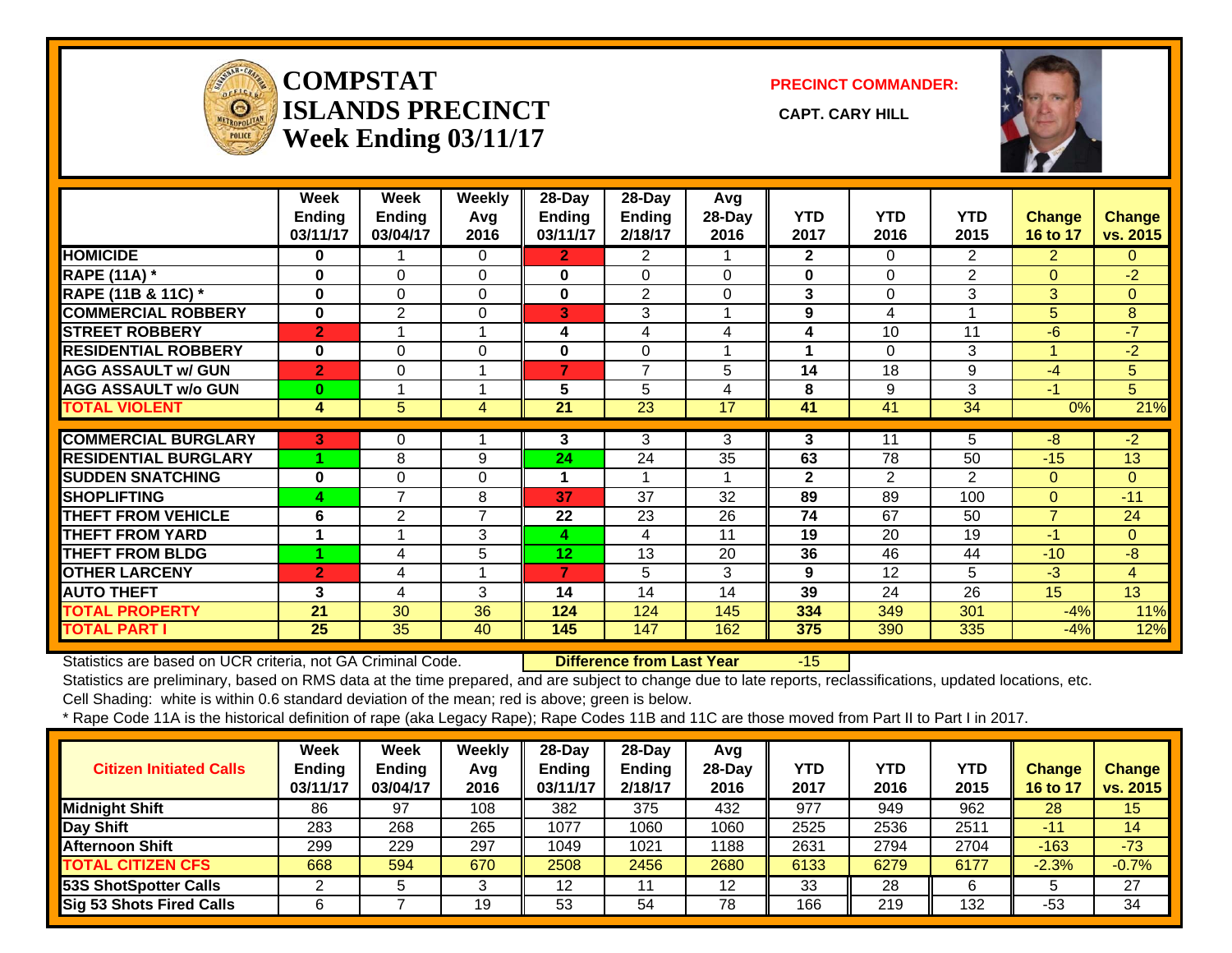

#### **COMPSTATISLANDS PRECINCT** CAPT. CARY HILL **Week Ending 03/11/17**

**PRECINCT COMMANDER:**



|                             | Week<br><b>Ending</b><br>03/11/17 | Week<br><b>Ending</b><br>03/04/17 | Weekly<br>Avg<br>2016 | 28-Day<br><b>Ending</b><br>03/11/17 | 28-Day<br>Ending<br>2/18/17 | Avg<br>28-Day<br>2016 | <b>YTD</b><br>2017 | <b>YTD</b><br>2016 | <b>YTD</b><br>2015 | <b>Change</b><br>16 to 17 | <b>Change</b><br>vs. 2015 |
|-----------------------------|-----------------------------------|-----------------------------------|-----------------------|-------------------------------------|-----------------------------|-----------------------|--------------------|--------------------|--------------------|---------------------------|---------------------------|
| <b>HOMICIDE</b>             | 0                                 |                                   | $\Omega$              | $\mathbf{2}$                        | 2                           |                       | $\mathbf{2}$       | 0                  | 2                  | $\overline{2}$            | $\Omega$                  |
| <b>RAPE (11A)</b> *         | 0                                 | 0                                 | $\Omega$              | 0                                   | $\Omega$                    | $\Omega$              | $\bf{0}$           | 0                  | $\overline{2}$     | $\Omega$                  | $-2$                      |
| RAPE (11B & 11C) *          | $\bf{0}$                          | 0                                 | $\Omega$              | $\mathbf{0}$                        | $\overline{2}$              | 0                     | $\mathbf{3}$       | 0                  | 3                  | 3                         | $\overline{0}$            |
| <b>COMMERCIAL ROBBERY</b>   | $\bf{0}$                          | $\overline{2}$                    | $\Omega$              | 3                                   | 3                           |                       | 9                  | 4                  |                    | 5                         | 8                         |
| <b>STREET ROBBERY</b>       | $\overline{2}$                    |                                   |                       | 4                                   | 4                           | 4                     | 4                  | 10                 | 11                 | $-6$                      | $-7$                      |
| <b>RESIDENTIAL ROBBERY</b>  | $\bf{0}$                          | 0                                 | $\Omega$              | 0                                   | 0                           |                       |                    | 0                  | 3                  |                           | $-2$                      |
| <b>AGG ASSAULT w/ GUN</b>   | $\overline{2}$                    | 0                                 | 1                     | $\overline{ }$                      | $\overline{7}$              | 5                     | 14                 | 18                 | 9                  | -4                        | 5                         |
| <b>AGG ASSAULT w/o GUN</b>  | 0                                 |                                   |                       | 5                                   | 5                           | 4                     | 8                  | 9                  | 3                  | $-1$                      | 5                         |
| <b>TOTAL VIOLENT</b>        | 4                                 | 5                                 | 4                     | 21                                  | 23                          | 17                    | 41                 | 41                 | 34                 | 0%                        | 21%                       |
|                             |                                   |                                   |                       |                                     |                             |                       |                    |                    |                    |                           |                           |
| <b>COMMERCIAL BURGLARY</b>  | 3                                 | 0                                 |                       | 3                                   | 3                           | 3                     | 3                  | 11                 | 5                  | $-8$                      | $-2$                      |
| <b>RESIDENTIAL BURGLARY</b> |                                   | 8                                 | 9                     | 24                                  | 24                          | 35                    | 63                 | 78                 | 50                 | $-15$                     | 13                        |
| <b>SUDDEN SNATCHING</b>     | $\bf{0}$                          | 0                                 | $\Omega$              | 1                                   | 1                           |                       | $\mathbf{2}$       | $\overline{2}$     | $\overline{2}$     | $\Omega$                  | $\Omega$                  |
| <b>SHOPLIFTING</b>          | 4                                 | $\overline{7}$                    | 8                     | 37                                  | 37                          | 32                    | 89                 | 89                 | 100                | $\Omega$                  | $-11$                     |
| <b>THEFT FROM VEHICLE</b>   | 6                                 | 2                                 | $\overline{7}$        | 22                                  | 23                          | 26                    | 74                 | 67                 | 50                 | $\overline{7}$            | 24                        |
| <b>THEFT FROM YARD</b>      | 1                                 |                                   | 3                     | 4                                   | 4                           | 11                    | 19                 | 20                 | 19                 | $-1$                      | $\Omega$                  |
| <b>THEFT FROM BLDG</b>      |                                   | 4                                 | 5                     | 12 <sub>2</sub>                     | 13                          | 20                    | 36                 | 46                 | 44                 | $-10$                     | $-8$                      |
| <b>OTHER LARCENY</b>        | $\overline{2}$                    | 4                                 |                       | $\overline{7}$                      | 5                           | 3                     | 9                  | 12                 | 5                  | $-3$                      | $\overline{4}$            |
| <b>AUTO THEFT</b>           | 3                                 | 4                                 | 3                     | 14                                  | 14                          | 14                    | 39                 | 24                 | 26                 | 15                        | 13                        |
| <b>TOTAL PROPERTY</b>       | 21                                | 30                                | 36                    | 124                                 | 124                         | 145                   | 334                | 349                | 301                | $-4%$                     | 11%                       |
| <b>TOTAL PART I</b>         | 25                                | 35                                | 40                    | 145                                 | 147                         | 162                   | 375                | 390                | 335                | $-4%$                     | 12%                       |

Statistics are based on UCR criteria, not GA Criminal Code. **Difference from Last Year** -15

Statistics are preliminary, based on RMS data at the time prepared, and are subject to change due to late reports, reclassifications, updated locations, etc. Cell Shading: white is within 0.6 standard deviation of the mean; red is above; green is below.

| <b>Citizen Initiated Calls</b> | Week<br><b>Ending</b><br>03/11/17 | Week<br><b>Ending</b><br>03/04/17 | <b>Weekly</b><br>Avg<br>2016 | $28$ -Day<br><b>Ending</b><br>03/11/17 | $28-Dav$<br>Ending<br>2/18/17 | Avg<br>$28-Dav$<br>2016 | <b>YTD</b><br>2017 | YTD<br>2016 | <b>YTD</b><br>2015 | <b>Change</b><br>16 to 17 | <b>Change</b><br>vs. 2015 |
|--------------------------------|-----------------------------------|-----------------------------------|------------------------------|----------------------------------------|-------------------------------|-------------------------|--------------------|-------------|--------------------|---------------------------|---------------------------|
| <b>Midnight Shift</b>          | 86                                | 97                                | 108                          | 382                                    | 375                           | 432                     | 977                | 949         | 962                | 28                        | 15                        |
| Day Shift                      | 283                               | 268                               | 265                          | 1077                                   | 1060                          | 1060                    | 2525               | 2536        | 2511               | $-11$                     | 14                        |
| <b>Afternoon Shift</b>         | 299                               | 229                               | 297                          | 1049                                   | 1021                          | 1188                    | 2631               | 2794        | 2704               | $-163$                    | $-73$                     |
| <b>TOTAL CITIZEN CFS</b>       | 668                               | 594                               | 670                          | 2508                                   | 2456                          | 2680                    | 6133               | 6279        | 6177               | $-2.3%$                   | $-0.7%$                   |
| 53S ShotSpotter Calls          |                                   |                                   | 3                            | $12 \overline{ }$                      | 11                            | 12                      | 33                 | 28          |                    |                           | 27                        |
| Sig 53 Shots Fired Calls       |                                   |                                   | 19                           | 53                                     | 54                            | 78                      | 166                | 219         | 132                | $-53$                     | 34                        |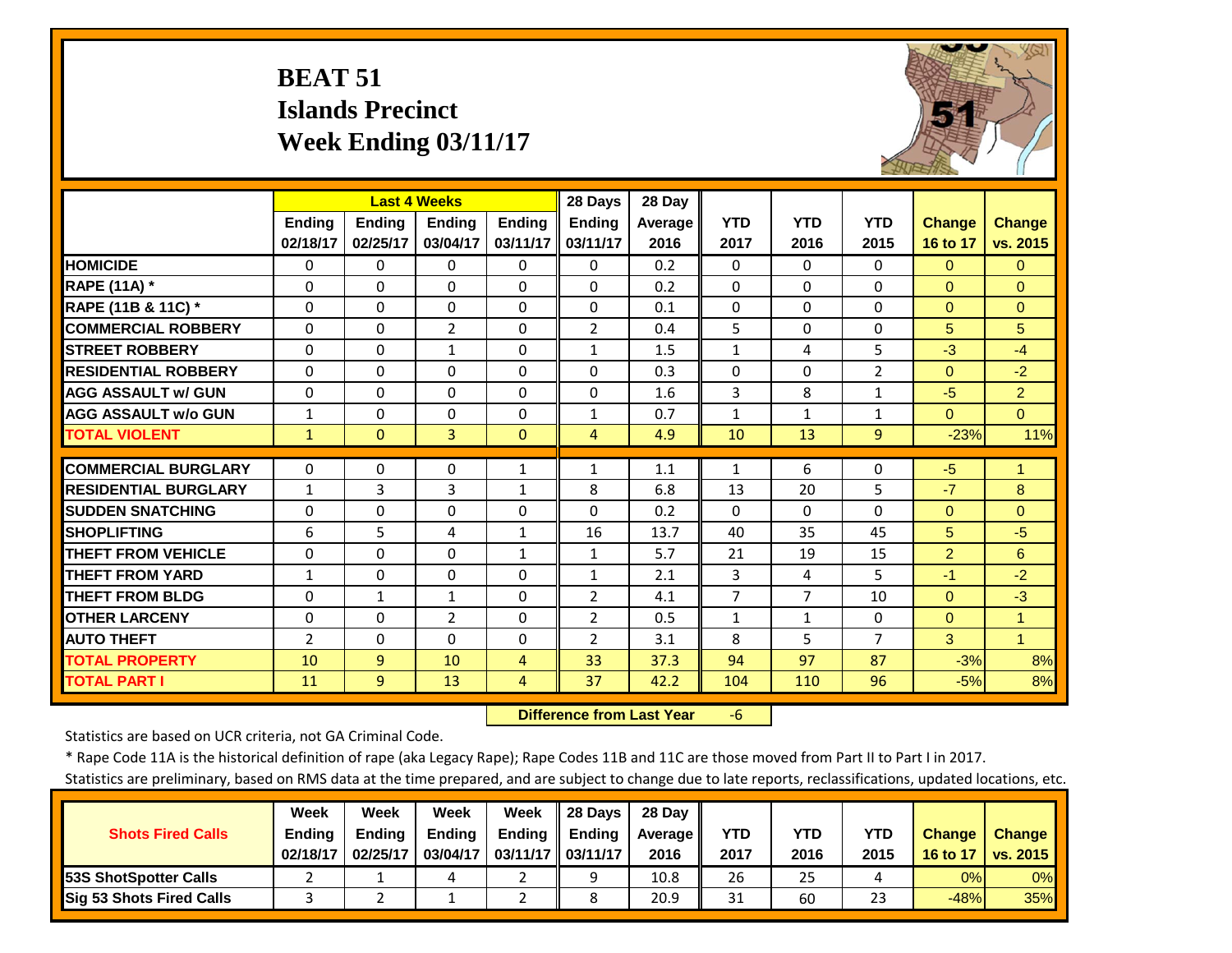# **BEAT 51 Islands Precinct Week Ending 03/11/17**



|                             |                | <b>Last 4 Weeks</b> |                |                | 28 Days        | 28 Day         |                |                |                |               |                |
|-----------------------------|----------------|---------------------|----------------|----------------|----------------|----------------|----------------|----------------|----------------|---------------|----------------|
|                             | <b>Ending</b>  | <b>Ending</b>       | <b>Endina</b>  | <b>Endina</b>  | <b>Ending</b>  | <b>Average</b> | <b>YTD</b>     | <b>YTD</b>     | <b>YTD</b>     | <b>Change</b> | <b>Change</b>  |
|                             | 02/18/17       | 02/25/17            | 03/04/17       | 03/11/17       | 03/11/17       | 2016           | 2017           | 2016           | 2015           | 16 to 17      | vs. 2015       |
| <b>HOMICIDE</b>             | $\Omega$       | 0                   | $\Omega$       | 0              | $\Omega$       | 0.2            | $\Omega$       | $\Omega$       | $\Omega$       | $\Omega$      | $\Omega$       |
| <b>RAPE (11A) *</b>         | $\Omega$       | 0                   | $\Omega$       | $\Omega$       | $\Omega$       | 0.2            | $\Omega$       | $\Omega$       | $\Omega$       | $\Omega$      | $\Omega$       |
| RAPE (11B & 11C) *          | $\Omega$       | 0                   | $\Omega$       | $\Omega$       | $\Omega$       | 0.1            | $\Omega$       | $\Omega$       | $\Omega$       | $\Omega$      | $\Omega$       |
| <b>COMMERCIAL ROBBERY</b>   | $\Omega$       | 0                   | $\overline{2}$ | $\Omega$       | $\overline{2}$ | 0.4            | 5              | $\Omega$       | $\Omega$       | 5             | 5              |
| <b>STREET ROBBERY</b>       | $\Omega$       | 0                   | $\mathbf{1}$   | $\Omega$       | $\mathbf{1}$   | 1.5            | $\mathbf{1}$   | 4              | 5              | $-3$          | $-4$           |
| <b>RESIDENTIAL ROBBERY</b>  | $\Omega$       | 0                   | $\Omega$       | $\Omega$       | $\Omega$       | 0.3            | $\Omega$       | $\Omega$       | $\overline{2}$ | $\Omega$      | $-2$           |
| <b>AGG ASSAULT W/ GUN</b>   | $\Omega$       | 0                   | $\Omega$       | $\Omega$       | $\Omega$       | 1.6            | 3              | 8              | $\mathbf{1}$   | $-5$          | $\overline{2}$ |
| <b>AGG ASSAULT w/o GUN</b>  | 1              | 0                   | 0              | 0              | 1              | 0.7            | 1              | 1              | 1              | $\Omega$      | $\Omega$       |
| <b>TOTAL VIOLENT</b>        | $\mathbf{1}$   | $\Omega$            | 3              | $\Omega$       | 4              | 4.9            | 10             | 13             | 9              | $-23%$        | 11%            |
| <b>COMMERCIAL BURGLARY</b>  | 0              | 0                   | $\Omega$       | $\mathbf{1}$   | $\mathbf{1}$   | 1.1            | $\mathbf{1}$   | 6              | 0              | $-5$          | 1              |
| <b>RESIDENTIAL BURGLARY</b> | $\mathbf{1}$   | $\overline{3}$      | 3              | $\mathbf{1}$   | 8              | 6.8            | 13             | 20             | 5              | $-7$          | 8              |
| <b>SUDDEN SNATCHING</b>     | $\Omega$       | 0                   | $\Omega$       | 0              | 0              | 0.2            | $\Omega$       | $\Omega$       | $\Omega$       | $\Omega$      | $\Omega$       |
| <b>SHOPLIFTING</b>          | 6              | 5.                  | 4              | $\mathbf{1}$   | 16             | 13.7           | 40             | 35             | 45             | 5             | $-5$           |
| <b>THEFT FROM VEHICLE</b>   | $\Omega$       | 0                   | $\Omega$       | $\mathbf{1}$   | $\mathbf{1}$   | 5.7            | 21             | 19             | 15             | 2             | 6              |
| <b>THEFT FROM YARD</b>      | $\mathbf{1}$   | 0                   | $\Omega$       | $\Omega$       | $\mathbf{1}$   | 2.1            | 3              | 4              | 5              | $-1$          | $-2$           |
| <b>THEFT FROM BLDG</b>      | $\Omega$       | $\mathbf{1}$        | $\mathbf{1}$   | $\Omega$       | $\overline{2}$ | 4.1            | $\overline{7}$ | $\overline{7}$ | 10             | $\Omega$      | $-3$           |
| <b>OTHER LARCENY</b>        | $\Omega$       | 0                   | $\overline{2}$ | $\Omega$       | $\overline{2}$ | 0.5            | $\mathbf{1}$   | $\mathbf{1}$   | $\Omega$       | $\Omega$      | $\mathbf{1}$   |
| <b>AUTO THEFT</b>           | $\overline{2}$ | 0                   | 0              | $\Omega$       | $\overline{2}$ | 3.1            | 8              | 5              | $\overline{7}$ | 3             | $\mathbf{1}$   |
| <b>TOTAL PROPERTY</b>       | 10             | 9                   | 10             | $\overline{4}$ | 33             | 37.3           | 94             | 97             | 87             | $-3%$         | 8%             |
| <b>TOTAL PART I</b>         | 11             | $\overline{9}$      | 13             | $\overline{4}$ | 37             | 42.2           | 104            | 110            | 96             | $-5%$         | 8%             |

 **Difference from Last Year**‐6

Statistics are based on UCR criteria, not GA Criminal Code.

\* Rape Code 11A is the historical definition of rape (aka Legacy Rape); Rape Codes 11B and 11C are those moved from Part II to Part I in 2017.

|                                 | Week          | Week          | Week          | Week              | 28 Davs       | 28 Day     |      |      |      |               |               |
|---------------------------------|---------------|---------------|---------------|-------------------|---------------|------------|------|------|------|---------------|---------------|
| <b>Shots Fired Calls</b>        | <b>Ending</b> | <b>Ending</b> | <b>Ending</b> | <b>Ending</b>     | <b>Ending</b> | Average II | YTD  | YTD  | YTD  | <b>Change</b> | <b>Change</b> |
|                                 | 02/18/17      | 02/25/17      | 03/04/17      | 03/11/17 03/11/17 |               | 2016       | 2017 | 2016 | 2015 | 16 to 17      | vs. 2015      |
| <b>153S ShotSpotter Calls</b>   |               |               |               |                   | a             | 10.8       | 26   | 25   |      | 0%            | $0\%$         |
| <b>Sig 53 Shots Fired Calls</b> |               |               |               |                   |               | 20.9       | 31   | 60   | 23   | $-48%$        | 35%           |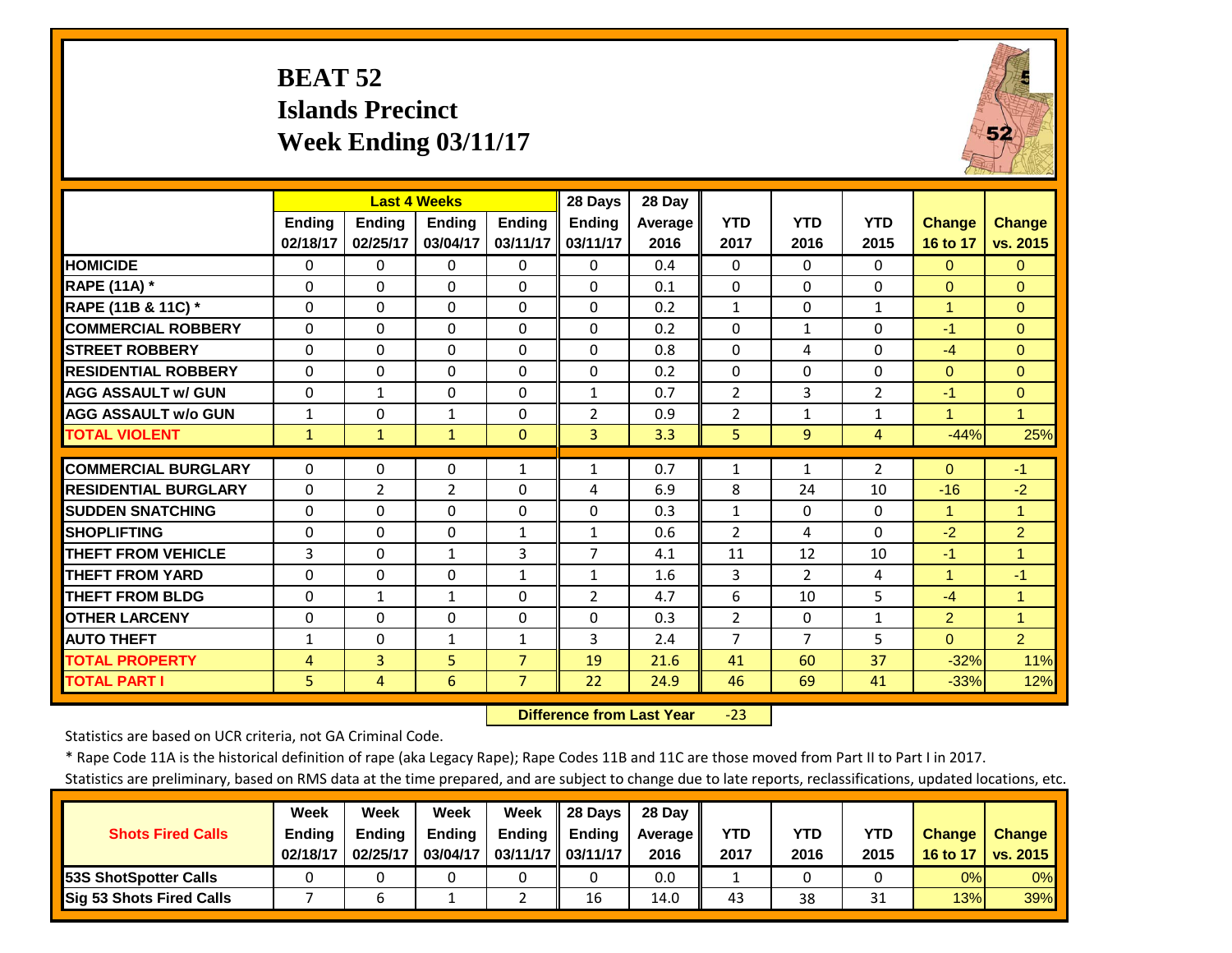# **BEAT 52 Islands Precinct Week Ending 03/11/17**



|                             |              |                | <b>Last 4 Weeks</b> |                | 28 Days        | 28 Day  |                |                |                |                |                      |
|-----------------------------|--------------|----------------|---------------------|----------------|----------------|---------|----------------|----------------|----------------|----------------|----------------------|
|                             | Ending       | Ending         | Ending              | <b>Ending</b>  | <b>Ending</b>  | Average | <b>YTD</b>     | <b>YTD</b>     | <b>YTD</b>     | <b>Change</b>  | Change               |
|                             | 02/18/17     | 02/25/17       | 03/04/17            | 03/11/17       | 03/11/17       | 2016    | 2017           | 2016           | 2015           | 16 to 17       | vs. 2015             |
| <b>HOMICIDE</b>             | $\Omega$     | $\Omega$       | $\Omega$            | $\Omega$       | $\Omega$       | 0.4     | $\Omega$       | $\Omega$       | $\Omega$       | $\Omega$       | $\Omega$             |
| <b>RAPE (11A) *</b>         | $\Omega$     | $\Omega$       | $\Omega$            | $\Omega$       | $\Omega$       | 0.1     | $\Omega$       | $\Omega$       | $\Omega$       | $\Omega$       | $\Omega$             |
| RAPE (11B & 11C) *          | $\Omega$     | $\Omega$       | $\Omega$            | $\Omega$       | $\Omega$       | 0.2     | $1\,$          | $\Omega$       | $\mathbf{1}$   | $\overline{1}$ | $\Omega$             |
| <b>COMMERCIAL ROBBERY</b>   | $\Omega$     | $\Omega$       | $\mathbf 0$         | 0              | $\Omega$       | 0.2     | $\Omega$       | $\mathbf{1}$   | 0              | $-1$           | $\Omega$             |
| <b>STREET ROBBERY</b>       | $\Omega$     | 0              | $\Omega$            | $\Omega$       | $\Omega$       | 0.8     | $\Omega$       | 4              | 0              | $-4$           | $\Omega$             |
| <b>RESIDENTIAL ROBBERY</b>  | $\Omega$     | 0              | $\Omega$            | 0              | 0              | 0.2     | $\Omega$       | $\Omega$       | 0              | $\Omega$       | $\Omega$             |
| <b>AGG ASSAULT w/ GUN</b>   | $\Omega$     | $\mathbf{1}$   | $\Omega$            | 0              | 1              | 0.7     | $\overline{2}$ | 3              | $\overline{2}$ | $-1$           | $\mathbf{0}$         |
| <b>AGG ASSAULT w/o GUN</b>  | $\mathbf{1}$ | $\Omega$       | $\mathbf{1}$        | 0              | $\overline{2}$ | 0.9     | $\overline{2}$ | $\mathbf{1}$   | $\mathbf{1}$   | 1              | $\blacktriangleleft$ |
| <b>TOTAL VIOLENT</b>        | $\mathbf{1}$ | $\mathbf{1}$   | $\mathbf{1}$        | $\Omega$       | 3              | 3.3     | 5              | 9              | 4              | $-44%$         | 25%                  |
| <b>COMMERCIAL BURGLARY</b>  | $\Omega$     | 0              | 0                   | 1              | 1              | 0.7     | 1              | $\mathbf{1}$   | $\overline{2}$ | $\Omega$       | $-1$                 |
| <b>RESIDENTIAL BURGLARY</b> | $\Omega$     | 2              | $\overline{2}$      | 0              | 4              | 6.9     | 8              | 24             | 10             | $-16$          | $-2$                 |
| <b>SUDDEN SNATCHING</b>     | $\Omega$     | $\Omega$       | $\Omega$            | 0              | 0              | 0.3     | $\mathbf{1}$   | $\Omega$       | 0              | 1              | 1                    |
| <b>SHOPLIFTING</b>          | $\Omega$     | $\Omega$       | $\Omega$            | $\mathbf{1}$   | $\mathbf{1}$   | 0.6     | $\overline{2}$ | 4              | $\Omega$       | $-2$           | $\overline{2}$       |
| <b>THEFT FROM VEHICLE</b>   | 3            | $\Omega$       | $\mathbf{1}$        | 3              | 7              | 4.1     | 11             | 12             | 10             | $-1$           | $\overline{1}$       |
| <b>THEFT FROM YARD</b>      | $\Omega$     | 0              | $\Omega$            | $\mathbf{1}$   | $\mathbf{1}$   | 1.6     | 3              | $\overline{2}$ | 4              | 1              | $-1$                 |
| <b>THEFT FROM BLDG</b>      | 0            | $\mathbf{1}$   | $\mathbf{1}$        | 0              | $\overline{2}$ | 4.7     | 6              | 10             | 5              | $-4$           | $\mathbf{1}$         |
| <b>OTHER LARCENY</b>        | $\Omega$     | $\Omega$       | $\Omega$            | $\Omega$       | $\Omega$       | 0.3     | $\overline{2}$ | $\Omega$       | $\mathbf{1}$   | $\overline{2}$ | $\overline{1}$       |
| <b>AUTO THEFT</b>           | $\mathbf{1}$ | $\Omega$       | $\mathbf{1}$        | $\mathbf{1}$   | 3              | 2.4     | $\overline{7}$ | $\overline{7}$ | 5              | $\Omega$       | $\overline{2}$       |
| <b>TOTAL PROPERTY</b>       | 4            | 3              | 5                   | $\overline{7}$ | 19             | 21.6    | 41             | 60             | 37             | $-32%$         | 11%                  |
| <b>TOTAL PART I</b>         | 5            | $\overline{4}$ | 6                   | $\overline{7}$ | 22             | 24.9    | 46             | 69             | 41             | $-33%$         | 12%                  |

 **Difference from Last Year**‐23

Statistics are based on UCR criteria, not GA Criminal Code.

\* Rape Code 11A is the historical definition of rape (aka Legacy Rape); Rape Codes 11B and 11C are those moved from Part II to Part I in 2017.

|                               | Week          | Week          | Week     | Week              | 28 Days       | 28 Dav     |      |      |            |               |               |
|-------------------------------|---------------|---------------|----------|-------------------|---------------|------------|------|------|------------|---------------|---------------|
| <b>Shots Fired Calls</b>      | <b>Ending</b> | <b>Endina</b> | Ending   | <b>Ending</b>     | <b>Ending</b> | Average II | YTD  | YTD  | <b>YTD</b> | <b>Change</b> | <b>Change</b> |
|                               | 02/18/17      | 02/25/17      | 03/04/17 | 03/11/17 03/11/17 |               | 2016       | 2017 | 2016 | 2015       | 16 to 17      | vs. 2015      |
| <b>153S ShotSpotter Calls</b> |               |               |          |                   |               | 0.0        |      |      |            | 0%            | 0%            |
| Sig 53 Shots Fired Calls      |               |               |          |                   | 16            | 14.0       | 43   | 38   | 31         | 13%           | <b>39%</b>    |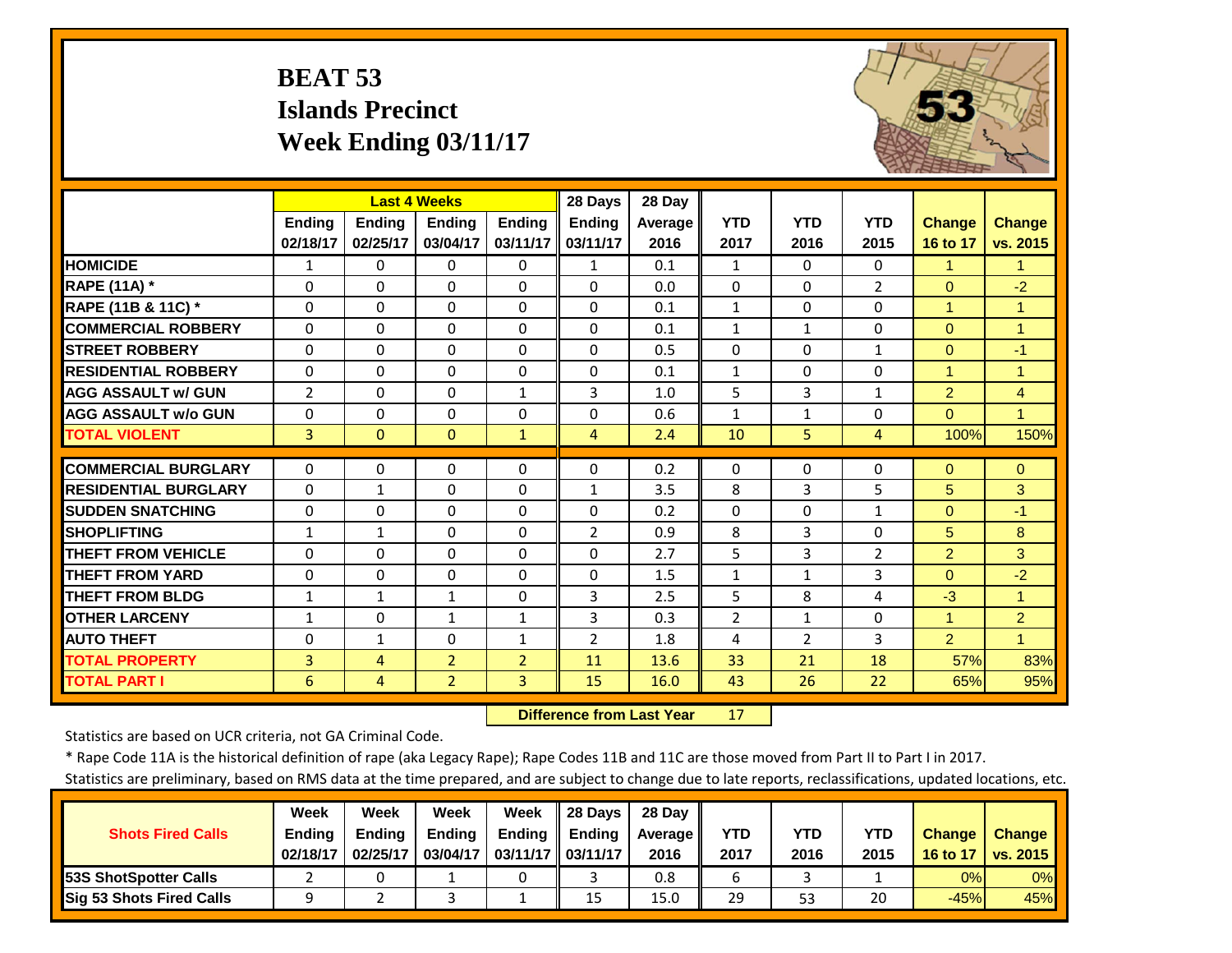# **BEAT 53 Islands Precinct Week Ending 03/11/17**



|                             |                |                | <b>Last 4 Weeks</b> |                | 28 Days        | 28 Day  |                |                |                |                |                      |
|-----------------------------|----------------|----------------|---------------------|----------------|----------------|---------|----------------|----------------|----------------|----------------|----------------------|
|                             | <b>Ending</b>  | <b>Ending</b>  | Ending              | Ending         | <b>Ending</b>  | Average | <b>YTD</b>     | <b>YTD</b>     | <b>YTD</b>     | <b>Change</b>  | <b>Change</b>        |
|                             | 02/18/17       | 02/25/17       | 03/04/17            | 03/11/17       | 03/11/17       | 2016    | 2017           | 2016           | 2015           | 16 to 17       | vs. 2015             |
| <b>HOMICIDE</b>             | $\mathbf{1}$   | 0              | $\Omega$            | 0              | $\mathbf{1}$   | 0.1     | 1              | $\Omega$       | 0              | 1              | 1                    |
| RAPE (11A) *                | $\Omega$       | 0              | $\Omega$            | $\Omega$       | $\Omega$       | 0.0     | $\mathbf{0}$   | $\Omega$       | $\overline{2}$ | $\Omega$       | $-2$                 |
| RAPE (11B & 11C) *          | $\Omega$       | 0              | $\Omega$            | $\Omega$       | $\Omega$       | 0.1     | $1\,$          | $\Omega$       | $\Omega$       | $\mathbf{1}$   | $\overline{1}$       |
| <b>COMMERCIAL ROBBERY</b>   | $\Omega$       | 0              | $\Omega$            | $\Omega$       | $\Omega$       | 0.1     | $\mathbf{1}$   | $\mathbf{1}$   | $\Omega$       | $\Omega$       | $\overline{1}$       |
| <b>STREET ROBBERY</b>       | $\Omega$       | 0              | $\Omega$            | $\Omega$       | $\Omega$       | 0.5     | $\mathbf 0$    | $\Omega$       | $\mathbf{1}$   | $\mathbf{0}$   | $-1$                 |
| <b>RESIDENTIAL ROBBERY</b>  | $\Omega$       | 0              | $\Omega$            | $\Omega$       | $\Omega$       | 0.1     | $\mathbf{1}$   | $\Omega$       | $\Omega$       | $\mathbf{1}$   | 1                    |
| <b>AGG ASSAULT w/ GUN</b>   | $\overline{2}$ | 0              | $\mathbf 0$         | $\mathbf{1}$   | 3              | 1.0     | 5              | 3              | $\mathbf{1}$   | $\overline{2}$ | $\overline{4}$       |
| <b>AGG ASSAULT w/o GUN</b>  | $\Omega$       | 0              | $\Omega$            | $\Omega$       | $\Omega$       | 0.6     | $\mathbf{1}$   | $\mathbf{1}$   | $\Omega$       | $\Omega$       | $\blacktriangleleft$ |
| <b>TOTAL VIOLENT</b>        | $\overline{3}$ | $\overline{0}$ | $\Omega$            | $\mathbf{1}$   | 4              | 2.4     | 10             | 5.             | 4              | 100%           | 150%                 |
| <b>COMMERCIAL BURGLARY</b>  | $\Omega$       |                |                     |                | $\Omega$       |         |                |                |                |                |                      |
|                             |                | 0              | $\Omega$            | $\Omega$       |                | 0.2     | $\Omega$       | $\Omega$       | $\Omega$       | $\Omega$       | $\Omega$             |
| <b>RESIDENTIAL BURGLARY</b> | $\Omega$       | 1              | $\Omega$            | $\Omega$       | $\mathbf{1}$   | 3.5     | 8              | 3              | 5              | 5              | 3                    |
| <b>SUDDEN SNATCHING</b>     | $\Omega$       | 0              | $\Omega$            | $\Omega$       | $\Omega$       | 0.2     | $\Omega$       | $\Omega$       | $\mathbf{1}$   | $\Omega$       | $-1$                 |
| <b>SHOPLIFTING</b>          | 1              | $\mathbf{1}$   | $\Omega$            | $\Omega$       | $\overline{2}$ | 0.9     | 8              | 3              | $\Omega$       | 5              | 8                    |
| <b>THEFT FROM VEHICLE</b>   | $\Omega$       | 0              | $\Omega$            | $\Omega$       | $\Omega$       | 2.7     | 5              | 3              | $\overline{2}$ | $\overline{2}$ | 3                    |
| <b>THEFT FROM YARD</b>      | $\Omega$       | 0              | $\Omega$            | $\Omega$       | $\Omega$       | 1.5     | $\mathbf{1}$   | 1              | 3              | $\Omega$       | $-2$                 |
| <b>THEFT FROM BLDG</b>      | $\mathbf{1}$   | $\mathbf{1}$   | $\mathbf{1}$        | $\Omega$       | 3              | 2.5     | 5              | 8              | 4              | $-3$           | $\blacktriangleleft$ |
| <b>OTHER LARCENY</b>        | $\mathbf{1}$   | 0              | $\mathbf{1}$        | $\mathbf{1}$   | 3              | 0.3     | $\overline{2}$ | $\mathbf{1}$   | $\Omega$       | $\overline{1}$ | $\overline{2}$       |
| <b>AUTO THEFT</b>           | $\Omega$       | $\mathbf{1}$   | $\Omega$            | $\mathbf{1}$   | $\overline{2}$ | 1.8     | 4              | $\overline{2}$ | 3              | $\overline{2}$ | $\mathbf{1}$         |
| <b>TOTAL PROPERTY</b>       | 3              | 4              | $\overline{2}$      | $\overline{2}$ | 11             | 13.6    | 33             | 21             | 18             | 57%            | 83%                  |
| <b>TOTAL PART I</b>         | 6              | $\overline{4}$ | $\overline{2}$      | 3              | 15             | 16.0    | 43             | 26             | 22             | 65%            | 95%                  |

 **Difference from Last Year**17

Statistics are based on UCR criteria, not GA Criminal Code.

\* Rape Code 11A is the historical definition of rape (aka Legacy Rape); Rape Codes 11B and 11C are those moved from Part II to Part I in 2017.

|                                 | <b>Week</b>   | Week          | Week          | Week              | <b>28 Davs</b> | 28 Dav     |      |      |      |               |               |
|---------------------------------|---------------|---------------|---------------|-------------------|----------------|------------|------|------|------|---------------|---------------|
| <b>Shots Fired Calls</b>        | <b>Ending</b> | <b>Ending</b> | <b>Ending</b> | <b>Ending</b>     | <b>Ending</b>  | Average II | YTD  | YTD  | YTD  | <b>Change</b> | <b>Change</b> |
|                                 | 02/18/17      | 02/25/17      | 03/04/17      | 03/11/17 03/11/17 |                | 2016       | 2017 | 2016 | 2015 | 16 to 17      | vs. 2015      |
| <b>153S ShotSpotter Calls</b>   |               |               |               |                   |                | 0.8        |      |      |      | 0%            | 0%            |
| <b>Sig 53 Shots Fired Calls</b> |               |               |               |                   | 15             | 15.0       | 29   | 53   | 20   | $-45%$        | 45%           |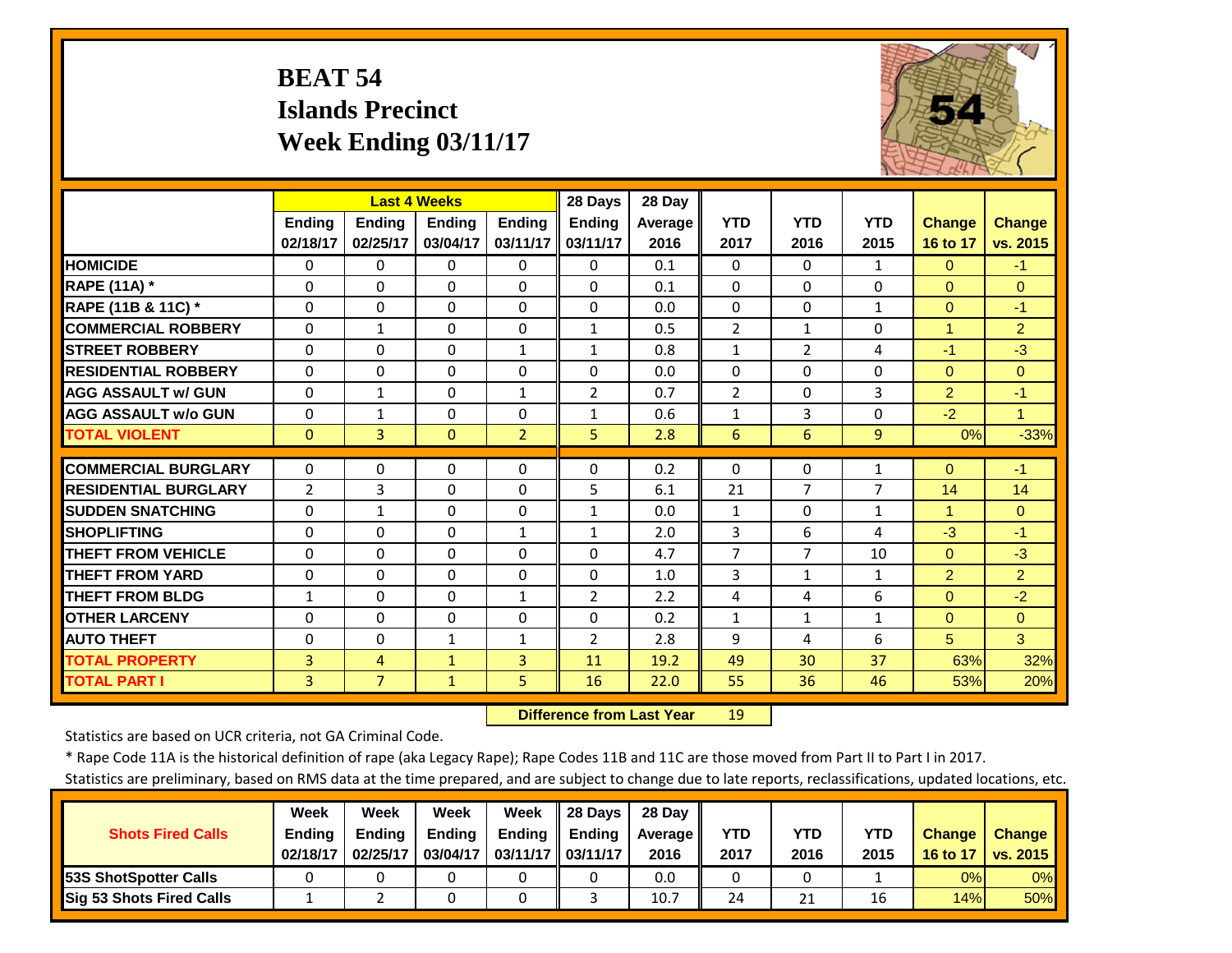# **BEAT 54 Islands Precinct Week Ending 03/11/17**



|                             |                | <b>Last 4 Weeks</b> |               |                | 28 Days        | 28 Day  |                |                |                |                      |                |
|-----------------------------|----------------|---------------------|---------------|----------------|----------------|---------|----------------|----------------|----------------|----------------------|----------------|
|                             | <b>Ending</b>  | <b>Ending</b>       | <b>Endina</b> | Ending         | Ending         | Average | <b>YTD</b>     | <b>YTD</b>     | <b>YTD</b>     | <b>Change</b>        | <b>Change</b>  |
|                             | 02/18/17       | 02/25/17            | 03/04/17      | 03/11/17       | 03/11/17       | 2016    | 2017           | 2016           | 2015           | 16 to 17             | vs. 2015       |
| <b>HOMICIDE</b>             | $\Omega$       | 0                   | $\Omega$      | $\Omega$       | $\Omega$       | 0.1     | $\Omega$       | 0              | $\mathbf{1}$   | $\Omega$             | $-1$           |
| RAPE (11A) *                | $\Omega$       | $\Omega$            | $\Omega$      | $\Omega$       | $\Omega$       | 0.1     | $\Omega$       | $\Omega$       | 0              | $\Omega$             | $\Omega$       |
| RAPE (11B & 11C) *          | $\Omega$       | $\Omega$            | $\Omega$      | $\Omega$       | $\Omega$       | 0.0     | $\Omega$       | $\Omega$       | $\mathbf{1}$   | $\mathbf{0}$         | $-1$           |
| <b>COMMERCIAL ROBBERY</b>   | $\Omega$       | $\mathbf{1}$        | $\Omega$      | $\Omega$       | $\mathbf{1}$   | 0.5     | $\overline{2}$ | $\mathbf{1}$   | 0              | $\blacktriangleleft$ | $\overline{2}$ |
| <b>STREET ROBBERY</b>       | $\Omega$       | $\Omega$            | $\Omega$      | $\mathbf{1}$   | $\mathbf{1}$   | 0.8     | $\mathbf{1}$   | $\overline{2}$ | 4              | $-1$                 | $-3$           |
| <b>RESIDENTIAL ROBBERY</b>  | $\Omega$       | $\Omega$            | $\Omega$      | $\Omega$       | $\Omega$       | 0.0     | $\Omega$       | $\Omega$       | 0              | $\Omega$             | $\Omega$       |
| <b>AGG ASSAULT w/ GUN</b>   | $\Omega$       | 1                   | $\Omega$      | $\mathbf{1}$   | $\overline{2}$ | 0.7     | $\overline{2}$ | $\Omega$       | 3              | $\overline{2}$       | $-1$           |
| <b>AGG ASSAULT w/o GUN</b>  | $\Omega$       | $\mathbf{1}$        | $\Omega$      | $\Omega$       | $\mathbf{1}$   | 0.6     | $\mathbf{1}$   | 3              | 0              | $-2$                 | $\mathbf{1}$   |
| <b>TOTAL VIOLENT</b>        | $\Omega$       | $\overline{3}$      | $\Omega$      | $\overline{2}$ | 5              | 2.8     | 6              | 6              | 9              | 0%                   | $-33%$         |
| <b>COMMERCIAL BURGLARY</b>  | $\Omega$       | 0                   | $\Omega$      | 0              | 0              | 0.2     | $\Omega$       | 0              | $\mathbf{1}$   | $\Omega$             | $-1$           |
|                             |                |                     |               |                |                |         |                | $\overline{7}$ |                |                      |                |
| <b>RESIDENTIAL BURGLARY</b> | $\overline{2}$ | 3                   | $\Omega$      | $\Omega$       | 5              | 6.1     | 21             |                | $\overline{7}$ | 14                   | 14             |
| <b>SUDDEN SNATCHING</b>     | $\Omega$       | $\mathbf{1}$        | $\Omega$      | $\Omega$       | $\mathbf{1}$   | 0.0     | $\mathbf{1}$   | 0              | $\mathbf{1}$   | $\blacktriangleleft$ | $\Omega$       |
| <b>SHOPLIFTING</b>          | $\Omega$       | $\Omega$            | $\Omega$      | 1              | 1              | 2.0     | 3              | 6              | 4              | $-3$                 | $-1$           |
| <b>THEFT FROM VEHICLE</b>   | $\Omega$       | $\Omega$            | $\Omega$      | 0              | $\Omega$       | 4.7     | $\overline{7}$ | $\overline{7}$ | 10             | $\Omega$             | $-3$           |
| <b>THEFT FROM YARD</b>      | $\Omega$       | 0                   | $\Omega$      | 0              | 0              | 1.0     | 3              | $\mathbf{1}$   | $\mathbf{1}$   | 2                    | $\overline{2}$ |
| <b>THEFT FROM BLDG</b>      | 1              | 0                   | $\Omega$      | $\mathbf{1}$   | $\overline{2}$ | 2.2     | 4              | 4              | 6              | $\Omega$             | $-2$           |
| <b>OTHER LARCENY</b>        | $\Omega$       | $\Omega$            | $\Omega$      | $\Omega$       | $\Omega$       | 0.2     | $\mathbf{1}$   | $\mathbf{1}$   | $\mathbf{1}$   | $\Omega$             | $\Omega$       |
| <b>AUTO THEFT</b>           | $\Omega$       | $\Omega$            | $\mathbf{1}$  | $\mathbf{1}$   | $\overline{2}$ | 2.8     | 9              | 4              | 6              | 5                    | $\mathbf{3}$   |
| <b>TOTAL PROPERTY</b>       | 3              | 4                   | $\mathbf{1}$  | 3              | 11             | 19.2    | 49             | 30             | 37             | 63%                  | 32%            |
| <b>TOTAL PART I</b>         | 3              | $\overline{7}$      | $\mathbf{1}$  | 5              | 16             | 22.0    | 55             | 36             | 46             | 53%                  | 20%            |

 **Difference from Last Year**19

Statistics are based on UCR criteria, not GA Criminal Code.

\* Rape Code 11A is the historical definition of rape (aka Legacy Rape); Rape Codes 11B and 11C are those moved from Part II to Part I in 2017.

|                                 | Week          | Week          | Week          | Week              | 28 Davs       | 28 Dav     |      |      |      |               |               |
|---------------------------------|---------------|---------------|---------------|-------------------|---------------|------------|------|------|------|---------------|---------------|
| <b>Shots Fired Calls</b>        | <b>Ending</b> | <b>Ending</b> | <b>Ending</b> | <b>Ending</b>     | <b>Ending</b> | Average II | YTD  | YTD  | YTD  | <b>Change</b> | <b>Change</b> |
|                                 | 02/18/17      | 02/25/17      | 03/04/17      | 03/11/17 03/11/17 |               | 2016       | 2017 | 2016 | 2015 | 16 to 17      | vs. 2015      |
| <b>153S ShotSpotter Calls</b>   |               |               |               |                   |               | 0.0        |      |      |      | 0%            | $0\%$         |
| <b>Sig 53 Shots Fired Calls</b> |               |               |               |                   |               | 10.7       | 24   | 21   | 16   | 14%           | 50%           |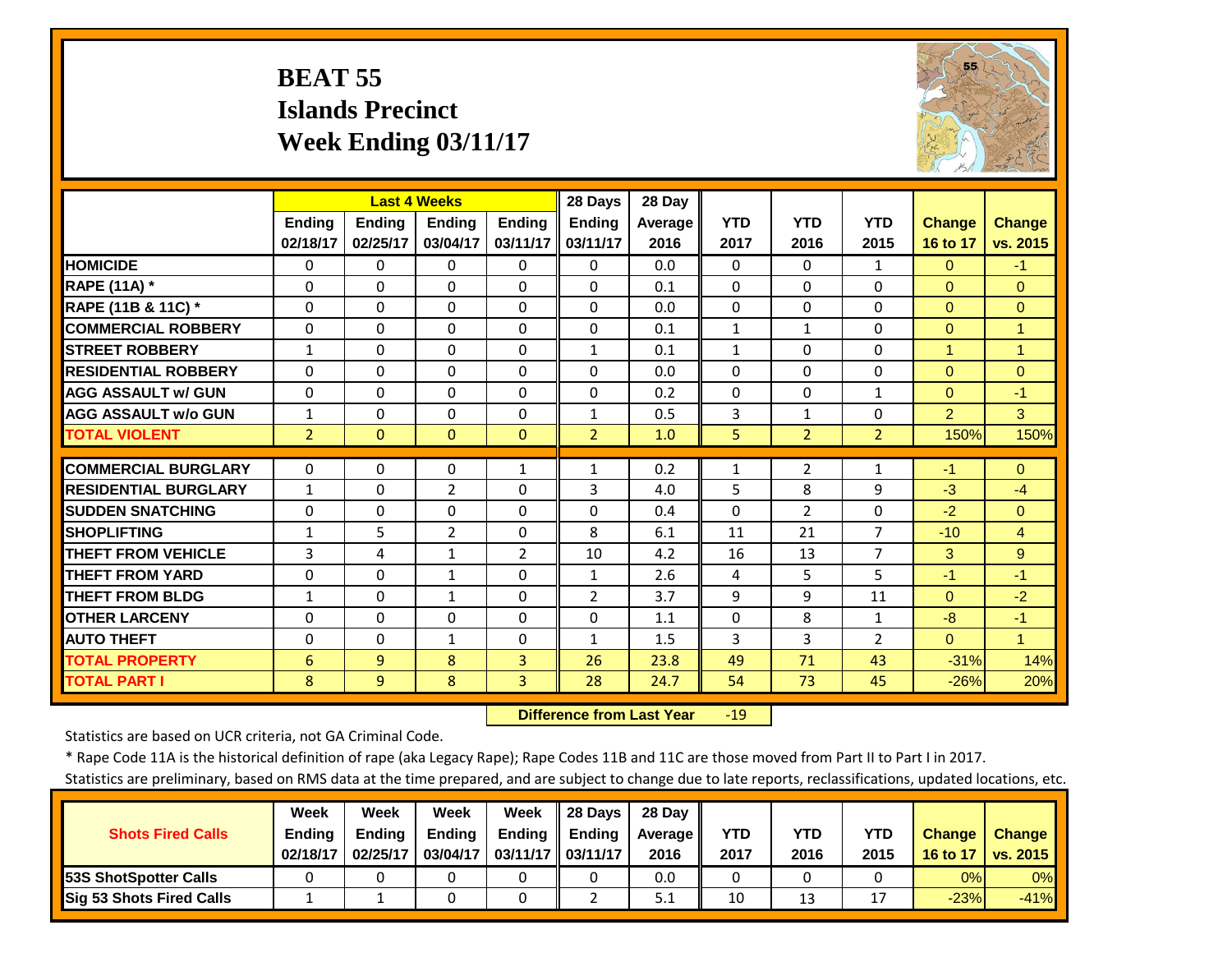# **BEAT 55 Islands Precinct Week Ending 03/11/17**



|                             | <b>Last 4 Weeks</b> |                |                |                | 28 Days        | 28 Day  |              |                |                |                |                      |
|-----------------------------|---------------------|----------------|----------------|----------------|----------------|---------|--------------|----------------|----------------|----------------|----------------------|
|                             | <b>Endina</b>       | <b>Ending</b>  | <b>Endina</b>  | Ending         | <b>Ending</b>  | Average | <b>YTD</b>   | <b>YTD</b>     | <b>YTD</b>     | <b>Change</b>  | <b>Change</b>        |
|                             | 02/18/17            | 02/25/17       | 03/04/17       | 03/11/17       | 03/11/17       | 2016    | 2017         | 2016           | 2015           | 16 to 17       | vs. 2015             |
| <b>HOMICIDE</b>             | $\Omega$            | 0              | $\Omega$       | 0              | $\Omega$       | 0.0     | $\Omega$     | $\Omega$       | $\mathbf{1}$   | $\mathbf{0}$   | $-1$                 |
| RAPE (11A) *                | $\Omega$            | 0              | $\Omega$       | $\Omega$       | $\Omega$       | 0.1     | $\Omega$     | $\Omega$       | $\Omega$       | $\Omega$       | $\Omega$             |
| RAPE (11B & 11C) *          | $\Omega$            | 0              | $\Omega$       | $\Omega$       | $\Omega$       | 0.0     | $\Omega$     | $\Omega$       | $\Omega$       | $\mathbf{0}$   | $\overline{0}$       |
| <b>COMMERCIAL ROBBERY</b>   | $\Omega$            | 0              | 0              | $\Omega$       | $\mathbf 0$    | 0.1     | $\mathbf{1}$ | $\mathbf{1}$   | $\Omega$       | $\mathbf{0}$   | $\overline{1}$       |
| <b>STREET ROBBERY</b>       | $\mathbf{1}$        | 0              | $\Omega$       | $\Omega$       | $\mathbf{1}$   | 0.1     | $\mathbf{1}$ | $\Omega$       | $\Omega$       | $\mathbf{1}$   | $\overline{1}$       |
| <b>RESIDENTIAL ROBBERY</b>  | $\Omega$            | 0              | $\Omega$       | $\Omega$       | $\Omega$       | 0.0     | $\mathbf{0}$ | $\Omega$       | $\Omega$       | $\mathbf{0}$   | $\Omega$             |
| <b>AGG ASSAULT W/ GUN</b>   | $\Omega$            | 0              | $\Omega$       | $\Omega$       | $\Omega$       | 0.2     | $\mathbf{0}$ | $\Omega$       | $\mathbf{1}$   | $\Omega$       | $-1$                 |
| <b>AGG ASSAULT w/o GUN</b>  | $\mathbf{1}$        | 0              | $\Omega$       | $\Omega$       | $\mathbf{1}$   | 0.5     | 3            | $\mathbf{1}$   | $\Omega$       | $\overline{2}$ | 3                    |
| <b>TOTAL VIOLENT</b>        | $\overline{2}$      | $\overline{0}$ | $\mathbf{0}$   | $\Omega$       | $\overline{2}$ | 1.0     | 5            | $\overline{2}$ | $\overline{2}$ | 150%           | 150%                 |
| <b>COMMERCIAL BURGLARY</b>  | $\Omega$            | 0              | 0              | $\mathbf{1}$   | $\mathbf{1}$   | 0.2     | $\mathbf{1}$ | $\overline{2}$ | $\mathbf{1}$   | $-1$           | $\Omega$             |
| <b>RESIDENTIAL BURGLARY</b> | $\mathbf{1}$        | 0              | $\overline{2}$ | $\Omega$       | 3              | 4.0     | 5            | 8              | 9              | $-3$           | $-4$                 |
| <b>SUDDEN SNATCHING</b>     | $\Omega$            | 0              | $\Omega$       | $\Omega$       | $\Omega$       | 0.4     | $\Omega$     | $\overline{2}$ | $\Omega$       | $-2$           | $\Omega$             |
| <b>SHOPLIFTING</b>          | $\mathbf{1}$        | 5              | $\overline{2}$ | $\Omega$       | 8              | 6.1     | 11           | 21             | 7              | $-10$          | $\overline{4}$       |
| <b>THEFT FROM VEHICLE</b>   | 3                   | 4              | 1              | $\overline{2}$ | 10             | 4.2     | 16           | 13             | $\overline{7}$ | 3              | 9                    |
| <b>THEFT FROM YARD</b>      | $\Omega$            | 0              | $\mathbf{1}$   | $\Omega$       | $\mathbf{1}$   | 2.6     | 4            | 5.             | 5              | $-1$           | $-1$                 |
| <b>THEFT FROM BLDG</b>      | 1                   | 0              | $\mathbf{1}$   | $\Omega$       | $\overline{2}$ | 3.7     | 9            | 9              | 11             | $\Omega$       | $-2$                 |
| <b>OTHER LARCENY</b>        | $\Omega$            | 0              | $\Omega$       | $\Omega$       | $\Omega$       | 1.1     | $\Omega$     | 8              | $\mathbf{1}$   | $-8$           | $-1$                 |
| <b>AUTO THEFT</b>           | $\Omega$            | 0              | $\mathbf{1}$   | $\Omega$       | $\mathbf{1}$   | 1.5     | 3            | 3              | $\overline{2}$ | $\Omega$       | $\blacktriangleleft$ |
|                             | 6                   |                |                |                | 26             |         |              | 71             | 43             |                |                      |
| <b>TOTAL PROPERTY</b>       |                     | 9              | 8              | 3              |                | 23.8    | 49           |                |                | $-31%$         | 14%                  |
| <b>TOTAL PART I</b>         | 8                   | 9              | 8              | 3              | 28             | 24.7    | 54           | 73             | 45             | $-26%$         | 20%                  |

 **Difference from Last Year** $-19$ 

Statistics are based on UCR criteria, not GA Criminal Code.

\* Rape Code 11A is the historical definition of rape (aka Legacy Rape); Rape Codes 11B and 11C are those moved from Part II to Part I in 2017.

|                                 | Week          | Week          | Week          | Week              | 28 Days       | 28 Dav     |      |      |      |               |               |
|---------------------------------|---------------|---------------|---------------|-------------------|---------------|------------|------|------|------|---------------|---------------|
| <b>Shots Fired Calls</b>        | <b>Ending</b> | <b>Ending</b> | <b>Ending</b> | <b>Ending</b>     | <b>Ending</b> | Average II | YTD  | YTD  | YTD  | <b>Change</b> | <b>Change</b> |
|                                 | 02/18/17      | 02/25/17      | 03/04/17      | 03/11/17 03/11/17 |               | 2016       | 2017 | 2016 | 2015 | 16 to 17      | vs. 2015      |
| <b>153S ShotSpotter Calls</b>   |               |               |               |                   |               | 0.0        |      |      |      | 0%            | $0\%$         |
| <b>Sig 53 Shots Fired Calls</b> |               |               |               |                   |               | 5.1        | 10   | 13   |      | $-23%$        | $-41%$        |